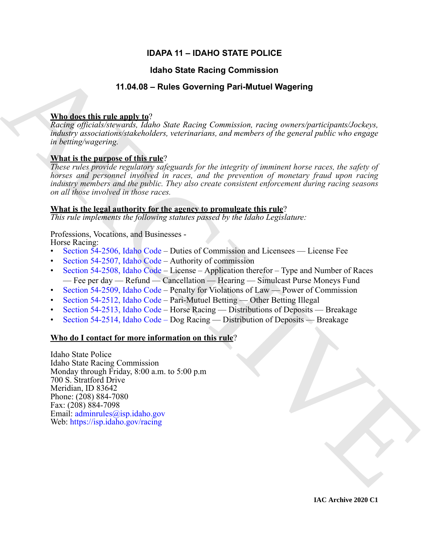## **IDAPA 11 – IDAHO STATE POLICE**

## **Idaho State Racing Commission**

## **11.04.08 – Rules Governing Pari-Mutuel Wagering**

### **Who does this rule apply to**?

*Racing officials/stewards, Idaho State Racing Commission, racing owners/participants/Jockeys, industry associations/stakeholders, veterinarians, and members of the general public who engage in betting/wagering.*

## **What is the purpose of this rule**?

*These rules provide regulatory safeguards for the integrity of imminent horse races, the safety of horses and personnel involved in races, and the prevention of monetary fraud upon racing industry members and the public. They also create consistent enforcement during racing seasons on all those involved in those races.*

### **What is the legal authority for the agency to promulgate this rule**?

*This rule implements the following statutes passed by the Idaho Legislature:*

### Professions, Vocations, and Businesses -

Horse Racing:

- Section 54-2506, Idaho Code Duties of Commission and Licensees License Fee
- Section 54-2507, Idaho Code Authority of commission
- Section 54-2508, Idaho Code License Application therefor Type and Number of Races — Fee per day — Refund — Cancellation — Hearing — Simulcast Purse Moneys Fund
- Section 54-2509, Idaho Code Penalty for Violations of Law Power of Commission
- Section 54-2512, Idaho Code Pari-Mutuel Betting Other Betting Illegal
- Section 54-2513, Idaho Code Horse Racing Distributions of Deposits Breakage
- Section 54-2514, Idaho Code Dog Racing Distribution of Deposits Breakage

## **Who do I contact for more information on this rule**?

**14.460 State Recinq [C](https://legislature.idaho.gov/statutesrules/idstat/Title54/T54CH25/SECT54-2506/)ommission**<br>
11.54.08 - Rules Governing Pari-Mutual Wagering<br>
Whether this relation is the companying part-Mutual Wagering<br> *Rules given in the particular fields from Rucing Connection rating concerti* Idaho State Police Idaho State Racing Commission Monday through Friday, 8:00 a.m. to 5:00 p.m 700 S. Stratford Drive Meridian, ID 83642 Phone: (208) 884-7080 Fax: (208) 884-7098 Email: adminrules@isp.idaho.gov Web: https://isp.idaho.gov/racing

**IAC Archive 2020 C1**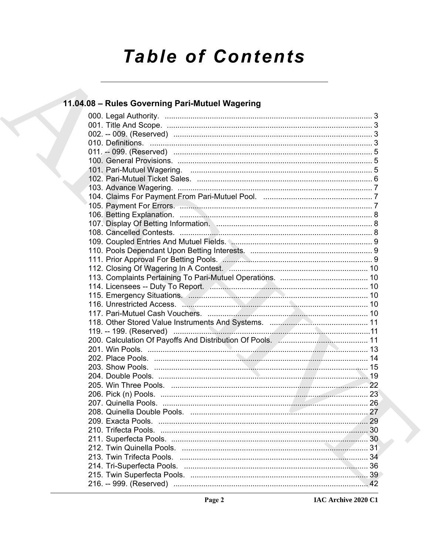# **Table of Contents**

# 11.04.08 - Rules Governing Pari-Mutuel Wagering

| 116. Unrestricted Access. Manual Manual Manual Manual Manual Manual 10 |  |
|------------------------------------------------------------------------|--|
|                                                                        |  |
|                                                                        |  |
| 119. -- 199. (Reserved) ……………………………………………………………………………11                |  |
|                                                                        |  |
|                                                                        |  |
|                                                                        |  |
|                                                                        |  |
|                                                                        |  |
|                                                                        |  |
|                                                                        |  |
|                                                                        |  |
|                                                                        |  |
|                                                                        |  |
|                                                                        |  |
|                                                                        |  |
|                                                                        |  |
|                                                                        |  |
|                                                                        |  |
|                                                                        |  |
|                                                                        |  |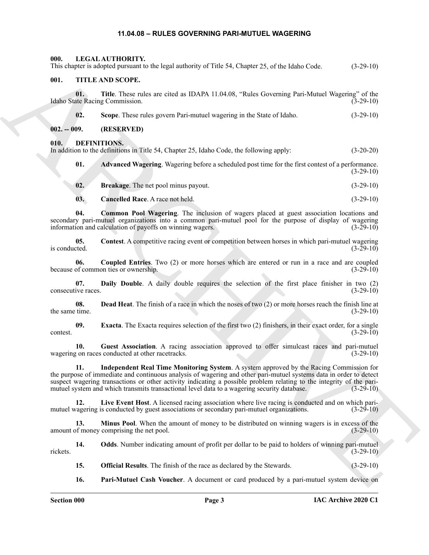## <span id="page-2-23"></span><span id="page-2-22"></span><span id="page-2-10"></span><span id="page-2-9"></span><span id="page-2-8"></span><span id="page-2-7"></span><span id="page-2-6"></span>**11.04.08 – RULES GOVERNING PARI-MUTUEL WAGERING**

<span id="page-2-21"></span><span id="page-2-20"></span><span id="page-2-19"></span><span id="page-2-18"></span><span id="page-2-17"></span><span id="page-2-16"></span><span id="page-2-15"></span><span id="page-2-14"></span><span id="page-2-13"></span><span id="page-2-12"></span><span id="page-2-11"></span><span id="page-2-5"></span><span id="page-2-4"></span><span id="page-2-3"></span><span id="page-2-2"></span><span id="page-2-1"></span><span id="page-2-0"></span>

| 000.                      | LEGAL AUTHORITY.<br>This chapter is adopted pursuant to the legal authority of Title 54, Chapter 25, of the Idaho Code.                                                                                                                                                                                                                                                                                                              | $(3-29-10)$ |
|---------------------------|--------------------------------------------------------------------------------------------------------------------------------------------------------------------------------------------------------------------------------------------------------------------------------------------------------------------------------------------------------------------------------------------------------------------------------------|-------------|
| 001.                      | TITLE AND SCOPE.                                                                                                                                                                                                                                                                                                                                                                                                                     |             |
| 01.                       | Title. These rules are cited as IDAPA 11.04.08, "Rules Governing Pari-Mutuel Wagering" of the<br>Idaho State Racing Commission.                                                                                                                                                                                                                                                                                                      | $(3-29-10)$ |
| 02.                       | Scope. These rules govern Pari-mutuel wagering in the State of Idaho.                                                                                                                                                                                                                                                                                                                                                                | $(3-29-10)$ |
| $002. - 009.$             | (RESERVED)                                                                                                                                                                                                                                                                                                                                                                                                                           |             |
| 010.                      | <b>DEFINITIONS.</b><br>In addition to the definitions in Title 54, Chapter 25, Idaho Code, the following apply:                                                                                                                                                                                                                                                                                                                      | $(3-20-20)$ |
| 01.                       | <b>Advanced Wagering.</b> Wagering before a scheduled post time for the first contest of a performance.                                                                                                                                                                                                                                                                                                                              | $(3-29-10)$ |
| 02.                       | Breakage. The net pool minus payout.                                                                                                                                                                                                                                                                                                                                                                                                 | $(3-29-10)$ |
| 03.                       | Cancelled Race. A race not held.                                                                                                                                                                                                                                                                                                                                                                                                     | $(3-29-10)$ |
| 04.                       | <b>Common Pool Wagering.</b> The inclusion of wagers placed at guest association locations and<br>secondary pari-mutuel organizations into a common pari-mutuel pool for the purpose of display of wagering<br>information and calculation of payoffs on winning wagers.                                                                                                                                                             | $(3-29-10)$ |
| 05.<br>is conducted.      | Contest. A competitive racing event or competition between horses in which pari-mutuel wagering                                                                                                                                                                                                                                                                                                                                      | $(3-29-10)$ |
| 06.                       | Coupled Entries. Two (2) or more horses which are entered or run in a race and are coupled<br>because of common ties or ownership.                                                                                                                                                                                                                                                                                                   | $(3-29-10)$ |
| 07.<br>consecutive races. | Daily Double. A daily double requires the selection of the first place finisher in two (2)                                                                                                                                                                                                                                                                                                                                           | $(3-29-10)$ |
| 08.<br>the same time.     | <b>Dead Heat.</b> The finish of a race in which the noses of two (2) or more horses reach the finish line at                                                                                                                                                                                                                                                                                                                         | $(3-29-10)$ |
| 09.<br>contest.           | <b>Exacta.</b> The Exacta requires selection of the first two (2) finishers, in their exact order, for a single                                                                                                                                                                                                                                                                                                                      | $(3-29-10)$ |
| 10.                       | Guest Association. A racing association approved to offer simulcast races and pari-mutuel<br>wagering on races conducted at other racetracks.                                                                                                                                                                                                                                                                                        | $(3-29-10)$ |
| -11.                      | Independent Real Time Monitoring System. A system approved by the Racing Commission for<br>the purpose of immediate and continuous analysis of wagering and other pari-mutuel systems data in order to detect<br>suspect wagering transactions or other activity indicating a possible problem relating to the integrity of the pari-<br>mutuel system and which transmits transactional level data to a wagering security database. | $(3-29-10)$ |
| 12.                       | Live Event Host. A licensed racing association where live racing is conducted and on which pari-<br>mutuel wagering is conducted by guest associations or secondary pari-mutuel organizations.                                                                                                                                                                                                                                       | $(3-29-10)$ |
| 13.                       | <b>Minus Pool.</b> When the amount of money to be distributed on winning wagers is in excess of the<br>amount of money comprising the net pool.                                                                                                                                                                                                                                                                                      | $(3-29-10)$ |
| 14.<br>rickets.           | <b>Odds.</b> Number indicating amount of profit per dollar to be paid to holders of winning pari-mutuel                                                                                                                                                                                                                                                                                                                              | $(3-29-10)$ |
| 15.                       | <b>Official Results</b> . The finish of the race as declared by the Stewards.                                                                                                                                                                                                                                                                                                                                                        | $(3-29-10)$ |
| 16.                       | <b>Pari-Mutuel Cash Voucher.</b> A document or card produced by a pari-mutuel system device on                                                                                                                                                                                                                                                                                                                                       |             |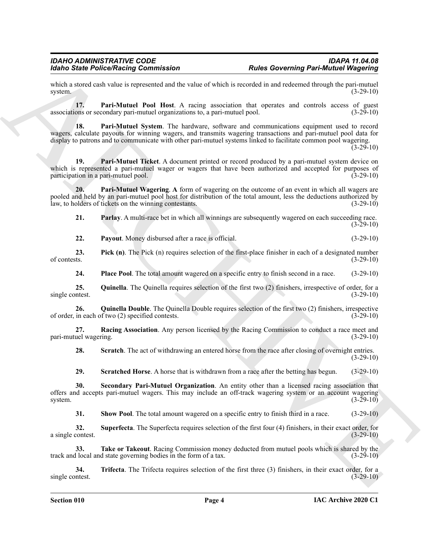which a stored cash value is represented and the value of which is recorded in and redeemed through the pari-mutuel system.  $(3-29-10)$ system.  $(3-29-10)$ 

<span id="page-3-1"></span><span id="page-3-0"></span>**17. Pari-Mutuel Pool Host**. A racing association that operates and controls access of guest associations or secondary pari-mutuel organizations to, a pari-mutuel pool. (3-29-10)

More State Police Near the Contrast of the United Contrast of the Contrast of the Contrast of the Contrast of the Contrast of the Contrast of the Contrast of the Contrast of the Contrast of the Contrast of the Contrast of **18. Pari-Mutuel System**. The hardware, software and communications equipment used to record wagers, calculate payouts for winning wagers, and transmits wagering transactions and pari-mutuel pool data for display to patrons and to communicate with other pari-mutuel systems linked to facilitate common pool wagering.  $(3-29-10)$ 

<span id="page-3-2"></span>19. **Pari-Mutuel Ticket**. A document printed or record produced by a pari-mutuel system device on which is represented a pari-mutuel wager or wagers that have been authorized and accepted for purposes of participation in a pari-mutuel pool. (3-29-10)

**20. Pari-Mutuel Wagering**. **A** form of wagering on the outcome of an event in which all wagers are pooled and held by an pari-mutuel pool host for distribution of the total amount, less the deductions authorized by law, to holders of tickets on the winning contestants. (3-29-10)

<span id="page-3-4"></span><span id="page-3-3"></span>**21. Parlay**. A multi-race bet in which all winnings are subsequently wagered on each succeeding race. (3-29-10)

<span id="page-3-6"></span><span id="page-3-5"></span>**22. Payout**. Money disbursed after a race is official. (3-29-10)

**23. Pick (n)**. The Pick (n) requires selection of the first-place finisher in each of a designated number of contests. (3-29-10) of contests.  $(3-29-10)$ 

<span id="page-3-9"></span><span id="page-3-8"></span><span id="page-3-7"></span>**24. Place Pool**. The total amount wagered on a specific entry to finish second in a race. (3-29-10)

**25.** Quinella. The Quinella requires selection of the first two (2) finishers, irrespective of order, for a single contest. (3-29-10)

**26. Quinella Double**. The Quinella Double requires selection of the first two (2) finishers, irrespective of order, in each of two (2) specified contests. (3-29-10)

**27. Racing Association**. Any person licensed by the Racing Commission to conduct a race meet and pari-mutuel wagering.

<span id="page-3-11"></span><span id="page-3-10"></span>**28. Scratch**. The act of withdrawing an entered horse from the race after closing of overnight entries. (3-29-10)

<span id="page-3-13"></span><span id="page-3-12"></span>**29. Scratched Horse**. A horse that is withdrawn from a race after the betting has begun. (3-29-10)

**30. Secondary Pari-Mutuel Organization**. An entity other than a licensed racing association that offers and accepts pari-mutuel wagers. This may include an off-track wagering system or an account wagering system.  $(3-29-10)$ 

<span id="page-3-16"></span><span id="page-3-15"></span><span id="page-3-14"></span>**31.** Show Pool. The total amount wagered on a specific entry to finish third in a race.  $(3-29-10)$ 

**32. Superfecta**. The Superfecta requires selection of the first four (4) finishers, in their exact order, for a single contest. (3-29-10)

**33.** Take or Takeout. Racing Commission money deducted from mutuel pools which is shared by the local and state governing bodies in the form of a tax. (3-29-10) track and local and state governing bodies in the form of a tax.

<span id="page-3-17"></span>**34. Trifecta**. The Trifecta requires selection of the first three (3) finishers, in their exact order, for a single contest. (3-29-10)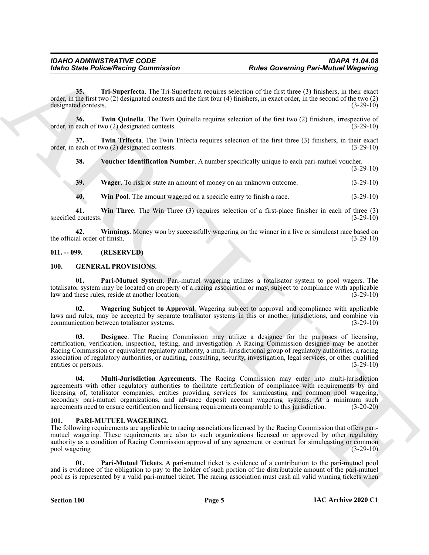<span id="page-4-3"></span>**35. Tri-Superfecta**. The Tri-Superfecta requires selection of the first three (3) finishers, in their exact order, in the first two (2) designated contests and the first four (4) finishers, in exact order, in the second of the two (2) designated contests.

<span id="page-4-4"></span>**36. Twin Quinella**. The Twin Quinella requires selection of the first two (2) finishers, irrespective of each of two (2) designated contests. (3-29-10) order, in each of two (2) designated contests.

**37. Twin Trifecta**. The Twin Trifecta requires selection of the first three (3) finishers, in their exact order, in each of two (2) designated contests. (3-29-10)

<span id="page-4-6"></span><span id="page-4-5"></span>**38. Voucher Identification Number**. A number specifically unique to each pari-mutuel voucher. (3-29-10)

<span id="page-4-7"></span>**39. Wager**. To risk or state an amount of money on an unknown outcome. (3-29-10)

<span id="page-4-10"></span><span id="page-4-9"></span><span id="page-4-8"></span>**40. Win Pool**. The amount wagered on a specific entry to finish a race. (3-29-10)

**41. Win Three**. The Win Three (3) requires selection of a first-place finisher in each of three (3) specified contests.

**42.** Winnings. Money won by successfully wagering on the winner in a live or simulcast race based on ial order of finish. (3-29-10) the official order of finish.

### <span id="page-4-0"></span>**011. -- 099. (RESERVED)**

### <span id="page-4-14"></span><span id="page-4-11"></span><span id="page-4-1"></span>**100. GENERAL PROVISIONS.**

**Pari-Mutuel System**. Pari-mutuel wagering utilizes a totalisator system to pool wagers. The totalisator system may be located on property of a racing association or may, subject to compliance with applicable law and these rules, reside at another location. (3-29-10)

<span id="page-4-15"></span><span id="page-4-12"></span>**02. Wagering Subject to Approval**. Wagering subject to approval and compliance with applicable laws and rules, may be accepted by separate totalisator systems in this or another jurisdictions, and combine via communication between totalisator systems.

For the Police Neumann Commutation<br>
And Governing Part-Mutual (Regions)<br>
Solution Control in This System requires the first of the limit one of the control in the system in the transformation of the system of the system o **03. Designee**. The Racing Commission may utilize a designee for the purposes of licensing, certification, verification, inspection, testing, and investigation. A Racing Commission designee may be another Racing Commission or equivalent regulatory authority, a multi-jurisdictional group of regulatory authorities, a racing association of regulatory authorities, or auditing, consulting, security, investigation, legal services, or other qualified entities or persons. (3-29-10)

<span id="page-4-13"></span>**04. Multi-Jurisdiction Agreements**. The Racing Commission may enter into multi-jurisdiction agreements with other regulatory authorities to facilitate certification of compliance with requirements by and licensing of, totalisator companies, entities providing services for simulcasting and common pool wagering, secondary pari-mutuel organizations, and advance deposit account wagering systems. At a minimum such agreements need to ensure certification and licensing requirements comparable to this jurisdiction. (3-20-20)

#### <span id="page-4-16"></span><span id="page-4-2"></span>**101. PARI-MUTUEL WAGERING.**

The following requirements are applicable to racing associations licensed by the Racing Commission that offers parimutuel wagering. These requirements are also to such organizations licensed or approved by other regulatory authority as a condition of Racing Commission approval of any agreement or contract for simulcasting or common pool wagering (3-29-10)

<span id="page-4-17"></span>**01. Pari-Mutuel Tickets**. A pari-mutuel ticket is evidence of a contribution to the pari-mutuel pool and is evidence of the obligation to pay to the holder of such portion of the distributable amount of the pari-mutuel pool as is represented by a valid pari-mutuel ticket. The racing association must cash all valid winning tickets when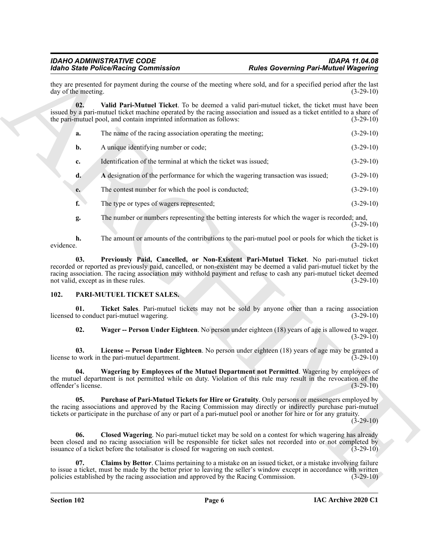<span id="page-5-10"></span>

|           |                            | <b>Idaho State Police/Racing Commission</b>                                                                                                                                                                                                                                     | <b>Rules Governing Pari-Mutuel Wagering</b>                                                          |             |
|-----------|----------------------------|---------------------------------------------------------------------------------------------------------------------------------------------------------------------------------------------------------------------------------------------------------------------------------|------------------------------------------------------------------------------------------------------|-------------|
|           | day of the meeting.        | they are presented for payment during the course of the meeting where sold, and for a specified period after the last                                                                                                                                                           |                                                                                                      | $(3-29-10)$ |
|           | 02.                        | issued by a pari-mutuel ticket machine operated by the racing association and issued as a ticket entitled to a share of<br>the pari-mutuel pool, and contain imprinted information as follows:                                                                                  | Valid Pari-Mutuel Ticket. To be deemed a valid pari-mutuel ticket, the ticket must have been         | $(3-29-10)$ |
|           | a.                         | The name of the racing association operating the meeting;                                                                                                                                                                                                                       |                                                                                                      | $(3-29-10)$ |
|           | b.                         | A unique identifying number or code;                                                                                                                                                                                                                                            |                                                                                                      | $(3-29-10)$ |
|           | c.                         | Identification of the terminal at which the ticket was issued;                                                                                                                                                                                                                  |                                                                                                      | $(3-29-10)$ |
|           | d.                         |                                                                                                                                                                                                                                                                                 | A designation of the performance for which the wagering transaction was issued;                      | $(3-29-10)$ |
|           | e.                         | The contest number for which the pool is conducted;                                                                                                                                                                                                                             |                                                                                                      | $(3-29-10)$ |
|           | f.                         | The type or types of wagers represented;                                                                                                                                                                                                                                        |                                                                                                      | $(3-29-10)$ |
|           | g.                         |                                                                                                                                                                                                                                                                                 | The number or numbers representing the betting interests for which the wager is recorded; and,       | $(3-29-10)$ |
| evidence. | h.                         |                                                                                                                                                                                                                                                                                 | The amount or amounts of the contributions to the pari-mutuel pool or pools for which the ticket is  | $(3-29-10)$ |
|           | 03.                        | recorded or reported as previously paid, cancelled, or non-existent may be deemed a valid pari-mutuel ticket by the<br>racing association. The racing association may withhold payment and refuse to cash any pari-mutuel ticket deemed<br>not valid, except as in these rules. | Previously Paid, Cancelled, or Non-Existent Pari-Mutuel Ticket. No pari-mutuel ticket                | $(3-29-10)$ |
| 102.      |                            | PARI-MUTUEL TICKET SALES.                                                                                                                                                                                                                                                       |                                                                                                      |             |
|           | 01.                        | licensed to conduct pari-mutuel wagering.                                                                                                                                                                                                                                       | Ticket Sales. Pari-mutuel tickets may not be sold by anyone other than a racing association          | $(3-29-10)$ |
|           | 02.                        |                                                                                                                                                                                                                                                                                 | Wager -- Person Under Eighteen. No person under eighteen (18) years of age is allowed to wager.      | $(3-29-10)$ |
|           | 03.                        | license to work in the pari-mutuel department.                                                                                                                                                                                                                                  | License -- Person Under Eighteen. No person under eighteen (18) years of age may be granted a        | $(3-29-10)$ |
|           | 04.<br>offender's license. | the mutuel department is not permitted while on duty. Violation of this rule may result in the revocation of the                                                                                                                                                                | Wagering by Employees of the Mutuel Department not Permitted. Wagering by employees of               | $(3-29-10)$ |
|           | 05.                        | the racing associations and approved by the Racing Commission may directly or indirectly purchase pari-mutuel<br>tickets or participate in the purchase of any or part of a pari-mutuel pool or another for hire or for any gratuity.                                           | Purchase of Pari-Mutuel Tickets for Hire or Gratuity. Only persons or messengers employed by         | $(3-29-10)$ |
|           | 06.                        | been closed and no racing association will be responsible for ticket sales not recorded into or not completed by<br>issuance of a ticket before the totalisator is closed for wagering on such contest.                                                                         | Closed Wagering. No pari-mutuel ticket may be sold on a contest for which wagering has already       | $(3-29-10)$ |
|           | 07.                        |                                                                                                                                                                                                                                                                                 | Claims by Bettor. Claims pertaining to a mistake on an issued ticket, or a mistake involving failure |             |

### <span id="page-5-9"></span><span id="page-5-8"></span><span id="page-5-7"></span><span id="page-5-6"></span><span id="page-5-5"></span><span id="page-5-4"></span><span id="page-5-3"></span><span id="page-5-2"></span><span id="page-5-1"></span><span id="page-5-0"></span>**102. PARI-MUTUEL TICKET SALES.**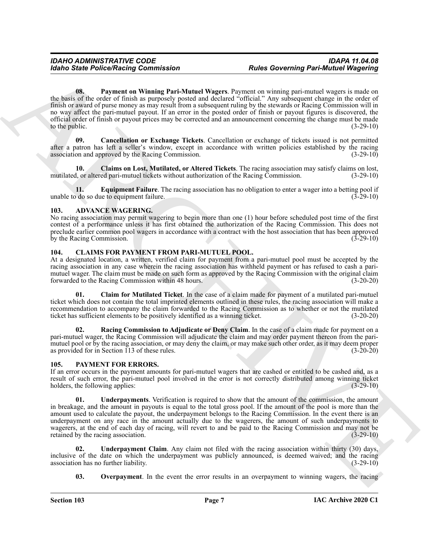For the Police Neutral Commission<br>
The Governing Part-Musical Commission<br>
The Governing Part-Musical Commission<br>
The Commission Commission<br>
The Commission Commission Commission Commission Commission Commission Commission **08. Payment on Winning Pari-Mutuel Wagers**. Payment on winning pari-mutuel wagers is made on the basis of the order of finish as purposely posted and declared "official." Any subsequent change in the order of finish or award of purse money as may result from a subsequent ruling by the stewards or Racing Commission will in no way affect the pari-mutuel payout. If an error in the posted order of finish or payout figures is discovered, the official order of finish or payout prices may be corrected and an announcement concerning the change must be made to the public.  $(3-29-10)$ 

<span id="page-6-10"></span><span id="page-6-7"></span>**09. Cancellation or Exchange Tickets**. Cancellation or exchange of tickets issued is not permitted after a patron has left a seller's window, except in accordance with written policies established by the racing association and approved by the Racing Commission. (3-29-10)

<span id="page-6-8"></span>**10. Claims on Lost, Mutilated, or Altered Tickets**. The racing association may satisfy claims on lost, mutilated, or altered pari-mutuel tickets without authorization of the Racing Commission. (3-29-10)

<span id="page-6-9"></span>**11. Equipment Failure**. The racing association has no obligation to enter a wager into a betting pool if of do so due to equipment failure. unable to do so due to equipment failure.

### <span id="page-6-3"></span><span id="page-6-0"></span>**103. ADVANCE WAGERING.**

No racing association may permit wagering to begin more than one (1) hour before scheduled post time of the first contest of a performance unless it has first obtained the authorization of the Racing Commission. This does not preclude earlier common pool wagers in accordance with a contract with the host association that has been approved<br>by the Racing Commission. (3-29-10) by the Racing Commission.

### <span id="page-6-4"></span><span id="page-6-1"></span>**104. CLAIMS FOR PAYMENT FROM PARI-MUTUEL POOL.**

At a designated location, a written, verified claim for payment from a pari-mutuel pool must be accepted by the racing association in any case wherein the racing association has withheld payment or has refused to cash a parimutuel wager. The claim must be made on such form as approved by the Racing Commission with the original claim forwarded to the Racing Commission within 48 hours. (3-20-20)

<span id="page-6-5"></span>**01. Claim for Mutilated Ticket**. In the case of a claim made for payment of a mutilated pari-mutuel ticket which does not contain the total imprinted elements outlined in these rules, the racing association will make a recommendation to accompany the claim forwarded to the Racing Commission as to whether or not the mutilated ticket has sufficient elements to be positively identified as a winning ticket. (3-20-20)

<span id="page-6-6"></span>**02. Racing Commission to Adjudicate or Deny Claim**. In the case of a claim made for payment on a pari-mutuel wager, the Racing Commission will adjudicate the claim and may order payment thereon from the parimutuel pool or by the racing association, or may deny the claim, or may make such other order, as it may deem proper as provided for in Section 113 of these rules. (3-20-20)

### <span id="page-6-11"></span><span id="page-6-2"></span>**105. PAYMENT FOR ERRORS.**

If an error occurs in the payment amounts for pari-mutuel wagers that are cashed or entitled to be cashed and, as a result of such error, the pari-mutuel pool involved in the error is not correctly distributed among winning ticket holders, the following applies: (3-29-10) holders, the following applies:

<span id="page-6-14"></span>**01. Underpayments**. Verification is required to show that the amount of the commission, the amount in breakage, and the amount in payouts is equal to the total gross pool. If the amount of the pool is more than the amount used to calculate the payout, the underpayment belongs to the Racing Commission. In the event there is an underpayment on any race in the amount actually due to the wagerers, the amount of such underpayments to wagerers, at the end of each day of racing, will revert to and be paid to the Racing Commission and may not be retained by the racing association. (3-29-10)

**02. Underpayment Claim**. Any claim not filed with the racing association within thirty (30) days, inclusive of the date on which the underpayment was publicly announced, is deemed waived; and the racing association has no further liability. (3-29-10) association has no further liability.

<span id="page-6-13"></span><span id="page-6-12"></span>**03.** Overpayment. In the event the error results in an overpayment to winning wagers, the racing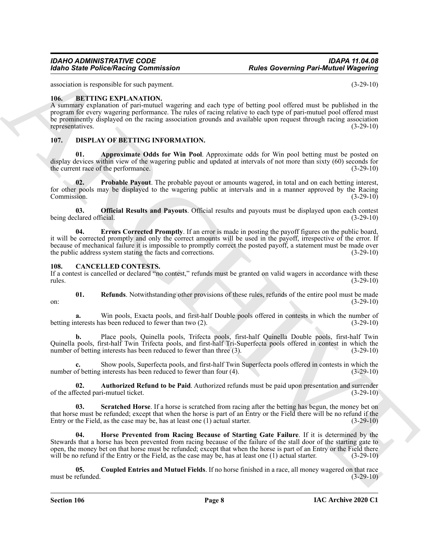association is responsible for such payment. (3-29-10)

### <span id="page-7-3"></span><span id="page-7-0"></span>**106. BETTING EXPLANATION.**

A summary explanation of pari-mutuel wagering and each type of betting pool offered must be published in the program for every wagering performance. The rules of racing relative to each type of pari-mutuel pool offered must be prominently displayed on the racing association grounds and available upon request through racing association representatives. (3-29-10) representatives.

### <span id="page-7-11"></span><span id="page-7-10"></span><span id="page-7-1"></span>**107. DISPLAY OF BETTING INFORMATION.**

**01. Approximate Odds for Win Pool**. Approximate odds for Win pool betting must be posted on display devices within view of the wagering public and updated at intervals of not more than sixty (60) seconds for<br>(3-29-10) (3-29-10) the current race of the performance.

<span id="page-7-14"></span>**02. Probable Payout**. The probable payout or amounts wagered, in total and on each betting interest, for other pools may be displayed to the wagering public at intervals and in a manner approved by the Racing Commission. (3-29-10) Commission. (3-29-10)

<span id="page-7-13"></span><span id="page-7-12"></span>**03. Official Results and Payouts**. Official results and payouts must be displayed upon each contest being declared official. (3-29-10)

For the Police Neutral Commutation<br>
State Governing Part-Minited (Magnitip)<br>
state Police Neutral Commutation<br>
(i.e., Bit TIVIS EXPLA NATION Commutations).<br>
The matrix of the profession of the state of the state of the st **04. Errors Corrected Promptly**. If an error is made in posting the payoff figures on the public board, it will be corrected promptly and only the correct amounts will be used in the payoff, irrespective of the error. If because of mechanical failure it is impossible to promptly correct the posted payoff, a statement must be made over the public address system stating the facts and corrections. (3-29-10) the public address system stating the facts and corrections.

#### <span id="page-7-4"></span><span id="page-7-2"></span>**108. CANCELLED CONTESTS.**

If a contest is cancelled or declared "no contest," refunds must be granted on valid wagers in accordance with these rules. (3-29-10)  $r = (3-29-10)$ 

<span id="page-7-8"></span>**01. Refunds**. Notwithstanding other provisions of these rules, refunds of the entire pool must be made on:  $(3-29-10)$ 

Win pools, Exacta pools, and first-half Double pools offered in contests in which the number of as been reduced to fewer than two (2).  $(3-29-10)$ betting interests has been reduced to fewer than two  $(2)$ .

**b.** Place pools, Quinella pools, Trifecta pools, first-half Quinella Double pools, first-half Twin Quinella pools, first-half Twin Trifecta pools, and first-half Tri-Superfecta pools offered in contest in which the number of betting interests has been reduced to fewer than three (3). (3-29-10)

**c.** Show pools, Superfecta pools, and first-half Twin Superfecta pools offered in contests in which the number of betting interests has been reduced to fewer than four (4). (3-29-10)

<span id="page-7-5"></span>**02. Authorized Refund to be Paid**. Authorized refunds must be paid upon presentation and surrender of the affected pari-mutuel ticket. (3-29-10)

<span id="page-7-9"></span>**Scratched Horse**. If a horse is scratched from racing after the betting has begun, the money bet on that horse must be refunded; except that when the horse is part of an Entry or the Field there will be no refund if the Entry or the Field, as the case may be, has at least one (1) actual starter. (3-29-10) Entry or the Field, as the case may be, has at least one  $(1)$  actual starter.

<span id="page-7-7"></span>**04. Horse Prevented from Racing Because of Starting Gate Failure**. If it is determined by the Stewards that a horse has been prevented from racing because of the failure of the stall door of the starting gate to open, the money bet on that horse must be refunded; except that when the horse is part of an Entry or the Field there will be no refund if the Entry or the Field, as the case may be, has at least one (1) actual starter. (3-29-10)

<span id="page-7-6"></span>**05. Coupled Entries and Mutuel Fields**. If no horse finished in a race, all money wagered on that race must be refunded. (3-29-10)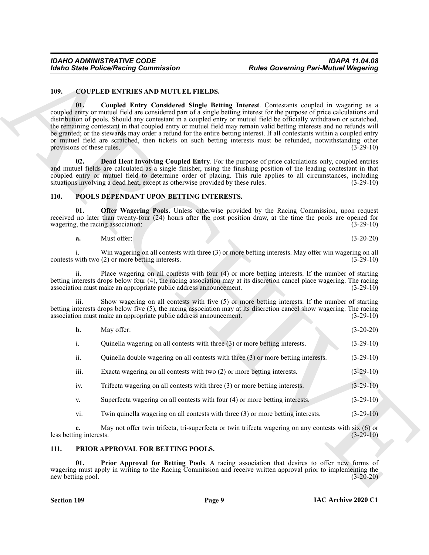### <span id="page-8-4"></span><span id="page-8-3"></span><span id="page-8-0"></span>**109. COUPLED ENTRIES AND MUTUEL FIELDS.**

Form State Police Neutral Commutation<br>
1990. Complete Earth Committee R. The Electron Commutation<br>
1990. In Complete Earth Committee R. P. The Electron Commutation Commutation (1992)<br>
2003. In the Commutation Commutation **01. Coupled Entry Considered Single Betting Interest**. Contestants coupled in wagering as a coupled entry or mutuel field are considered part of a single betting interest for the purpose of price calculations and distribution of pools. Should any contestant in a coupled entry or mutuel field be officially withdrawn or scratched, the remaining contestant in that coupled entry or mutuel field may remain valid betting interests and no refunds will be granted; or the stewards may order a refund for the entire betting interest. If all contestants within a coupled entry or mutuel field are scratched, then tickets on such betting interests must be refunded, notwithstanding other provisions of these rules.  $(3-29-10)$ 

<span id="page-8-5"></span>**02. Dead Heat Involving Coupled Entry**. For the purpose of price calculations only, coupled entries and mutuel fields are calculated as a single finisher, using the finishing position of the leading contestant in that coupled entry or mutuel field to determine order of placing. This rule applies to all circumstances, including situations involving a dead heat, except as otherwise provided by these rules. (3-29-10)

### <span id="page-8-6"></span><span id="page-8-1"></span>**110. POOLS DEPENDANT UPON BETTING INTERESTS.**

**01. Offer Wagering Pools**. Unless otherwise provided by the Racing Commission, upon request received no later than twenty-four (24) hours after the post position draw, at the time the pools are opened for wagering, the racing association: (3-29-10)

<span id="page-8-7"></span>

| a. | $\sim$<br>Must offer: |  |  | $(3-20-20)$ |
|----|-----------------------|--|--|-------------|
|----|-----------------------|--|--|-------------|

i. Win wagering on all contests with three (3) or more betting interests. May offer win wagering on all with two  $(2)$  or more betting interests. contests with two  $(2)$  or more betting interests.

ii. Place wagering on all contests with four (4) or more betting interests. If the number of starting betting interests drops below four (4), the racing association may at its discretion cancel place wagering. The racing association must make an appropriate public address announcement. (3-29-10)

iii. Show wagering on all contests with five (5) or more betting interests. If the number of starting betting interests drops below five (5), the racing association may at its discretion cancel show wagering. The racing association must make an appropriate public address announcement. (3-29-10)

| May offer: |  |  | $(3-20-20)$ |
|------------|--|--|-------------|
|            |  |  |             |

i. Quinella wagering on all contests with three (3) or more betting interests. (3-29-10)

ii. Quinella double wagering on all contests with three (3) or more betting interests. (3-29-10)

- iii. Exacta wagering on all contests with two (2) or more betting interests. (3-29-10)
- iv. Trifecta wagering on all contests with three (3) or more betting interests. (3-29-10)
- v. Superfecta wagering on all contests with four (4) or more betting interests. (3-29-10)
- vi. Twin quinella wagering on all contests with three (3) or more betting interests. (3-29-10)

**c.** May not offer twin trifecta, tri-superfecta or twin trifecta wagering on any contests with six (6) or ng interests. (3-29-10) less betting interests.

### <span id="page-8-8"></span><span id="page-8-2"></span>**111. PRIOR APPROVAL FOR BETTING POOLS.**

**01. Prior Approval for Betting Pools**. A racing association that desires to offer new forms of wagering must apply in writing to the Racing Commission and receive written approval prior to implementing the new betting pool. (3-20-20)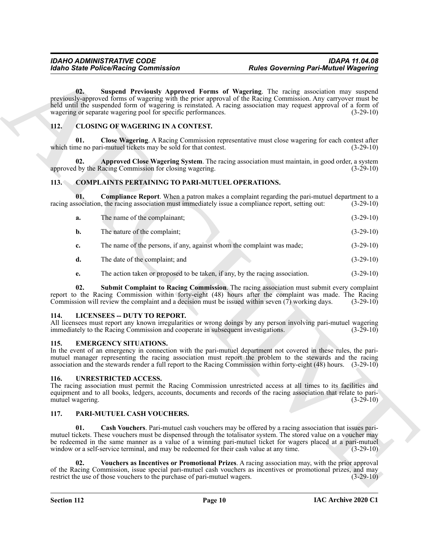### <span id="page-9-17"></span><span id="page-9-8"></span><span id="page-9-6"></span><span id="page-9-0"></span>**112. CLOSING OF WAGERING IN A CONTEST.**

### <span id="page-9-10"></span><span id="page-9-9"></span><span id="page-9-7"></span><span id="page-9-1"></span>**113. COMPLAINTS PERTAINING TO PARI-MUTUEL OPERATIONS.**

| Suspend Previously Approved Forms of Wagering. The racing association may suspend<br>02.<br>previously-approved forms of wagering with the prior approval of the Racing Commission. Any carryover must be<br>held until the suspended form of wagering is reinstated. A racing association may request approval of a form of<br>wagering or separate wagering pool for specific performances.<br>112.<br><b>CLOSING OF WAGERING IN A CONTEST.</b><br>01.<br>Close Wagering. A Racing Commission representative must close wagering for each contest after<br>which time no pari-mutuel tickets may be sold for that contest.<br>Approved Close Wagering System. The racing association must maintain, in good order, a system<br>02.<br>approved by the Racing Commission for closing wagering.<br>113.<br><b>COMPLAINTS PERTAINING TO PARI-MUTUEL OPERATIONS.</b><br><b>Compliance Report.</b> When a patron makes a complaint regarding the pari-mutuel department to a<br>01.<br>racing association, the racing association must immediately issue a compliance report, setting out:<br>The name of the complainant;<br>a.<br>The nature of the complaint;<br>b.<br>The name of the persons, if any, against whom the complaint was made;<br>c.<br>The date of the complaint; and<br>d.<br>The action taken or proposed to be taken, if any, by the racing association.<br>e.<br>02.<br>Submit Complaint to Racing Commission. The racing association must submit every complaint<br>report to the Racing Commission within forty-eight (48) hours after the complaint was made. The Racing<br>Commission will review the complaint and a decision must be issued within seven $(7)$ working days.<br><b>LICENSEES - DUTY TO REPORT.</b><br>114.<br>All licensees must report any known irregularities or wrong doings by any person involving pari-mutuel wagering<br>immediately to the Racing Commission and cooperate in subsequent investigations.<br><b>EMERGENCY SITUATIONS.</b><br>115.<br>In the event of an emergency in connection with the pari-mutuel department not covered in these rules, the pari-<br>mutuel manager representing the racing association must report the problem to the stewards and the racing<br>association and the stewards render a full report to the Racing Commission within forty-eight $(48)$ hours. $(3-29-10)$<br><b>UNRESTRICTED ACCESS.</b><br>116.<br>The racing association must permit the Racing Commission unrestricted access at all times to its facilities and<br>equipment and to all books, ledgers, accounts, documents and records of the racing association that relate to pari-<br>mutuel wagering.<br>117.<br>PARI-MUTUEL CASH VOUCHERS.<br>01.<br><b>Cash Vouchers</b> . Pari-mutuel cash vouchers may be offered by a racing association that issues pari-<br>mutuel tickets. These vouchers must be dispensed through the totalisator system. The stored value on a voucher may<br>be redeemed in the same manner as a value of a winning pari-mutuel ticket for wagers placed at a pari-mutuel<br>window or a self-service terminal, and may be redeemed for their cash value at any time. | <b>Rules Governing Pari-Mutuel Wagering</b><br><b>Idaho State Police/Racing Commission</b> |             |
|-----------------------------------------------------------------------------------------------------------------------------------------------------------------------------------------------------------------------------------------------------------------------------------------------------------------------------------------------------------------------------------------------------------------------------------------------------------------------------------------------------------------------------------------------------------------------------------------------------------------------------------------------------------------------------------------------------------------------------------------------------------------------------------------------------------------------------------------------------------------------------------------------------------------------------------------------------------------------------------------------------------------------------------------------------------------------------------------------------------------------------------------------------------------------------------------------------------------------------------------------------------------------------------------------------------------------------------------------------------------------------------------------------------------------------------------------------------------------------------------------------------------------------------------------------------------------------------------------------------------------------------------------------------------------------------------------------------------------------------------------------------------------------------------------------------------------------------------------------------------------------------------------------------------------------------------------------------------------------------------------------------------------------------------------------------------------------------------------------------------------------------------------------------------------------------------------------------------------------------------------------------------------------------------------------------------------------------------------------------------------------------------------------------------------------------------------------------------------------------------------------------------------------------------------------------------------------------------------------------------------------------------------------------------------------------------------------------------------------------------------------------------------------------------------------------------------------------------------------------------------------------------------------------------------------------------------------------------------------------------------------------------------------------------------------------------------------------------------------------------------------------------------------------------|--------------------------------------------------------------------------------------------|-------------|
|                                                                                                                                                                                                                                                                                                                                                                                                                                                                                                                                                                                                                                                                                                                                                                                                                                                                                                                                                                                                                                                                                                                                                                                                                                                                                                                                                                                                                                                                                                                                                                                                                                                                                                                                                                                                                                                                                                                                                                                                                                                                                                                                                                                                                                                                                                                                                                                                                                                                                                                                                                                                                                                                                                                                                                                                                                                                                                                                                                                                                                                                                                                                                                 |                                                                                            | $(3-29-10)$ |
|                                                                                                                                                                                                                                                                                                                                                                                                                                                                                                                                                                                                                                                                                                                                                                                                                                                                                                                                                                                                                                                                                                                                                                                                                                                                                                                                                                                                                                                                                                                                                                                                                                                                                                                                                                                                                                                                                                                                                                                                                                                                                                                                                                                                                                                                                                                                                                                                                                                                                                                                                                                                                                                                                                                                                                                                                                                                                                                                                                                                                                                                                                                                                                 |                                                                                            |             |
|                                                                                                                                                                                                                                                                                                                                                                                                                                                                                                                                                                                                                                                                                                                                                                                                                                                                                                                                                                                                                                                                                                                                                                                                                                                                                                                                                                                                                                                                                                                                                                                                                                                                                                                                                                                                                                                                                                                                                                                                                                                                                                                                                                                                                                                                                                                                                                                                                                                                                                                                                                                                                                                                                                                                                                                                                                                                                                                                                                                                                                                                                                                                                                 |                                                                                            | $(3-29-10)$ |
|                                                                                                                                                                                                                                                                                                                                                                                                                                                                                                                                                                                                                                                                                                                                                                                                                                                                                                                                                                                                                                                                                                                                                                                                                                                                                                                                                                                                                                                                                                                                                                                                                                                                                                                                                                                                                                                                                                                                                                                                                                                                                                                                                                                                                                                                                                                                                                                                                                                                                                                                                                                                                                                                                                                                                                                                                                                                                                                                                                                                                                                                                                                                                                 |                                                                                            | $(3-29-10)$ |
|                                                                                                                                                                                                                                                                                                                                                                                                                                                                                                                                                                                                                                                                                                                                                                                                                                                                                                                                                                                                                                                                                                                                                                                                                                                                                                                                                                                                                                                                                                                                                                                                                                                                                                                                                                                                                                                                                                                                                                                                                                                                                                                                                                                                                                                                                                                                                                                                                                                                                                                                                                                                                                                                                                                                                                                                                                                                                                                                                                                                                                                                                                                                                                 |                                                                                            |             |
|                                                                                                                                                                                                                                                                                                                                                                                                                                                                                                                                                                                                                                                                                                                                                                                                                                                                                                                                                                                                                                                                                                                                                                                                                                                                                                                                                                                                                                                                                                                                                                                                                                                                                                                                                                                                                                                                                                                                                                                                                                                                                                                                                                                                                                                                                                                                                                                                                                                                                                                                                                                                                                                                                                                                                                                                                                                                                                                                                                                                                                                                                                                                                                 |                                                                                            | $(3-29-10)$ |
|                                                                                                                                                                                                                                                                                                                                                                                                                                                                                                                                                                                                                                                                                                                                                                                                                                                                                                                                                                                                                                                                                                                                                                                                                                                                                                                                                                                                                                                                                                                                                                                                                                                                                                                                                                                                                                                                                                                                                                                                                                                                                                                                                                                                                                                                                                                                                                                                                                                                                                                                                                                                                                                                                                                                                                                                                                                                                                                                                                                                                                                                                                                                                                 |                                                                                            | $(3-29-10)$ |
|                                                                                                                                                                                                                                                                                                                                                                                                                                                                                                                                                                                                                                                                                                                                                                                                                                                                                                                                                                                                                                                                                                                                                                                                                                                                                                                                                                                                                                                                                                                                                                                                                                                                                                                                                                                                                                                                                                                                                                                                                                                                                                                                                                                                                                                                                                                                                                                                                                                                                                                                                                                                                                                                                                                                                                                                                                                                                                                                                                                                                                                                                                                                                                 |                                                                                            | $(3-29-10)$ |
|                                                                                                                                                                                                                                                                                                                                                                                                                                                                                                                                                                                                                                                                                                                                                                                                                                                                                                                                                                                                                                                                                                                                                                                                                                                                                                                                                                                                                                                                                                                                                                                                                                                                                                                                                                                                                                                                                                                                                                                                                                                                                                                                                                                                                                                                                                                                                                                                                                                                                                                                                                                                                                                                                                                                                                                                                                                                                                                                                                                                                                                                                                                                                                 |                                                                                            | $(3-29-10)$ |
|                                                                                                                                                                                                                                                                                                                                                                                                                                                                                                                                                                                                                                                                                                                                                                                                                                                                                                                                                                                                                                                                                                                                                                                                                                                                                                                                                                                                                                                                                                                                                                                                                                                                                                                                                                                                                                                                                                                                                                                                                                                                                                                                                                                                                                                                                                                                                                                                                                                                                                                                                                                                                                                                                                                                                                                                                                                                                                                                                                                                                                                                                                                                                                 |                                                                                            | $(3-29-10)$ |
|                                                                                                                                                                                                                                                                                                                                                                                                                                                                                                                                                                                                                                                                                                                                                                                                                                                                                                                                                                                                                                                                                                                                                                                                                                                                                                                                                                                                                                                                                                                                                                                                                                                                                                                                                                                                                                                                                                                                                                                                                                                                                                                                                                                                                                                                                                                                                                                                                                                                                                                                                                                                                                                                                                                                                                                                                                                                                                                                                                                                                                                                                                                                                                 |                                                                                            | $(3-29-10)$ |
|                                                                                                                                                                                                                                                                                                                                                                                                                                                                                                                                                                                                                                                                                                                                                                                                                                                                                                                                                                                                                                                                                                                                                                                                                                                                                                                                                                                                                                                                                                                                                                                                                                                                                                                                                                                                                                                                                                                                                                                                                                                                                                                                                                                                                                                                                                                                                                                                                                                                                                                                                                                                                                                                                                                                                                                                                                                                                                                                                                                                                                                                                                                                                                 |                                                                                            | $(3-29-10)$ |
|                                                                                                                                                                                                                                                                                                                                                                                                                                                                                                                                                                                                                                                                                                                                                                                                                                                                                                                                                                                                                                                                                                                                                                                                                                                                                                                                                                                                                                                                                                                                                                                                                                                                                                                                                                                                                                                                                                                                                                                                                                                                                                                                                                                                                                                                                                                                                                                                                                                                                                                                                                                                                                                                                                                                                                                                                                                                                                                                                                                                                                                                                                                                                                 |                                                                                            | $(3-29-10)$ |
|                                                                                                                                                                                                                                                                                                                                                                                                                                                                                                                                                                                                                                                                                                                                                                                                                                                                                                                                                                                                                                                                                                                                                                                                                                                                                                                                                                                                                                                                                                                                                                                                                                                                                                                                                                                                                                                                                                                                                                                                                                                                                                                                                                                                                                                                                                                                                                                                                                                                                                                                                                                                                                                                                                                                                                                                                                                                                                                                                                                                                                                                                                                                                                 |                                                                                            |             |
|                                                                                                                                                                                                                                                                                                                                                                                                                                                                                                                                                                                                                                                                                                                                                                                                                                                                                                                                                                                                                                                                                                                                                                                                                                                                                                                                                                                                                                                                                                                                                                                                                                                                                                                                                                                                                                                                                                                                                                                                                                                                                                                                                                                                                                                                                                                                                                                                                                                                                                                                                                                                                                                                                                                                                                                                                                                                                                                                                                                                                                                                                                                                                                 |                                                                                            | $(3-29-10)$ |
|                                                                                                                                                                                                                                                                                                                                                                                                                                                                                                                                                                                                                                                                                                                                                                                                                                                                                                                                                                                                                                                                                                                                                                                                                                                                                                                                                                                                                                                                                                                                                                                                                                                                                                                                                                                                                                                                                                                                                                                                                                                                                                                                                                                                                                                                                                                                                                                                                                                                                                                                                                                                                                                                                                                                                                                                                                                                                                                                                                                                                                                                                                                                                                 |                                                                                            |             |
|                                                                                                                                                                                                                                                                                                                                                                                                                                                                                                                                                                                                                                                                                                                                                                                                                                                                                                                                                                                                                                                                                                                                                                                                                                                                                                                                                                                                                                                                                                                                                                                                                                                                                                                                                                                                                                                                                                                                                                                                                                                                                                                                                                                                                                                                                                                                                                                                                                                                                                                                                                                                                                                                                                                                                                                                                                                                                                                                                                                                                                                                                                                                                                 |                                                                                            | $(3-29-10)$ |
| 02.<br>Vouchers as Incentives or Promotional Prizes. A racing association may, with the prior approval<br>of the Racing Commission, issue special pari-mutuel cash vouchers as incentives or promotional prizes, and may<br>restrict the use of those vouchers to the purchase of pari-mutuel wagers.                                                                                                                                                                                                                                                                                                                                                                                                                                                                                                                                                                                                                                                                                                                                                                                                                                                                                                                                                                                                                                                                                                                                                                                                                                                                                                                                                                                                                                                                                                                                                                                                                                                                                                                                                                                                                                                                                                                                                                                                                                                                                                                                                                                                                                                                                                                                                                                                                                                                                                                                                                                                                                                                                                                                                                                                                                                           |                                                                                            | $(3-29-10)$ |

- **d.** The date of the complaint; and (3-29-10)
- <span id="page-9-11"></span>**e.** The action taken or proposed to be taken, if any, by the racing association. (3-29-10)

### <span id="page-9-13"></span><span id="page-9-2"></span>**114. LICENSEES -- DUTY TO REPORT.**

### <span id="page-9-12"></span><span id="page-9-3"></span>**115. EMERGENCY SITUATIONS.**

### <span id="page-9-18"></span><span id="page-9-4"></span>**116. UNRESTRICTED ACCESS.**

### <span id="page-9-16"></span><span id="page-9-15"></span><span id="page-9-14"></span><span id="page-9-5"></span>**117. PARI-MUTUEL CASH VOUCHERS.**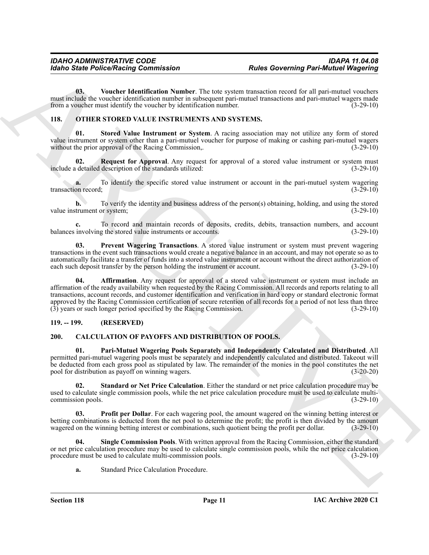<span id="page-10-13"></span>**03. Voucher Identification Number**. The tote system transaction record for all pari-mutuel vouchers must include the voucher identification number in subsequent pari-mutuel transactions and pari-mutuel wagers made from a voucher must identify the voucher by identification number. (3-29-10)

### <span id="page-10-8"></span><span id="page-10-0"></span>**118. OTHER STORED VALUE INSTRUMENTS AND SYSTEMS.**

<span id="page-10-12"></span>**01. Stored Value Instrument or System**. A racing association may not utilize any form of stored value instrument or system other than a pari-mutuel voucher for purpose of making or cashing pari-mutuel wagers without the prior approval of the Racing Commission,. (3-29-10)

<span id="page-10-11"></span>**02.** Request for Approval. Any request for approval of a stored value instrument or system must detailed description of the standards utilized: (3-29-10) include a detailed description of the standards utilized:

**a.** To identify the specific stored value instrument or account in the pari-mutuel system wagering on record; (3-29-10) transaction record;

**b.** To verify the identity and business address of the person(s) obtaining, holding, and using the stored value instrument or system; (3-29-10)

To record and maintain records of deposits, credits, debits, transaction numbers, and account g the stored value instruments or accounts. (3-29-10) balances involving the stored value instruments or accounts.

<span id="page-10-10"></span><span id="page-10-9"></span>**03. Prevent Wagering Transactions**. A stored value instrument or system must prevent wagering transactions in the event such transactions would create a negative balance in an account, and may not operate so as to automatically facilitate a transfer of funds into a stored value instrument or account without the direct authorization of each such deposit transfer by the person holding the instrument or account. (3-29-10)

For the Police Neutral Governing Darwin Stone<br>
The Governing Part-Municipal Wagening<br>
(a) Western Municipal Wagening<br>
The Constraint Company of the state of the state of the state of the state of the state of the state of Affirmation. Any request for approval of a stored value instrument or system must include an affirmation of the ready availability when requested by the Racing Commission. All records and reports relating to all transactions, account records, and customer identification and verification in hard copy or standard electronic format approved by the Racing Commission certification of secure retention of all records for a period of not less than three (3) years or such longer period specified by the Racing Commission. (3-29-10)

### <span id="page-10-1"></span>**119. -- 199. (RESERVED)**

### <span id="page-10-3"></span><span id="page-10-2"></span>**200. CALCULATION OF PAYOFFS AND DISTRIBUTION OF POOLS.**

<span id="page-10-4"></span>**01. Pari-Mutuel Wagering Pools Separately and Independently Calculated and Distributed**. All permitted pari-mutuel wagering pools must be separately and independently calculated and distributed. Takeout will be deducted from each gross pool as stipulated by law. The remainder of the monies in the pool constitutes the net pool for distribution as payoff on winning wagers. (3-20-20)

<span id="page-10-7"></span>**02. Standard or Net Price Calculation**. Either the standard or net price calculation procedure may be used to calculate single commission pools, while the net price calculation procedure must be used to calculate multi-<br>
(3-29-10) commission pools.

<span id="page-10-5"></span>**Profit per Dollar**. For each wagering pool, the amount wagered on the winning betting interest or betting combinations is deducted from the net pool to determine the profit; the profit is then divided by the amount wagered on the winning betting interest or combinations, such quotient being the profit per dollar. (3-29 wagered on the winning betting interest or combinations, such quotient being the profit per dollar.

**Single Commission Pools.** With written approval from the Racing Commission, either the standard or net price calculation procedure may be used to calculate single commission pools, while the net price calculation procedure must be used to calculate multi-commission pools. (3-29-10)

<span id="page-10-6"></span>**a.** Standard Price Calculation Procedure.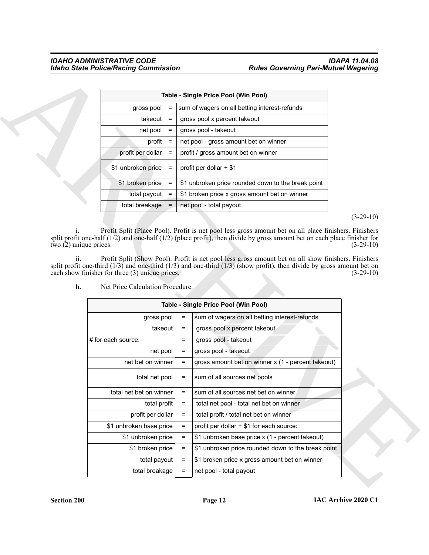|                    |                   | Table - Single Price Pool (Win Pool)               |
|--------------------|-------------------|----------------------------------------------------|
| gross pool         | $\qquad \qquad =$ | sum of wagers on all betting interest-refunds      |
| takeout            | $\equiv$          | gross pool x percent takeout                       |
| net pool           | $=$               | gross pool - takeout                               |
| profit             | $=$               | net pool - gross amount bet on winner              |
| profit per dollar  | $=$               | profit / gross amount bet on winner                |
| \$1 unbroken price | $=$               | profit per dollar $+$ \$1                          |
| \$1 broken price   | $\equiv$          | \$1 unbroken price rounded down to the break point |
| total payout       | $\equiv$          | \$1 broken price x gross amount bet on winner      |
| total breakage     |                   | net pool - total payout                            |

|                                                                            |          |                         | Table - Single Price Pool (Win Pool)                                                                                                                                                                                                |                            |
|----------------------------------------------------------------------------|----------|-------------------------|-------------------------------------------------------------------------------------------------------------------------------------------------------------------------------------------------------------------------------------|----------------------------|
| gross pool                                                                 | $=$      |                         | sum of wagers on all betting interest-refunds                                                                                                                                                                                       |                            |
| $takeout =$                                                                |          |                         | gross pool x percent takeout                                                                                                                                                                                                        |                            |
| net pool                                                                   | $=$      | gross pool - takeout    |                                                                                                                                                                                                                                     |                            |
| profit                                                                     | $=$      |                         | net pool - gross amount bet on winner                                                                                                                                                                                               |                            |
| profit per dollar                                                          | $=$      |                         | profit / gross amount bet on winner                                                                                                                                                                                                 |                            |
| \$1 unbroken price                                                         | $=$      | profit per dollar + \$1 |                                                                                                                                                                                                                                     |                            |
| \$1 broken price                                                           | $=$      |                         | \$1 unbroken price rounded down to the break point                                                                                                                                                                                  |                            |
| total payout $=$                                                           |          |                         | \$1 broken price x gross amount bet on winner                                                                                                                                                                                       |                            |
| total breakage                                                             | $=$      |                         | net pool - total payout                                                                                                                                                                                                             |                            |
|                                                                            |          |                         |                                                                                                                                                                                                                                     | $(3-29-10)$                |
| ii.                                                                        |          |                         | Profit Split (Show Pool). Profit is net pool less gross amount bet on all show finishers. Finishers<br>split profit one-third $(1/3)$ and one-third $(1/3)$ and one-third $(1/3)$ (show profit), then divide by gross amount bet on |                            |
| Net Price Calculation Procedure.<br>b.                                     |          |                         |                                                                                                                                                                                                                                     |                            |
|                                                                            |          |                         | Table - Single Price Pool (Win Pool)                                                                                                                                                                                                |                            |
| gross pool                                                                 |          | =                       | sum of wagers on all betting interest-refunds                                                                                                                                                                                       |                            |
|                                                                            | takeout  | $=$                     | gross pool x percent takeout                                                                                                                                                                                                        |                            |
| # for each source:                                                         |          | $=$                     | gross pool - takeout                                                                                                                                                                                                                |                            |
|                                                                            | net pool | $=$                     | gross pool - takeout                                                                                                                                                                                                                | $(3-29-10)$<br>$(3-29-10)$ |
| net bet on winner                                                          |          | $=$                     | gross amount bet on winner x (1 - percent takeout)                                                                                                                                                                                  |                            |
| total net pool                                                             |          |                         | sum of all sources net pools                                                                                                                                                                                                        |                            |
| total net bet on winner                                                    |          | $=$                     | sum of all sources net bet on winner                                                                                                                                                                                                |                            |
| total profit                                                               |          | $\equiv$                | total net pool - total net bet on winner                                                                                                                                                                                            |                            |
| profit per dollar                                                          |          | $=$                     | total profit / total net bet on winner                                                                                                                                                                                              |                            |
| each show finisher for three (3) unique prices.<br>\$1 unbroken base price |          | $\equiv$                | profit per dollar + \$1 for each source:                                                                                                                                                                                            |                            |
| \$1 unbroken price                                                         |          | $\equiv$                | \$1 unbroken base price x (1 - percent takeout)                                                                                                                                                                                     |                            |
| \$1 broken price                                                           |          | $\equiv$                | \$1 unbroken price rounded down to the break point                                                                                                                                                                                  |                            |
| total payout                                                               |          | $\equiv$                | \$1 broken price x gross amount bet on winner                                                                                                                                                                                       |                            |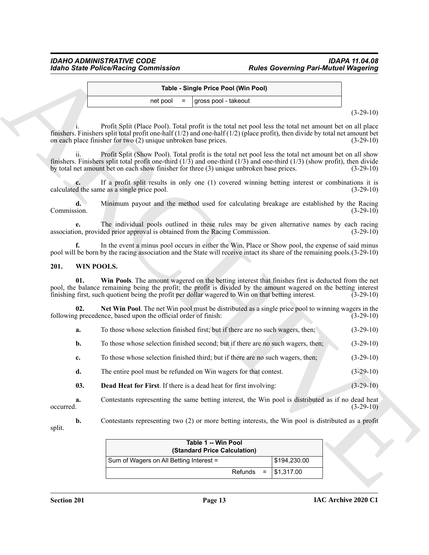### <span id="page-12-3"></span><span id="page-12-0"></span>**201. WIN POOLS.**

<span id="page-12-2"></span>

| а. | To those whose selection finished first; but if there are no such wagers, then; |  | $(3-29-10)$ |
|----|---------------------------------------------------------------------------------|--|-------------|
|    |                                                                                 |  |             |

- **c.** To those whose selection finished third; but if there are no such wagers, then; (3-29-10)
- <span id="page-12-1"></span>**d.** The entire pool must be refunded on Win wagers for that contest. (3-29-10)

|                   |                                                                                                                                                                                                                                                                                                                                        | Table - Single Price Pool (Win Pool) |              |             |
|-------------------|----------------------------------------------------------------------------------------------------------------------------------------------------------------------------------------------------------------------------------------------------------------------------------------------------------------------------------------|--------------------------------------|--------------|-------------|
|                   | net pool                                                                                                                                                                                                                                                                                                                               | gross pool - takeout                 |              |             |
|                   |                                                                                                                                                                                                                                                                                                                                        |                                      |              | $(3-29-10)$ |
|                   | Profit Split (Place Pool). Total profit is the total net pool less the total net amount bet on all place<br>finishers. Finishers split total profit one-half $(1/2)$ and one-half $(1/2)$ (place profit), then divide by total net amount bet<br>on each place finisher for two (2) unique unbroken base prices.                       |                                      |              | $(3-29-10)$ |
| ii.               | Profit Split (Show Pool). Total profit is the total net pool less the total net amount bet on all show<br>finishers. Finishers split total profit one-third $(1/3)$ and one-third $(1/3)$ and one-third $(1/3)$ (show profit), then divide<br>by total net amount bet on each show finisher for three (3) unique unbroken base prices. |                                      |              | $(3-29-10)$ |
|                   | If a profit split results in only one (1) covered winning betting interest or combinations it is<br>calculated the same as a single price pool.                                                                                                                                                                                        |                                      |              | $(3-29-10)$ |
| d.<br>Commission. | Minimum payout and the method used for calculating breakage are established by the Racing                                                                                                                                                                                                                                              |                                      |              | $(3-29-10)$ |
| e.                | The individual pools outlined in these rules may be given alternative names by each racing<br>association, provided prior approval is obtained from the Racing Commission.                                                                                                                                                             |                                      |              | $(3-29-10)$ |
| f.                | In the event a minus pool occurs in either the Win, Place or Show pool, the expense of said minus<br>pool will be born by the racing association and the State will receive intact its share of the remaining pools. (3-29-10)                                                                                                         |                                      |              |             |
| 201.              | WIN POOLS.                                                                                                                                                                                                                                                                                                                             |                                      |              |             |
| 01.               | Win Pools. The amount wagered on the betting interest that finishes first is deducted from the net<br>pool, the balance remaining being the profit; the profit is divided by the amount wagered on the betting interest<br>finishing first, such quotient being the profit per dollar wagered to Win on that betting interest.         |                                      |              | $(3-29-10)$ |
| 02.               | Net Win Pool. The net Win pool must be distributed as a single price pool to winning wagers in the<br>following precedence, based upon the official order of finish:                                                                                                                                                                   |                                      |              | $(3-29-10)$ |
| a.                | To those whose selection finished first; but if there are no such wagers, then;                                                                                                                                                                                                                                                        |                                      |              | $(3-29-10)$ |
| b.                | To those whose selection finished second; but if there are no such wagers, then;                                                                                                                                                                                                                                                       |                                      |              | $(3-29-10)$ |
| c.                | To those whose selection finished third; but if there are no such wagers, then;                                                                                                                                                                                                                                                        |                                      |              | $(3-29-10)$ |
| d.                | The entire pool must be refunded on Win wagers for that contest.                                                                                                                                                                                                                                                                       |                                      |              | $(3-29-10)$ |
| 03.               | Dead Heat for First. If there is a dead heat for first involving:                                                                                                                                                                                                                                                                      |                                      |              | $(3-29-10)$ |
| a.<br>occurred.   | Contestants representing the same betting interest, the Win pool is distributed as if no dead heat                                                                                                                                                                                                                                     |                                      |              | $(3-29-10)$ |
| b.<br>split.      | Contestants representing two (2) or more betting interests, the Win pool is distributed as a profit                                                                                                                                                                                                                                    |                                      |              |             |
|                   |                                                                                                                                                                                                                                                                                                                                        | Table 1 -- Win Pool                  |              |             |
|                   | Sum of Wagers on All Betting Interest =                                                                                                                                                                                                                                                                                                | (Standard Price Calculation)         | \$194,230.00 |             |
|                   |                                                                                                                                                                                                                                                                                                                                        |                                      | \$1,317.00   |             |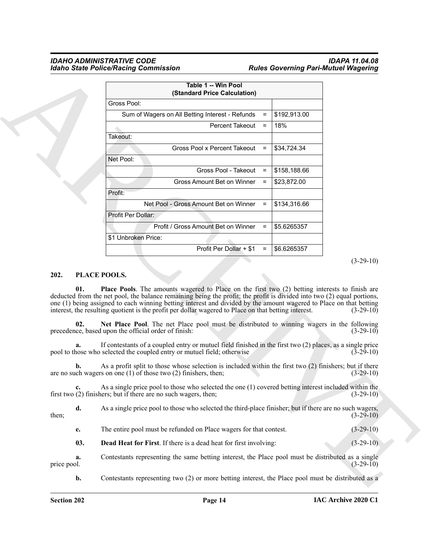### *IDAHO ADMINISTRATIVE CODE IDAPA 11.04.08 Idaho State Police/Racing Commission Rules Governing Pari-Mutuel Wagering*

|                     |                                                                                                                                                                                                                                                                                                                                                      | Table 1 -- Win Pool<br>(Standard Price Calculation) |          |              |                            |
|---------------------|------------------------------------------------------------------------------------------------------------------------------------------------------------------------------------------------------------------------------------------------------------------------------------------------------------------------------------------------------|-----------------------------------------------------|----------|--------------|----------------------------|
|                     | Gross Pool:                                                                                                                                                                                                                                                                                                                                          |                                                     |          |              |                            |
|                     | Sum of Wagers on All Betting Interest - Refunds                                                                                                                                                                                                                                                                                                      |                                                     | $\equiv$ | \$192,913.00 |                            |
|                     |                                                                                                                                                                                                                                                                                                                                                      | Percent Takeout                                     | $=$      | 18%          |                            |
|                     | Takeout:                                                                                                                                                                                                                                                                                                                                             |                                                     |          |              |                            |
|                     |                                                                                                                                                                                                                                                                                                                                                      | Gross Pool x Percent Takeout                        | $=$      | \$34,724.34  |                            |
|                     | Net Pool:                                                                                                                                                                                                                                                                                                                                            |                                                     |          |              |                            |
|                     |                                                                                                                                                                                                                                                                                                                                                      | Gross Pool - Takeout                                | $\equiv$ | \$158,188.66 |                            |
|                     |                                                                                                                                                                                                                                                                                                                                                      | Gross Amount Bet on Winner                          | $\equiv$ | \$23,872.00  |                            |
|                     | Profit:                                                                                                                                                                                                                                                                                                                                              |                                                     |          |              |                            |
|                     | Net Pool - Gross Amount Bet on Winner                                                                                                                                                                                                                                                                                                                |                                                     | $\equiv$ | \$134,316.66 |                            |
|                     | Profit Per Dollar:                                                                                                                                                                                                                                                                                                                                   |                                                     |          |              |                            |
|                     | Profit / Gross Amount Bet on Winner                                                                                                                                                                                                                                                                                                                  |                                                     | $\equiv$ | \$5.6265357  |                            |
|                     | \$1 Unbroken Price:                                                                                                                                                                                                                                                                                                                                  |                                                     |          |              |                            |
|                     |                                                                                                                                                                                                                                                                                                                                                      | Profit Per Dollar + \$1                             | $=$      | \$6.6265357  |                            |
| 01.                 | PLACE POOLS.<br><b>Place Pools.</b> The amounts wagered to Place on the first two (2) betting interests to finish are                                                                                                                                                                                                                                |                                                     |          |              | $(3-29-10)$                |
|                     | deducted from the net pool, the balance remaining being the profit; the profit is divided into two (2) equal portions,<br>one (1) being assigned to each winning betting interest and divided by the amount wagered to Place on that betting<br>interest, the resulting quotient is the profit per dollar wagered to Place on that betting interest. |                                                     |          |              | $(3-29-10)$                |
| 02.                 | Net Place Pool. The net Place pool must be distributed to winning wagers in the following<br>precedence, based upon the official order of finish:                                                                                                                                                                                                    |                                                     |          |              |                            |
|                     | If contestants of a coupled entry or mutuel field finished in the first two $(2)$ places, as a single price<br>pool to those who selected the coupled entry or mutuel field; otherwise                                                                                                                                                               |                                                     |          |              | $(3-29-10)$<br>$(3-29-10)$ |
| b.                  | As a profit split to those whose selection is included within the first two (2) finishers; but if there<br>are no such wagers on one $(1)$ of those two $(2)$ finishers, then;                                                                                                                                                                       |                                                     |          |              | $(3-29-10)$                |
| c.                  | As a single price pool to those who selected the one (1) covered betting interest included within the<br>first two $(2)$ finishers; but if there are no such wagers, then;                                                                                                                                                                           |                                                     |          |              | $(3-29-10)$                |
| 202.<br>d.<br>then; | As a single price pool to those who selected the third-place finisher; but if there are no such wagers,                                                                                                                                                                                                                                              |                                                     |          |              | $(3-29-10)$                |
| e.                  | The entire pool must be refunded on Place wagers for that contest.                                                                                                                                                                                                                                                                                   |                                                     |          |              | $(3-29-10)$                |
| 03.                 | <b>Dead Heat for First.</b> If there is a dead heat for first involving:                                                                                                                                                                                                                                                                             |                                                     |          |              | $(3-29-10)$                |

### <span id="page-13-4"></span><span id="page-13-3"></span><span id="page-13-2"></span><span id="page-13-1"></span><span id="page-13-0"></span>**202. PLACE POOLS.**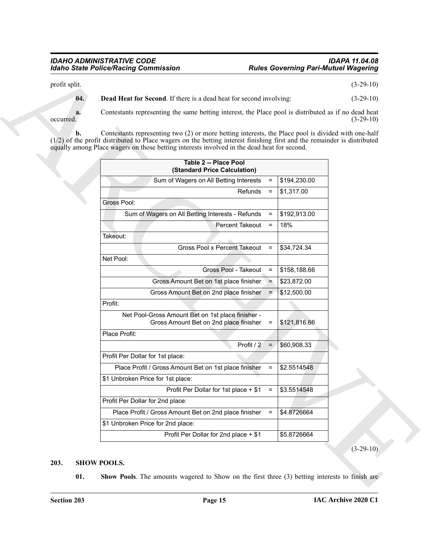# *Idaho State Police/Racing Commission Rules Governing Pari-Mutuel Wagering*

<span id="page-14-1"></span>

| 04.             | <b>Dead Heat for Second.</b> If there is a dead heat for second involving:                                                                                                                                                                                                                                                       |              | $(3-29-10)$ |
|-----------------|----------------------------------------------------------------------------------------------------------------------------------------------------------------------------------------------------------------------------------------------------------------------------------------------------------------------------------|--------------|-------------|
|                 |                                                                                                                                                                                                                                                                                                                                  |              |             |
| a.<br>occurred. | Contestants representing the same betting interest, the Place pool is distributed as if no dead heat                                                                                                                                                                                                                             |              | $(3-29-10)$ |
| b.              | Contestants representing two (2) or more betting interests, the Place pool is divided with one-half<br>$(1/2)$ of the profit distributed to Place wagers on the betting interest finishing first and the remainder is distributed<br>equally among Place wagers on those betting interests involved in the dead heat for second. |              |             |
|                 | <b>Table 2 -- Place Pool</b><br>(Standard Price Calculation)                                                                                                                                                                                                                                                                     |              |             |
|                 | Sum of Wagers on All Betting Interests<br>$\equiv$                                                                                                                                                                                                                                                                               | \$194,230.00 |             |
|                 | Refunds<br>$\equiv$                                                                                                                                                                                                                                                                                                              | \$1,317.00   |             |
|                 | Gross Pool:                                                                                                                                                                                                                                                                                                                      |              |             |
|                 | Sum of Wagers on All Betting Interests - Refunds<br>$\equiv$                                                                                                                                                                                                                                                                     | \$192,913.00 |             |
|                 | Percent Takeout<br>$\equiv$                                                                                                                                                                                                                                                                                                      | 18%          |             |
|                 | Takeout:                                                                                                                                                                                                                                                                                                                         |              |             |
|                 | Gross Pool x Percent Takeout<br>$\equiv$                                                                                                                                                                                                                                                                                         | \$34,724.34  |             |
|                 | Net Pool:                                                                                                                                                                                                                                                                                                                        |              |             |
|                 | Gross Pool - Takeout<br>$=$                                                                                                                                                                                                                                                                                                      | \$158,188.66 |             |
|                 | Gross Amount Bet on 1st place finisher<br>$\Rightarrow$                                                                                                                                                                                                                                                                          | \$23,872.00  |             |
|                 | Gross Amount Bet on 2nd place finisher<br>$\equiv$                                                                                                                                                                                                                                                                               | \$12,500.00  |             |
|                 | Profit:                                                                                                                                                                                                                                                                                                                          |              |             |
|                 | Net Pool-Gross Amount Bet on 1st place finisher -<br>Gross Amount Bet on 2nd place finisher<br>$=$                                                                                                                                                                                                                               | \$121,816.66 |             |
|                 | Place Profit:                                                                                                                                                                                                                                                                                                                    |              |             |
|                 | Profit / 2<br>$\equiv$                                                                                                                                                                                                                                                                                                           | \$60,908.33  |             |
|                 | Profit Per Dollar for 1st place:                                                                                                                                                                                                                                                                                                 |              |             |
|                 | Place Profit / Gross Amount Bet on 1st place finisher<br>$\equiv$                                                                                                                                                                                                                                                                | \$2.5514548  |             |
|                 | \$1 Unbroken Price for 1st place:                                                                                                                                                                                                                                                                                                |              |             |
|                 | Profit Per Dollar for 1st place + \$1<br>$=$                                                                                                                                                                                                                                                                                     | \$3.5514548  |             |
|                 | Profit Per Dollar for 2nd place:                                                                                                                                                                                                                                                                                                 |              |             |
|                 | Place Profit / Gross Amount Bet on 2nd place finisher<br>$\equiv$                                                                                                                                                                                                                                                                | \$4.8726664  |             |
|                 | \$1 Unbroken Price for 2nd place:                                                                                                                                                                                                                                                                                                |              |             |
|                 | Profit Per Dollar for 2nd place + \$1                                                                                                                                                                                                                                                                                            | \$5.8726664  |             |
|                 |                                                                                                                                                                                                                                                                                                                                  |              | $(3-29-10)$ |

### <span id="page-14-3"></span><span id="page-14-2"></span><span id="page-14-0"></span>**203. SHOW POOLS.**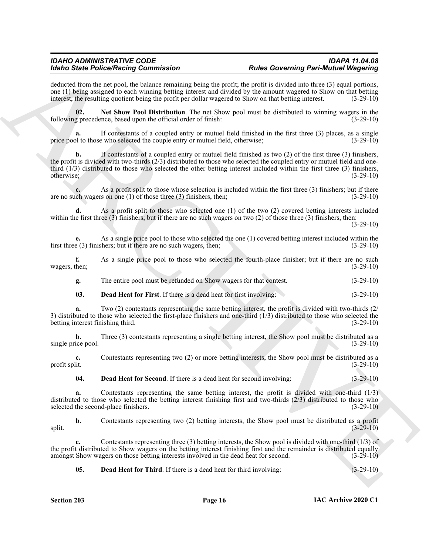deducted from the net pool, the balance remaining being the profit; the profit is divided into three (3) equal portions, one (1) being assigned to each winning betting interest and divided by the amount wagered to Show on that betting interest, the resulting quotient being the profit per dollar wagered to Show on that betting interest. (3-29-10)

<span id="page-15-3"></span>**02. Net Show Pool Distribution**. The net Show pool must be distributed to winning wagers in the following precedence, based upon the official order of finish: (3-29-10)

**a.** If contestants of a coupled entry or mutuel field finished in the first three (3) places, as a single price pool to those who selected the couple entry or mutuel field, otherwise; (3-29-10)

Moto Similar Period Real methods in the state of the state of the state of the state of the state of the state of the state of the state of the state of the state of the state of the state of the state of the state of the **b.** If contestants of a coupled entry or mutuel field finished as two (2) of the first three (3) finishers, the profit is divided with two-thirds  $(2/3)$  distributed to those who selected the coupled entry or mutuel field and onethird (1/3) distributed to those who selected the other betting interest included within the first three (3) finishers, otherwise; (3-29-10)

**c.** As a profit split to those whose selection is included within the first three (3) finishers; but if there ch wagers on one (1) of those three (3) finishers, then; (3-29-10) are no such wagers on one (1) of those three (3) finishers, then;

**d.** As a profit split to those who selected one (1) of the two (2) covered betting interests included within the first three  $(3)$  finishers; but if there are no such wagers on two  $(2)$  of those three  $(3)$  finishers, then:

 $(3-29-10)$ 

**e.** As a single price pool to those who selected the one (1) covered betting interest included within the first three (3) finishers; but if there are no such wagers, then; (3-29-10)

**f.** As a single price pool to those who selected the fourth-place finisher; but if there are no such wagers, then; (3-29-10)

**g.** The entire pool must be refunded on Show wagers for that contest. (3-29-10)

<span id="page-15-0"></span>**03. Dead Heat for First**. If there is a dead heat for first involving: (3-29-10)

**a.** Two (2) contestants representing the same betting interest, the profit is divided with two-thirds (2) 3) distributed to those who selected the first-place finishers and one-third  $(1/3)$  distributed to those who selected the betting interest finishing third.  $(3-29-10)$ betting interest finishing third.

**b.** Three (3) contestants representing a single betting interest, the Show pool must be distributed as a single price pool. (3-29-10)

**c.** Contestants representing two (2) or more betting interests, the Show pool must be distributed as a profit split.  $(3-29-10)$ profit split. (3-29-10)

<span id="page-15-1"></span>**04. Dead Heat for Second**. If there is a dead heat for second involving: (3-29-10)

**a.** Contestants representing the same betting interest, the profit is divided with one-third (1/3) distributed to those who selected the betting interest finishing first and two-thirds (2/3) distributed to those who selected the second-place finishers. (3-29-10)

**b.** Contestants representing two (2) betting interests, the Show pool must be distributed as a profit (3-29-10)  $s$ plit.  $(3-29-10)$ 

**c.** Contestants representing three (3) betting interests, the Show pool is divided with one-third (1/3) of the profit distributed to Show wagers on the betting interest finishing first and the remainder is distributed equally amongst Show wagers on those betting interests involved in the dead heat for second. (3-29-10)

<span id="page-15-2"></span>**05. Dead Heat for Third**. If there is a dead heat for third involving: (3-29-10)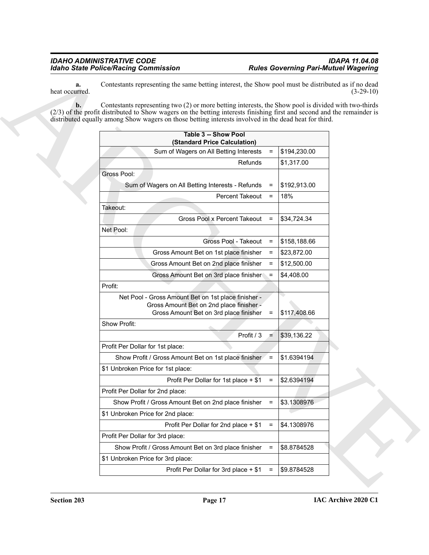| a.<br>heat occurred. | Contestants representing the same betting interest, the Show pool must be distributed as if no dead                                                                                                                                                                                                                                      |                                          |              | $(3-29-10)$ |
|----------------------|------------------------------------------------------------------------------------------------------------------------------------------------------------------------------------------------------------------------------------------------------------------------------------------------------------------------------------------|------------------------------------------|--------------|-------------|
| $\mathbf{b}$ .       | Contestants representing two (2) or more betting interests, the Show pool is divided with two-thirds<br>(2/3) of the profit distributed to Show wagers on the betting interests finishing first and second and the remainder is<br>distributed equally among Show wagers on those betting interests involved in the dead heat for third. |                                          |              |             |
|                      | Table 3 -- Show Pool<br>(Standard Price Calculation)                                                                                                                                                                                                                                                                                     |                                          |              |             |
|                      | Sum of Wagers on All Betting Interests                                                                                                                                                                                                                                                                                                   | $\equiv$                                 | \$194,230.00 |             |
|                      |                                                                                                                                                                                                                                                                                                                                          | Refunds                                  | \$1,317.00   |             |
|                      | Gross Pool:                                                                                                                                                                                                                                                                                                                              |                                          |              |             |
|                      | Sum of Wagers on All Betting Interests - Refunds                                                                                                                                                                                                                                                                                         | $=$                                      | \$192,913.00 |             |
|                      |                                                                                                                                                                                                                                                                                                                                          | Percent Takeout<br>$\equiv$              | 18%          |             |
|                      | Takeout:                                                                                                                                                                                                                                                                                                                                 |                                          |              |             |
|                      |                                                                                                                                                                                                                                                                                                                                          | Gross Pool x Percent Takeout<br>$\equiv$ | \$34,724.34  |             |
|                      | Net Pool:                                                                                                                                                                                                                                                                                                                                |                                          |              |             |
|                      |                                                                                                                                                                                                                                                                                                                                          | Gross Pool - Takeout<br>$\equiv$         | \$158,188.66 |             |
|                      | Gross Amount Bet on 1st place finisher                                                                                                                                                                                                                                                                                                   | $=$                                      | \$23,872.00  |             |
|                      | Gross Amount Bet on 2nd place finisher                                                                                                                                                                                                                                                                                                   | $\equiv$                                 | \$12,500.00  |             |
|                      | Gross Amount Bet on 3rd place finisher                                                                                                                                                                                                                                                                                                   | $=$                                      | \$4,408.00   |             |
|                      | Profit:                                                                                                                                                                                                                                                                                                                                  |                                          |              |             |
|                      | Net Pool - Gross Amount Bet on 1st place finisher -<br>Gross Amount Bet on 2nd place finisher -<br>Gross Amount Bet on 3rd place finisher                                                                                                                                                                                                | $=$                                      | \$117,408.66 |             |
|                      | Show Profit:                                                                                                                                                                                                                                                                                                                             |                                          |              |             |
|                      |                                                                                                                                                                                                                                                                                                                                          | Profit / 3<br>$=$                        | \$39,136.22  |             |
|                      | Profit Per Dollar for 1st place:                                                                                                                                                                                                                                                                                                         |                                          |              |             |
|                      | Show Profit / Gross Amount Bet on 1st place finisher / =                                                                                                                                                                                                                                                                                 |                                          | \$1.6394194  |             |
|                      | \$1 Unbroken Price for 1st place:                                                                                                                                                                                                                                                                                                        |                                          |              |             |
|                      | Profit Per Dollar for 1st place + \$1                                                                                                                                                                                                                                                                                                    | $=$                                      | \$2.6394194  |             |
|                      | Profit Per Dollar for 2nd place:                                                                                                                                                                                                                                                                                                         |                                          |              |             |
|                      | Show Profit / Gross Amount Bet on 2nd place finisher                                                                                                                                                                                                                                                                                     | $\equiv$                                 | \$3.1308976  |             |
|                      | \$1 Unbroken Price for 2nd place:                                                                                                                                                                                                                                                                                                        |                                          |              |             |
|                      | Profit Per Dollar for 2nd place + \$1                                                                                                                                                                                                                                                                                                    | $\equiv$                                 | \$4.1308976  |             |
|                      | Profit Per Dollar for 3rd place:                                                                                                                                                                                                                                                                                                         |                                          |              |             |
|                      | Show Profit / Gross Amount Bet on 3rd place finisher                                                                                                                                                                                                                                                                                     | $\equiv$                                 | \$8.8784528  |             |
|                      | \$1 Unbroken Price for 3rd place:                                                                                                                                                                                                                                                                                                        |                                          |              |             |
|                      | Profit Per Dollar for 3rd place + \$1                                                                                                                                                                                                                                                                                                    | $\equiv$                                 | \$9.8784528  |             |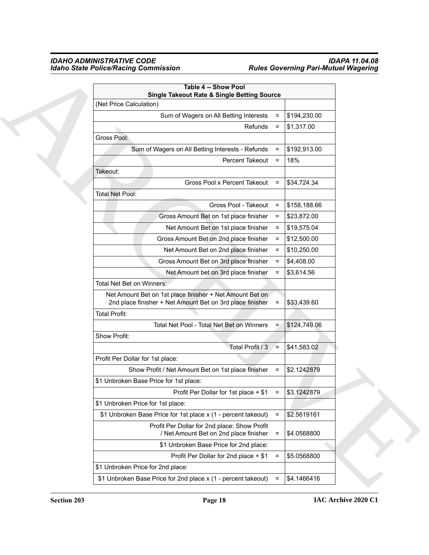| <b>Table 4 -- Show Pool</b><br><b>Single Takeout Rate &amp; Single Betting Source</b>                                 |                     |              |
|-----------------------------------------------------------------------------------------------------------------------|---------------------|--------------|
| (Net Price Calculation)                                                                                               |                     |              |
| Sum of Wagers on All Betting Interests                                                                                | $\equiv$            | \$194,230.00 |
|                                                                                                                       | Refunds<br>$\equiv$ | \$1,317.00   |
| Gross Pool:                                                                                                           |                     |              |
| Sum of Wagers on All Betting Interests - Refunds                                                                      | $\equiv$            | \$192,913.00 |
| Percent Takeout                                                                                                       | $\equiv$            | 18%          |
| Takeout:                                                                                                              |                     |              |
| Gross Pool x Percent Takeout                                                                                          | $\equiv$            | \$34,724.34  |
| Total Net Pool:                                                                                                       |                     |              |
| Gross Pool - Takeout                                                                                                  | $=$                 | \$158,188.66 |
| Gross Amount Bet on 1st place finisher                                                                                | $=$                 | \$23,872.00  |
| Net Amount Bet on 1st place finisher                                                                                  | $\equiv$            | \$19,575.04  |
| Gross Amount Bet on 2nd place finisher                                                                                | $\equiv$            | \$12,500.00  |
| Net Amount Bet on 2nd place finisher                                                                                  | $=$                 | \$10,250.00  |
| Gross Amount Bet on 3rd place finisher                                                                                | $\equiv$            | \$4,408.00   |
| Net Amount bet on 3rd place finisher                                                                                  | $\equiv$            | \$3,614.56   |
| Total Net Bet on Winners:                                                                                             |                     |              |
| Net Amount Bet on 1st place finisher + Net Amount Bet on<br>2nd place finisher + Net Amount Bet on 3rd place finisher | $\equiv$            | \$33,439.60  |
| <b>Total Profit:</b>                                                                                                  |                     |              |
| Total Net Pool - Total Net Bet on Winners                                                                             | $=$                 | \$124,749.06 |
| Show Profit:                                                                                                          |                     |              |
| Total Profit / 3                                                                                                      | $\equiv$            | \$41,583.02  |
| Profit Per Dollar for 1st place:                                                                                      |                     |              |
| Show Profit / Net Amount Bet on 1st place finisher                                                                    | $\equiv$            | \$2.1242879  |
| \$1 Unbroken Base Price for 1st place:                                                                                |                     |              |
| Profit Per Dollar for 1st place + \$1                                                                                 | $\equiv$            | \$3.1242879  |
| \$1 Unbroken Price for 1st place:                                                                                     |                     |              |
| \$1 Unbroken Base Price for 1st place x (1 - percent takeout)                                                         | $\equiv$            | \$2.5619161  |
| Profit Per Dollar for 2nd place: Show Profit<br>/ Net Amount Bet on 2nd place finisher                                | $\equiv$            | \$4.0568800  |
| \$1 Unbroken Base Price for 2nd place:                                                                                |                     |              |
| Profit Per Dollar for 2nd place + \$1                                                                                 | $\equiv$            | \$5.0568800  |
| \$1 Unbroken Price for 2nd place:                                                                                     |                     |              |
| \$1 Unbroken Base Price for 2nd place x (1 - percent takeout)                                                         | $=$                 | \$4.1466416  |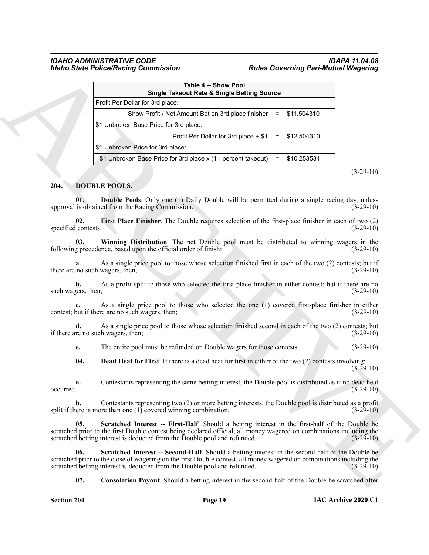### *IDAHO ADMINISTRATIVE CODE IDAPA 11.04.08 Idaho State Police/Racing Commission Rules Governing Pari-Mutuel Wagering*

|                            | <b>Single Takeout Rate &amp; Single Betting Source</b>                                                                                                                                                                                                                                                 |             |             |
|----------------------------|--------------------------------------------------------------------------------------------------------------------------------------------------------------------------------------------------------------------------------------------------------------------------------------------------------|-------------|-------------|
|                            | Profit Per Dollar for 3rd place:                                                                                                                                                                                                                                                                       |             |             |
|                            | Show Profit / Net Amount Bet on 3rd place finisher<br>$\equiv$                                                                                                                                                                                                                                         | \$11.504310 |             |
|                            | \$1 Unbroken Base Price for 3rd place:                                                                                                                                                                                                                                                                 |             |             |
|                            | Profit Per Dollar for 3rd place + \$1<br>$\equiv$                                                                                                                                                                                                                                                      | \$12.504310 |             |
|                            | \$1 Unbroken Price for 3rd place:                                                                                                                                                                                                                                                                      |             |             |
|                            | \$1 Unbroken Base Price for 3rd place x (1 - percent takeout)<br>$=$                                                                                                                                                                                                                                   | \$10.253534 |             |
|                            |                                                                                                                                                                                                                                                                                                        |             | $(3-29-10)$ |
| 204.                       | <b>DOUBLE POOLS.</b>                                                                                                                                                                                                                                                                                   |             |             |
| 01.                        | <b>Double Pools.</b> Only one (1) Daily Double will be permitted during a single racing day, unless<br>approval is obtained from the Racing Commission.                                                                                                                                                |             | $(3-29-10)$ |
| 02.<br>specified contests. | First Place Finisher. The Double requires selection of the first-place finisher in each of two (2)                                                                                                                                                                                                     |             | $(3-29-10)$ |
| 03.                        | Winning Distribution. The net Double pool must be distributed to winning wagers in the<br>following precedence, based upon the official order of finish:                                                                                                                                               |             | $(3-29-10)$ |
| a.                         | As a single price pool to those whose selection finished first in each of the two (2) contests; but if<br>there are no such wagers, then;                                                                                                                                                              |             | $(3-29-10)$ |
| b.<br>such wagers, then;   | As a profit split to those who selected the first-place finisher in either contest; but if there are no                                                                                                                                                                                                |             | $(3-29-10)$ |
|                            | As a single price pool to those who selected the one (1) covered first-place finisher in either<br>contest; but if there are no such wagers, then;                                                                                                                                                     |             | $(3-29-10)$ |
| d.                         | As a single price pool to those whose selection finished second in each of the two (2) contests; but<br>if there are no such wagers, then;                                                                                                                                                             |             | $(3-29-10)$ |
| e.                         | The entire pool must be refunded on Double wagers for those contests.                                                                                                                                                                                                                                  |             | $(3-29-10)$ |
| 04.                        | <b>Dead Heat for First.</b> If there is a dead heat for first in either of the two (2) contests involving:                                                                                                                                                                                             |             | $(3-29-10)$ |
| a.<br>occurred.            | Contestants representing the same betting interest, the Double pool is distributed as if no dead heat                                                                                                                                                                                                  |             | $(3-29-10)$ |
| b.                         | Contestants representing two (2) or more betting interests, the Double pool is distributed as a profit<br>split if there is more than one $(1)$ covered winning combination.                                                                                                                           |             | $(3-29-10)$ |
| 05.                        | Scratched Interest -- First-Half. Should a betting interest in the first-half of the Double be<br>scratched prior to the first Double contest being declared official, all money wagered on combinations including the<br>scratched betting interest is deducted from the Double pool and refunded.    |             | $(3-29-10)$ |
| 06.                        | Scratched Interest -- Second-Half. Should a betting interest in the second-half of the Double be<br>scratched prior to the close of wagering on the first Double contest, all money wagered on combinations including the<br>scratched betting interest is deducted from the Double pool and refunded. |             | $(3-29-10)$ |

### <span id="page-18-8"></span><span id="page-18-7"></span><span id="page-18-6"></span><span id="page-18-5"></span><span id="page-18-4"></span><span id="page-18-3"></span><span id="page-18-2"></span><span id="page-18-1"></span><span id="page-18-0"></span>**204. DOUBLE POOLS.**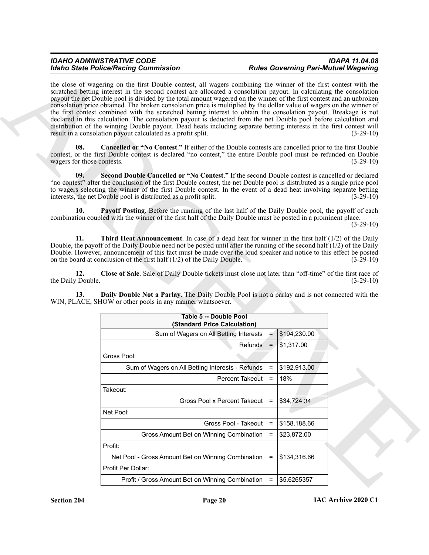<span id="page-19-5"></span><span id="page-19-4"></span><span id="page-19-3"></span><span id="page-19-2"></span><span id="page-19-1"></span><span id="page-19-0"></span>

|                                   | <b>Idaho State Police/Racing Commission</b>                                                                                                                                                                                                                                                                                                                                                                                                                                                                                                                                                                                                                                                                                                                                                                                                                                                                              |                                |              | <b>Rules Governing Pari-Mutuel Wagering</b> |
|-----------------------------------|--------------------------------------------------------------------------------------------------------------------------------------------------------------------------------------------------------------------------------------------------------------------------------------------------------------------------------------------------------------------------------------------------------------------------------------------------------------------------------------------------------------------------------------------------------------------------------------------------------------------------------------------------------------------------------------------------------------------------------------------------------------------------------------------------------------------------------------------------------------------------------------------------------------------------|--------------------------------|--------------|---------------------------------------------|
|                                   | the close of wagering on the first Double contest, all wagers combining the winner of the first contest with the<br>scratched betting interest in the second contest are allocated a consolation payout. In calculating the consolation<br>payout the net Double pool is divided by the total amount wagered on the winner of the first contest and an unbroken<br>consolation price obtained. The broken consolation price is multiplied by the dollar value of wagers on the winner of<br>the first contest combined with the scratched betting interest to obtain the consolation payout. Breakage is not<br>declared in this calculation. The consolation payout is deducted from the net Double pool before calculation and<br>distribution of the winning Double payout. Dead heats including separate betting interests in the first contest will<br>result in a consolation payout calculated as a profit split. |                                |              | $(3-29-10)$                                 |
| 08.<br>wagers for those contests. | <b>Cancelled or "No Contest."</b> If either of the Double contests are cancelled prior to the first Double<br>contest, or the first Double contest is declared "no contest," the entire Double pool must be refunded on Double                                                                                                                                                                                                                                                                                                                                                                                                                                                                                                                                                                                                                                                                                           |                                |              | $(3-29-10)$                                 |
| 09.                               | Second Double Cancelled or "No Contest." If the second Double contest is cancelled or declared<br>"no contest" after the conclusion of the first Double contest, the net Double pool is distributed as a single price pool<br>to wagers selecting the winner of the first Double contest. In the event of a dead heat involving separate betting<br>interests, the net Double pool is distributed as a profit split.                                                                                                                                                                                                                                                                                                                                                                                                                                                                                                     |                                |              | $(3-29-10)$                                 |
| 10.                               | Payoff Posting. Before the running of the last half of the Daily Double pool, the payoff of each<br>combination coupled with the winner of the first half of the Daily Double must be posted in a prominent place.                                                                                                                                                                                                                                                                                                                                                                                                                                                                                                                                                                                                                                                                                                       |                                |              | $(3-29-10)$                                 |
| 11.                               | <b>Third Heat Announcement</b> . In case of a dead heat for winner in the first half $(1/2)$ of the Daily<br>Double, the payoff of the Daily Double need not be posted until after the running of the second half $(1/2)$ of the Daily<br>Double. However, announcement of this fact must be made over the loud speaker and notice to this effect be posted<br>on the board at conclusion of the first half $(1/2)$ of the Daily Double.                                                                                                                                                                                                                                                                                                                                                                                                                                                                                 |                                |              | $(3-29-10)$                                 |
| 12.                               | Close of Sale. Sale of Daily Double tickets must close not later than "off-time" of the first race of                                                                                                                                                                                                                                                                                                                                                                                                                                                                                                                                                                                                                                                                                                                                                                                                                    |                                |              |                                             |
| the Daily Double.                 |                                                                                                                                                                                                                                                                                                                                                                                                                                                                                                                                                                                                                                                                                                                                                                                                                                                                                                                          |                                |              | $(3-29-10)$                                 |
| 13.                               | Daily Double Not a Parlay. The Daily Double Pool is not a parlay and is not connected with the<br>WIN, PLACE, SHOW or other pools in any manner whatsoever.                                                                                                                                                                                                                                                                                                                                                                                                                                                                                                                                                                                                                                                                                                                                                              |                                |              |                                             |
|                                   | Table 5 -- Double Pool<br>(Standard Price Calculation)                                                                                                                                                                                                                                                                                                                                                                                                                                                                                                                                                                                                                                                                                                                                                                                                                                                                   |                                |              |                                             |
|                                   | Sum of Wagers on All Betting Interests                                                                                                                                                                                                                                                                                                                                                                                                                                                                                                                                                                                                                                                                                                                                                                                                                                                                                   | $=$                            | \$194,230.00 |                                             |
|                                   |                                                                                                                                                                                                                                                                                                                                                                                                                                                                                                                                                                                                                                                                                                                                                                                                                                                                                                                          | $Refunds =$                    | \$1,317.00   |                                             |
|                                   | Gross Pool:                                                                                                                                                                                                                                                                                                                                                                                                                                                                                                                                                                                                                                                                                                                                                                                                                                                                                                              |                                |              |                                             |
|                                   | Sum of Wagers on All Betting Interests - Refunds =                                                                                                                                                                                                                                                                                                                                                                                                                                                                                                                                                                                                                                                                                                                                                                                                                                                                       |                                | \$192,913.00 |                                             |
|                                   |                                                                                                                                                                                                                                                                                                                                                                                                                                                                                                                                                                                                                                                                                                                                                                                                                                                                                                                          | Percent Takeout                | 18%          |                                             |
|                                   | Takeout:                                                                                                                                                                                                                                                                                                                                                                                                                                                                                                                                                                                                                                                                                                                                                                                                                                                                                                                 |                                |              |                                             |
|                                   |                                                                                                                                                                                                                                                                                                                                                                                                                                                                                                                                                                                                                                                                                                                                                                                                                                                                                                                          | Gross Pool x Percent Takeout = | \$34,724.34  |                                             |
|                                   | Net Pool:                                                                                                                                                                                                                                                                                                                                                                                                                                                                                                                                                                                                                                                                                                                                                                                                                                                                                                                |                                |              |                                             |
|                                   |                                                                                                                                                                                                                                                                                                                                                                                                                                                                                                                                                                                                                                                                                                                                                                                                                                                                                                                          | Gross Pool - Takeout<br>$=$    | \$158,188.66 |                                             |
|                                   | Gross Amount Bet on Winning Combination                                                                                                                                                                                                                                                                                                                                                                                                                                                                                                                                                                                                                                                                                                                                                                                                                                                                                  | $=$                            | \$23,872.00  |                                             |
|                                   | Profit:                                                                                                                                                                                                                                                                                                                                                                                                                                                                                                                                                                                                                                                                                                                                                                                                                                                                                                                  |                                |              |                                             |
|                                   | Net Pool - Gross Amount Bet on Winning Combination                                                                                                                                                                                                                                                                                                                                                                                                                                                                                                                                                                                                                                                                                                                                                                                                                                                                       | $=$                            | \$134,316.66 |                                             |
|                                   | Profit Per Dollar:                                                                                                                                                                                                                                                                                                                                                                                                                                                                                                                                                                                                                                                                                                                                                                                                                                                                                                       |                                |              |                                             |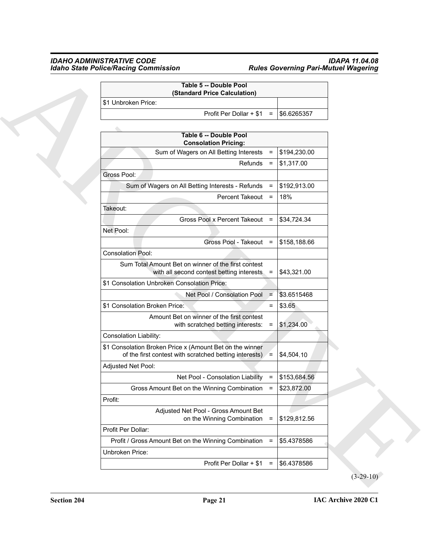### *IDAHO ADMINISTRATIVE CODE IDAPA 11.04.08 Idaho State Police/Racing Commission Rules Governing Pari-Mutuel Wagering*

| Table 5 -- Double Pool<br>(Standard Price Calculation)                                                             |                                     |              |  |
|--------------------------------------------------------------------------------------------------------------------|-------------------------------------|--------------|--|
| \$1 Unbroken Price:                                                                                                |                                     |              |  |
|                                                                                                                    | Profit Per Dollar + \$1<br>$=$      | \$6.6265357  |  |
|                                                                                                                    |                                     |              |  |
| Table 6 -- Double Pool<br><b>Consolation Pricing:</b>                                                              |                                     |              |  |
| Sum of Wagers on All Betting Interests                                                                             | $\equiv$                            | \$194,230.00 |  |
|                                                                                                                    | Refunds<br>$\equiv$                 | \$1,317.00   |  |
| Gross Pool:                                                                                                        |                                     |              |  |
| Sum of Wagers on All Betting Interests - Refunds                                                                   | $\equiv$                            | \$192,913.00 |  |
|                                                                                                                    | Percent Takeout<br>$\equiv$         | 18%          |  |
| Takeout:                                                                                                           |                                     |              |  |
| Gross Pool x Percent Takeout =                                                                                     |                                     | \$34,724.34  |  |
| Net Pool:                                                                                                          |                                     |              |  |
|                                                                                                                    | Gross Pool - Takeout =              | \$158,188.66 |  |
| <b>Consolation Pool:</b>                                                                                           |                                     |              |  |
| Sum Total Amount Bet on winner of the first contest<br>with all second contest betting interests                   | $\equiv$                            | \$43,321.00  |  |
| \$1 Consolation Unbroken Consolation Price:                                                                        |                                     |              |  |
| Net Pool / Consolation Pool                                                                                        | $\equiv$                            | \$3.6515468  |  |
| \$1 Consolation Broken Price:                                                                                      | $\equiv$                            | \$3.65       |  |
| Amount Bet on winner of the first contest<br>with scratched betting interests:                                     | $\equiv$                            | \$1,234.00   |  |
| <b>Consolation Liability:</b>                                                                                      |                                     |              |  |
| \$1 Consolation Broken Price x (Amount Bet on the winner<br>of the first contest with scratched betting interests) | $\equiv$                            | \$4,504.10   |  |
| Adjusted Net Pool:                                                                                                 |                                     |              |  |
| Net Pool - Consolation Liability =                                                                                 |                                     | \$153,684.56 |  |
| Gross Amount Bet on the Winning Combination                                                                        | $=$                                 | \$23,872.00  |  |
| Profit:                                                                                                            |                                     |              |  |
| Adjusted Net Pool - Gross Amount Bet<br>on the Winning Combination                                                 | $\equiv$                            | \$129,812.56 |  |
| Profit Per Dollar:                                                                                                 |                                     |              |  |
| Profit / Gross Amount Bet on the Winning Combination                                                               | $\equiv$                            | \$5.4378586  |  |
| Unbroken Price:                                                                                                    |                                     |              |  |
|                                                                                                                    | Profit Per Dollar + \$1<br>$\equiv$ | \$6.4378586  |  |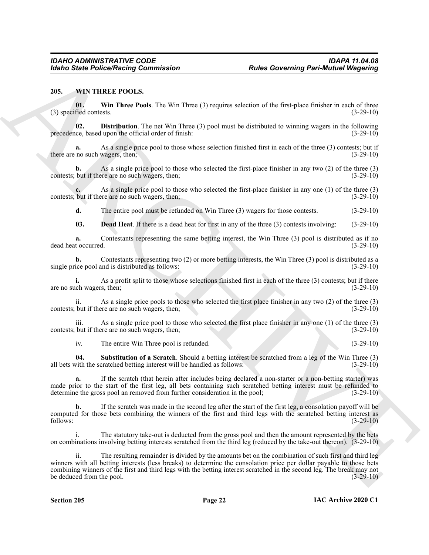### <span id="page-21-1"></span><span id="page-21-0"></span>**205. WIN THREE POOLS.**

<span id="page-21-5"></span>**01. Win Three Pools**. The Win Three (3) requires selection of the first-place finisher in each of three  $(3)$  specified contests.  $(3-29-10)$ 

<span id="page-21-3"></span>**02. Distribution**. The net Win Three (3) pool must be distributed to winning wagers in the following ice, based upon the official order of finish: precedence, based upon the official order of finish:

**a.** As a single price pool to those whose selection finished first in each of the three (3) contests; but if there are no such wagers, then; (3-29-10) (3-29-10)

**b.** As a single price pool to those who selected the first-place finisher in any two (2) of the three (3) contests; but if there are no such wagers, then; (3-29-10)

As a single price pool to those who selected the first-place finisher in any one (1) of the three (3) ore are no such wagers, then; contests; but if there are no such wagers, then;

<span id="page-21-2"></span>**d.** The entire pool must be refunded on Win Three (3) wagers for those contests. (3-29-10)

**03. Dead Heat**. If there is a dead heat for first in any of the three (3) contests involving: (3-29-10)

**a.** Contestants representing the same betting interest, the Win Three (3) pool is distributed as if no dead heat occurred. (3-29-10)

**b.** Contestants representing two (2) or more betting interests, the Win Three (3) pool is distributed as a single price pool and is distributed as follows: (3-29-10)

**i.** As a profit split to those whose selections finished first in each of the three (3) contests; but if there are no such wagers, then; (3-29-10) (3-29-10)

ii. As a single price pools to those who selected the first place finisher in any two (2) of the three (3) contests; but if there are no such wagers, then; (3-29-10) (3-29-10)

iii. As a single price pool to those who selected the first place finisher in any one (1) of the three (3) contests; but if there are no such wagers, then; (3-29-10)

<span id="page-21-4"></span>iv. The entire Win Three pool is refunded. (3-29-10)

**04. Substitution of a Scratch**. Should a betting interest be scratched from a leg of the Win Three (3) all bets with the scratched betting interest will be handled as follows: (3-29-10)

**a.** If the scratch (that herein after includes being declared a non-starter or a non-betting starter) was made prior to the start of the first leg, all bets containing such scratched betting interest must be refunded to determine the gross pool an removed from further consideration in the pool; (3-29-10)

**b.** If the scratch was made in the second leg after the start of the first leg, a consolation payoff will be computed for those bets combining the winners of the first and third legs with the scratched betting interest as follows: (3-29-10) follows: (3-29-10)

i. The statutory take-out is deducted from the gross pool and then the amount represented by the bets on combinations involving betting interests scratched from the third leg (reduced by the take-out thereon). (3-29-10)

**Each State Police/Nation Commutation**<br>
2015. Will Three Earth Commutation<br>
21. When The Revenue of the State Commutation (and the State Commutation (b) and the State Commutation (b) and<br>
22. Distribution The State VI Th ii. The resulting remainder is divided by the amounts bet on the combination of such first and third leg winners with all betting interests (less breaks) to determine the consolation price per dollar payable to those bets combining winners of the first and third legs with the betting interest scratched in the second leg. The break may not be deduced from the pool. (3-29-10)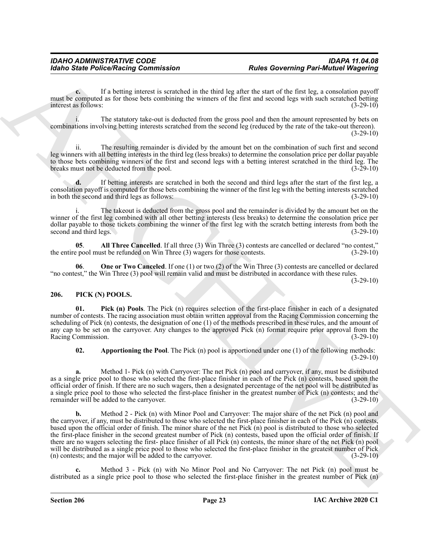**c.** If a betting interest is scratched in the third leg after the start of the first leg, a consolation payoff must be computed as for those bets combining the winners of the first and second legs with such scratched betting interest as follows: (3-29-10)

The statutory take-out is deducted from the gross pool and then the amount represented by bets on combinations involving betting interests scratched from the second leg (reduced by the rate of the take-out thereon).  $(3-29-10)$ 

ii. The resulting remainder is divided by the amount bet on the combination of such first and second leg winners with all betting interests in the third leg (less breaks) to determine the consolation price per dollar payable to those bets combining winners of the first and second legs with a betting interest scratched in the third leg. The breaks must not be deducted from the pool. (3-29-10) breaks must not be deducted from the pool.

**d.** If betting interests are scratched in both the second and third legs after the start of the first leg, a consolation payoff is computed for those bets combining the winner of the first leg with the betting interests scratched in both the second and third legs as follows: (3-29-10)

The takeout is deducted from the gross pool and the remainder is divided by the amount bet on the winner of the first leg combined with all other betting interests (less breaks) to determine the consolation price per dollar payable to those tickets combining the winner of the first leg with the scratch betting interests from both the second and third legs. (3-29-10) second and third legs.

<span id="page-22-4"></span>**05**. **All Three Cancelled**. If all three (3) Win Three (3) contests are cancelled or declared "no contest," the entire pool must be refunded on Win Three (3) wagers for those contests. (3-29-10)

<span id="page-22-5"></span>**06**. **One or Two Canceled**. If one (1) or two (2) of the Win Three (3) contests are cancelled or declared "no contest," the Win Three (3) pool will remain valid and must be distributed in accordance with these rules.

 $(3-29-10)$ 

### <span id="page-22-3"></span><span id="page-22-1"></span><span id="page-22-0"></span>**206. PICK (N) POOLS.**

**Pick (n) Pools**. The Pick (n) requires selection of the first-place finisher in each of a designated number of contests. The racing association must obtain written approval from the Racing Commission concerning the scheduling of Pick (n) contests, the designation of one (1) of the methods prescribed in these rules, and the amount of any cap to be set on the carryover. Any changes to the approved Pick (n) format require prior approval from the Racing Commission. (3-29-10)

<span id="page-22-2"></span>**02. Apportioning the Pool**. The Pick (n) pool is apportioned under one (1) of the following methods: (3-29-10)

**a.** Method 1- Pick (n) with Carryover: The net Pick (n) pool and carryover, if any, must be distributed as a single price pool to those who selected the first-place finisher in each of the Pick (n) contests, based upon the official order of finish. If there are no such wagers, then a designated percentage of the net pool will be distributed as a single price pool to those who selected the first-place finisher in the greatest number of Pick (n) contests; and the remainder will be added to the carryover. (3-29-10) remainder will be added to the carryover.

For the Police Neutral Commutation<br>
For the Corresponds of the Corresponds of the Corresponds of the Corresponds of the Corresponds of the Corresponds of the Corresponds of the Corresponds of the Corresponds of the Corres **b.** Method 2 - Pick (n) with Minor Pool and Carryover: The major share of the net Pick (n) pool and the carryover, if any, must be distributed to those who selected the first-place finisher in each of the Pick (n) contests, based upon the official order of finish. The minor share of the net Pick (n) pool is distributed to those who selected the first-place finisher in the second greatest number of Pick (n) contests, based upon the official order of finish. If there are no wagers selecting the first- place finisher of all Pick (n) contests, the minor share of the net Pick (n) pool will be distributed as a single price pool to those who selected the first-place finisher in the greatest number of Pick (n) contests; and the major will be added to the carryover. (3-29-10)

**c.** Method 3 - Pick (n) with No Minor Pool and No Carryover: The net Pick (n) pool must be distributed as a single price pool to those who selected the first-place finisher in the greatest number of Pick (n)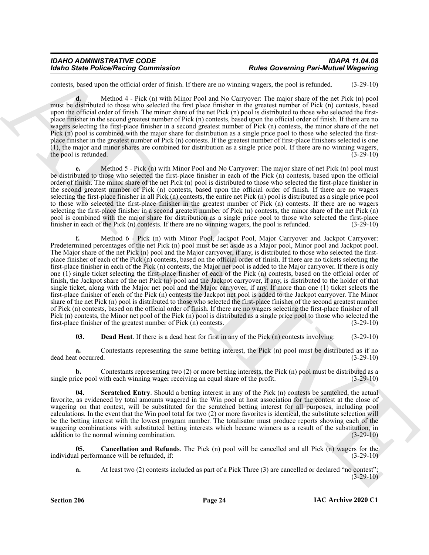| IDAHO ADMINISTRATIVE CODE            | IDAPA 11.04.08                              |
|--------------------------------------|---------------------------------------------|
| Idaho State Police/Racing Commission | <b>Rules Governing Pari-Mutuel Wagering</b> |

contests, based upon the official order of finish. If there are no winning wagers, the pool is refunded. (3-29-10)

**d.** Method 4 - Pick (n) with Minor Pool and No Carryover: The major share of the net Pick (n) pool must be distributed to those who selected the first place finisher in the greatest number of Pick (n) contests, based upon the official order of finish. The minor share of the net Pick (n) pool is distributed to those who selected the firstplace finisher in the second greatest number of Pick (n) contests, based upon the official order of finish. If there are no wagers selecting the first-place finisher in a second greatest number of Pick (n) contests, the minor share of the net Pick (n) pool is combined with the major share for distribution as a single price pool to those who selected the firstplace finisher in the greatest number of Pick (n) contests. If the greatest number of first-place finishers selected is one (1), the major and minor shares are combined for distribution as a single price pool. If there are no winning wagers, the pool is refunded. (3-29-10)

**e.** Method 5 - Pick (n) with Minor Pool and No Carryover: The major share of net Pick (n) pool must be distributed to those who selected the first-place finisher in each of the Pick (n) contests, based upon the official order of finish. The minor share of the net Pick (n) pool is distributed to those who selected the first-place finisher in the second greatest number of Pick (n) contests, based upon the official order of finish. If there are no wagers selecting the first-place finisher in all Pick (n) contests, the entire net Pick (n) pool is distributed as a single price pool to those who selected the first-place finisher in the greatest number of Pick (n) contests. If there are no wagers selecting the first-place finisher in a second greatest number of Pick (n) contests, the minor share of the net Pick (n) pool is combined with the major share for distribution as a single price pool to those who selected the first-place finisher in each of the Pick (n) contests. If there are no winning wagers, the pool is refunded. (3-29-10)

Monito State Police-Nearly Governington<br>
And the control of the state of the state of the state of the state of the state of the state of the state of the state of the state of the state of the state of the state of the s **f.** Method 6 - Pick (n) with Minor Pool, Jackpot Pool, Major Carryover and Jackpot Carryover: Predetermined percentages of the net Pick (n) pool must be set aside as a Major pool, Minor pool and Jackpot pool. The Major share of the net Pick (n) pool and the Major carryover, if any, is distributed to those who selected the firstplace finisher of each of the Pick (n) contests, based on the official order of finish. If there are no tickets selecting the first-place finisher in each of the Pick (n) contests, the Major net pool is added to the Major carryover. If there is only one (1) single ticket selecting the first-place finisher of each of the Pick (n) contests, based on the official order of finish, the Jackpot share of the net Pick (n) pool and the Jackpot carryover, if any, is distributed to the holder of that single ticket, along with the Major net pool and the Major carryover, if any. If more than one (1) ticket selects the first-place finisher of each of the Pick (n) contests the Jackpot net pool is added to the Jackpot carryover. The Minor share of the net Pick (n) pool is distributed to those who selected the first-place finisher of the second greatest number of Pick (n) contests, based on the official order of finish. If there are no wagers selecting the first-place finisher of all Pick (n) contests, the Minor net pool of the Pick (n) pool is distributed as a single price pool to those who selected the first-place finisher of the greatest number of Pick (n) contests.  $(3-29-10)$ first-place finisher of the greatest number of Pick  $(n)$  contests.

<span id="page-23-1"></span>**03. Dead Heat**. If there is a dead heat for first in any of the Pick (n) contests involving: (3-29-10)

**a.** Contestants representing the same betting interest, the Pick (n) pool must be distributed as if no t occurred.  $(3-29-10)$ dead heat occurred.

**b.** Contestants representing two (2) or more betting interests, the Pick (n) pool must be distributed as a single price pool with each winning wager receiving an equal share of the profit. (3-29-10)

<span id="page-23-2"></span>**04. Scratched Entry**. Should a betting interest in any of the Pick (n) contests be scratched, the actual favorite, as evidenced by total amounts wagered in the Win pool at host association for the contest at the close of wagering on that contest, will be substituted for the scratched betting interest for all purposes, including pool calculations. In the event that the Win pool total for two (2) or more favorites is identical, the substitute selection will be the betting interest with the lowest program number. The totalisator must produce reports showing each of the wagering combinations with substituted betting interests which became winners as a result of the substitution, in addition to the normal winning combination. (3-29-10)  $(3-29-10)$ 

**05. Cancellation and Refunds**. The Pick (n) pool will be cancelled and all Pick (n) wagers for the individual performance will be refunded, if: (3-29-10)

<span id="page-23-0"></span>**a.** At least two (2) contests included as part of a Pick Three (3) are cancelled or declared "no contest";  $(3-29-10)$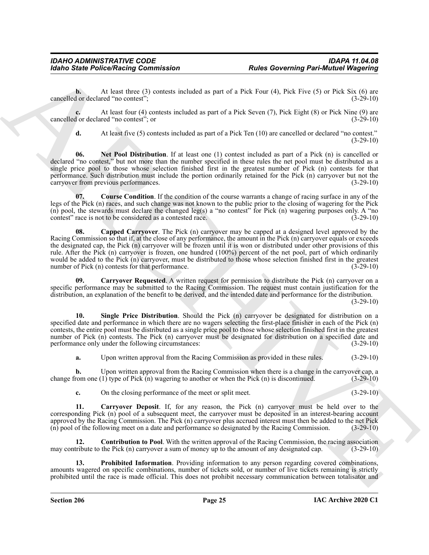**b.** At least three (3) contests included as part of a Pick Four (4), Pick Five (5) or Pick Six (6) are cancelled or declared "no contest"; (3-29-10)

**c.** At least four (4) contests included as part of a Pick Seven (7), Pick Eight (8) or Pick Nine (9) are cancelled or declared "no contest"; or (3-29-10)

<span id="page-24-5"></span>**d.** At least five (5) contests included as part of a Pick Ten (10) are cancelled or declared "no contest."  $(3-29-10)$ 

**06. Net Pool Distribution**. If at least one (1) contest included as part of a Pick (n) is cancelled or declared "no contest," but not more than the number specified in these rules the net pool must be distributed as a single price pool to those whose selection finished first in the greatest number of Pick (n) contests for that performance. Such distribution must include the portion ordinarily retained for the Pick (n) carryover but not the carryover from previous performances. (3-29-10)

<span id="page-24-4"></span><span id="page-24-0"></span>**07. Course Condition**. If the condition of the course warrants a change of racing surface in any of the legs of the Pick (n) races, and such change was not known to the public prior to the closing of wagering for the Pick (n) pool, the stewards must declare the changed leg(s) a "no contest" for Pick (n) wagering purposes only. A "no contest" race is not to be considered as a contested race.  $(3-29-10)$ contest" race is not to be considered as a contested race.

For the Police Neumann Commutation<br>
And the Coreal of Police Neumann Enters and the United States (1), this Eve (5), or RA States (1), or RA States (1), or RA States (1), or RA States (1), or RA States (1), or RA States ( **08. Capped Carryover**. The Pick (n) carryover may be capped at a designed level approved by the Racing Commission so that if, at the close of any performance, the amount in the Pick (n) carryover equals or exceeds the designated cap, the Pick (n) carryover will be frozen until it is won or distributed under other provisions of this rule. After the Pick (n) carryover is frozen, one hundred (100%) percent of the net pool, part of which ordinarily would be added to the Pick (n) carryover, must be distributed to those whose selection finished first in the greatest number of Pick (n) contests for that performance. (3-29-10)

<span id="page-24-2"></span>**Carryover Requested**. A written request for permission to distribute the Pick (n) carryover on a specific performance may be submitted to the Racing Commission. The request must contain justification for the distribution, an explanation of the benefit to be derived, and the intended date and performance for the distribution. (3-29-10)

<span id="page-24-7"></span>**10. Single Price Distribution**. Should the Pick (n) carryover be designated for distribution on a specified date and performance in which there are no wagers selecting the first-place finisher in each of the Pick (n) contests, the entire pool must be distributed as a single price pool to those whose selection finished first in the greatest number of Pick (n) contests. The Pick (n) carryover must be designated for distribution on a specified date and performance only under the following circumstances: (3-29-10) performance only under the following circumstances:

**a.** Upon written approval from the Racing Commission as provided in these rules.  $(3-29-10)$ 

**b.** Upon written approval from the Racing Commission when there is a change in the carryover cap, a change from one (1) type of Pick (n) wagering to another or when the Pick (n) is discontinued. (3-29-10)

<span id="page-24-3"></span><span id="page-24-1"></span>**c.** On the closing performance of the meet or split meet.  $(3-29-10)$ 

**11. Carryover Deposit**. If, for any reason, the Pick (n) carryover must be held over to the corresponding Pick (n) pool of a subsequent meet, the carryover must be deposited in an interest-bearing account approved by the Racing Commission. The Pick (n) carryover plus accrued interest must then be added to the net Pick (n) pool of the following meet on a date and performance so designated by the Racing Commission.  $(3-29-10$  $(n)$  pool of the following meet on a date and performance so designated by the Racing Commission.

**12. Contribution to Pool**. With the written approval of the Racing Commission, the racing association may contribute to the Pick (n) carryover a sum of money up to the amount of any designated cap. (3-29-10)

<span id="page-24-6"></span>**13. Prohibited Information**. Providing information to any person regarding covered combinations, amounts wagered on specific combinations, number of tickets sold, or number of live tickets remaining is strictly prohibited until the race is made official. This does not prohibit necessary communication between totalisator and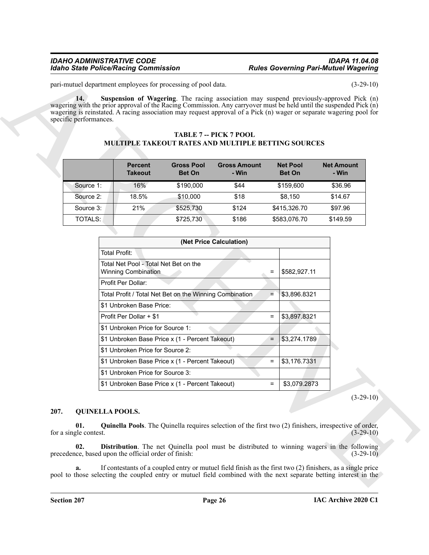### *IDAHO ADMINISTRATIVE CODE IDAPA 11.04.08 Idaho State Police/Racing Commission*

### <span id="page-25-1"></span>**TABLE 7 -- PICK 7 POOL MULTIPLE TAKEOUT RATES AND MULTIPLE BETTING SOURCES**

|           | <b>Percent</b><br><b>Takeout</b> | <b>Gross Pool</b><br><b>Bet On</b> | <b>Gross Amount</b><br>- Win | <b>Net Pool</b><br><b>Bet On</b> | <b>Net Amount</b><br>- Win |
|-----------|----------------------------------|------------------------------------|------------------------------|----------------------------------|----------------------------|
| Source 1: | 16%                              | \$190,000                          | \$44                         | \$159,600                        | \$36.96                    |
| Source 2: | 18.5%                            | \$10,000                           | \$18                         | \$8.150                          | \$14.67                    |
| Source 3: | 21%                              | \$525,730                          | \$124                        | \$415,326.70                     | \$97.96                    |
| TOTALS: I |                                  | \$725,730                          | \$186                        | \$583,076.70                     | \$149.59                   |

|      | specific performances.              | MULTIPLE TAKEOUT RATES AND MULTIPLE BETTING SOURCES                                                                                                                                                                                                                                                                                                                                                                                                                                                      |                                    | <b>TABLE 7 -- PICK 7 POOL</b> |                                                                                                                                                       | wagering is reinstated. A racing association may request approval of a Pick (n) wager or separate wagering pool for                                                                                                                        |
|------|-------------------------------------|----------------------------------------------------------------------------------------------------------------------------------------------------------------------------------------------------------------------------------------------------------------------------------------------------------------------------------------------------------------------------------------------------------------------------------------------------------------------------------------------------------|------------------------------------|-------------------------------|-------------------------------------------------------------------------------------------------------------------------------------------------------|--------------------------------------------------------------------------------------------------------------------------------------------------------------------------------------------------------------------------------------------|
|      |                                     | <b>Percent</b><br><b>Takeout</b>                                                                                                                                                                                                                                                                                                                                                                                                                                                                         | <b>Gross Pool</b><br><b>Bet On</b> | <b>Gross Amount</b><br>- Win  | <b>Net Pool</b><br><b>Bet On</b>                                                                                                                      | <b>Net Amount</b><br>- Win                                                                                                                                                                                                                 |
|      | Source 1:                           | 16%                                                                                                                                                                                                                                                                                                                                                                                                                                                                                                      | \$190,000                          | \$44                          | \$159,600                                                                                                                                             | \$36.96                                                                                                                                                                                                                                    |
|      | Source 2:                           | 18.5%                                                                                                                                                                                                                                                                                                                                                                                                                                                                                                    | \$10,000                           | \$18                          | \$8,150                                                                                                                                               | \$14.67                                                                                                                                                                                                                                    |
|      | Source 3:                           | 21%                                                                                                                                                                                                                                                                                                                                                                                                                                                                                                      | \$525,730                          | \$124                         | \$415,326.70                                                                                                                                          | \$97.96                                                                                                                                                                                                                                    |
|      | <b>TOTALS:</b>                      |                                                                                                                                                                                                                                                                                                                                                                                                                                                                                                          | \$725,730                          | \$186                         | \$583,076.70                                                                                                                                          | \$149.59                                                                                                                                                                                                                                   |
|      |                                     | <b>Total Profit:</b><br>Total Net Pool - Total Net Bet on the<br><b>Winning Combination</b><br>Profit Per Dollar:<br>Total Profit / Total Net Bet on the Winning Combination<br>\$1 Unbroken Base Price:<br>Profit Per Dollar + \$1<br>\$1 Unbroken Price for Source 1:<br>\$1 Unbroken Base Price x (1 - Percent Takeout)<br>\$1 Unbroken Price for Source 2:<br>\$1 Unbroken Base Price x (1 - Percent Takeout)<br>\$1 Unbroken Price for Source 3:<br>\$1 Unbroken Base Price x (1 - Percent Takeout) |                                    |                               | \$582,927.11<br>$=$<br>\$3,896.8321<br>$=$<br>\$3,897.8321<br>$\equiv$<br>\$3,274.1789<br>$=$<br>\$3,176.7331<br>$\equiv$<br>\$3,079.2873<br>$\equiv$ | $(3-29-10)$                                                                                                                                                                                                                                |
| 207. | 01.<br>for a single contest.<br>02. | <b>QUINELLA POOLS.</b><br>precedence, based upon the official order of finish:                                                                                                                                                                                                                                                                                                                                                                                                                           |                                    |                               |                                                                                                                                                       | <b>Quinella Pools</b> . The Quinella requires selection of the first two (2) finishers, irrespective of order,<br>$(3-29-10)$<br>Distribution. The net Quinella pool must be distributed to winning wagers in the following<br>$(3-29-10)$ |

### <span id="page-25-4"></span><span id="page-25-3"></span><span id="page-25-2"></span><span id="page-25-0"></span>**207. QUINELLA POOLS.**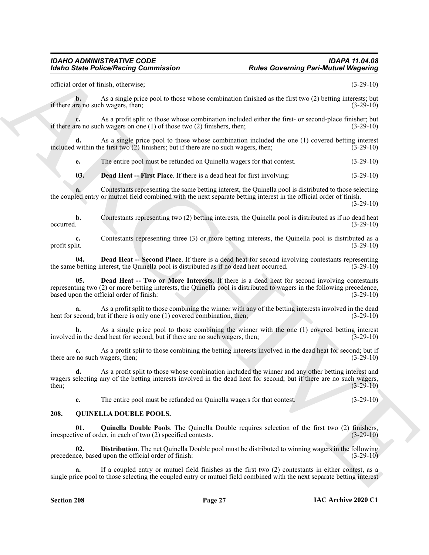official order of finish, otherwise; (3-29-10)

**b.** As a single price pool to those whose combination finished as the first two (2) betting interests; but if there are no such wagers, then;  $(3-29-10)$ 

**c.** As a profit split to those whose combination included either the first- or second-place finisher; but in en ouch wagers on one (1) of those two (2) finishers, then; if there are no such wagers on one  $(1)$  of those two  $(2)$  finishers, then;

**d.** As a single price pool to those whose combination included the one (1) covered betting interest included within the first two (2) finishers; but if there are no such wagers, then; (3-29-10)

**e.** The entire pool must be refunded on Quinella wagers for that contest. (3-29-10)

<span id="page-26-4"></span>**03. Dead Heat -- First Place**. If there is a dead heat for first involving: (3-29-10)

**a.** Contestants representing the same betting interest, the Quinella pool is distributed to those selecting the coupled entry or mutuel field combined with the next separate betting interest in the official order of finish. (3-29-10)

**b.** Contestants representing two (2) betting interests, the Quinella pool is distributed as if no dead heat  $\alpha$  occurred.  $(3-29-10)$ 

**c.** Contestants representing three (3) or more betting interests, the Quinella pool is distributed as a profit split. (3-29-10)

<span id="page-26-6"></span><span id="page-26-5"></span>**04. Dead Heat -- Second Place**. If there is a dead heat for second involving contestants representing the same betting interest, the Quinella pool is distributed as if no dead heat occurred. (3-29-10)

For the Police Neutralian Commutation<br>
Holds of the state of the state of the state of the state of the state of the state of the state of the state of the state of the state of the state of the state of the state of the **05. Dead Heat -- Two or More Interests**. If there is a dead heat for second involving contestants representing two (2) or more betting interests, the Quinella pool is distributed to wagers in the following precedence, based upon the official order of finish: (3-29-10)

**a.** As a profit split to those combining the winner with any of the betting interests involved in the dead heat for second; but if there is only one (1) covered combination, then; (3-29-10)

**b.** As a single price pool to those combining the winner with the one (1) covered betting interest in the dead heat for second: but if there are no such wagers, then: (3-29-10) involved in the dead heat for second; but if there are no such wagers, then;

**c.** As a profit split to those combining the betting interests involved in the dead heat for second; but if no such wagers, then; (3-29-10) there are no such wagers, then;

**d.** As a profit split to those whose combination included the winner and any other betting interest and wagers selecting any of the betting interests involved in the dead heat for second; but if there are no such wagers, then; (3-29-10) then;  $(3-29-10)$ 

<span id="page-26-3"></span><span id="page-26-2"></span><span id="page-26-1"></span>**e.** The entire pool must be refunded on Quinella wagers for that contest. (3-29-10)

#### <span id="page-26-0"></span>**208. QUINELLA DOUBLE POOLS.**

**01. Quinella Double Pools**. The Quinella Double requires selection of the first two (2) finishers, ive of order, in each of two (2) specified contests. (3-29-10) irrespective of order, in each of two (2) specified contests.

**02. Distribution**. The net Quinella Double pool must be distributed to winning wagers in the following precedence, based upon the official order of finish: (3-29-10)

**a.** If a coupled entry or mutuel field finishes as the first two (2) contestants in either contest, as a single price pool to those selecting the coupled entry or mutuel field combined with the next separate betting interest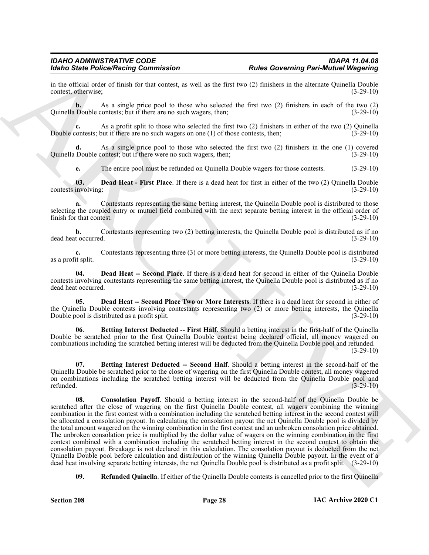in the official order of finish for that contest, as well as the first two (2) finishers in the alternate Quinella Double contest, otherwise; (3-29-10) contest, otherwise;

**b.** As a single price pool to those who selected the first two (2) finishers in each of the two (2) Quinella Double contests; but if there are no such wagers, then; (3-29-10)

**c.** As a profit split to those who selected the first two (2) finishers in either of the two (2) Quinella Double contests; but if there are no such wagers on one (1) of those contests, then; (3-29-10)

As a single price pool to those who selected the first two (2) finishers in the one (1) covered contest; but if there were no such wagers, then; (3-29-10) Quinella Double contest; but if there were no such wagers, then;

<span id="page-27-3"></span>**e.** The entire pool must be refunded on Quinella Double wagers for those contests. (3-29-10)

**03. Dead Heat - First Place**. If there is a dead heat for first in either of the two (2) Quinella Double contests involving: (3-29-10)

**a.** Contestants representing the same betting interest, the Quinella Double pool is distributed to those selecting the coupled entry or mutuel field combined with the next separate betting interest in the official order of finish for that contest. (3-29-10)

**b.** Contestants representing two (2) betting interests, the Quinella Double pool is distributed as if no t occurred.  $(3-29-10)$ dead heat occurred.

**c.** Contestants representing three (3) or more betting interests, the Quinella Double pool is distributed it split. (3-29-10) as a profit split.

<span id="page-27-4"></span>**04. Dead Heat -- Second Place**. If there is a dead heat for second in either of the Quinella Double contests involving contestants representing the same betting interest, the Quinella Double pool is distributed as if no dead heat occurred. (3-29-10)

<span id="page-27-5"></span>**05. Dead Heat -- Second Place Two or More Interests**. If there is a dead heat for second in either of the Quinella Double contests involving contestants representing two (2) or more betting interests, the Quinella Double pool is distributed as a profit split. (3-29-10)

<span id="page-27-0"></span>**06**. **Betting Interest Deducted -- First Half**. Should a betting interest in the first-half of the Quinella Double be scratched prior to the first Quinella Double contest being declared official, all money wagered on combinations including the scratched betting interest will be deducted from the Quinella Double pool and refunded.

 $(3-29-10)$ 

<span id="page-27-2"></span><span id="page-27-1"></span>**07. Betting Interest Deducted -- Second Half**. Should a betting interest in the second-half of the Quinella Double be scratched prior to the close of wagering on the first Quinella Double contest, all money wagered on combinations including the scratched betting interest will be deducted from the Quinella Double pool and refunded. (3-29-10) refunded.  $(3-29-10)$ 

More Schere Poince Water and the set of the same of the same state of the same state of the same state of the same state of the same state of the same state of the same state of the same state of the same state of the sam **08. Consolation Payoff**. Should a betting interest in the second-half of the Quinella Double be scratched after the close of wagering on the first Quinella Double contest, all wagers combining the winning combination in the first contest with a combination including the scratched betting interest in the second contest will be allocated a consolation payout. In calculating the consolation payout the net Quinella Double pool is divided by the total amount wagered on the winning combination in the first contest and an unbroken consolation price obtained. The unbroken consolation price is multiplied by the dollar value of wagers on the winning combination in the first contest combined with a combination including the scratched betting interest in the second contest to obtain the consolation payout. Breakage is not declared in this calculation. The consolation payout is deducted from the net Quinella Double pool before calculation and distribution of the winning Quinella Double payout. In the event of a dead heat involving separate betting interests, the net Quinella Double pool is distributed as a profit split. (3-29-10)

<span id="page-27-6"></span>**09.** Refunded Quinella. If either of the Quinella Double contests is cancelled prior to the first Quinella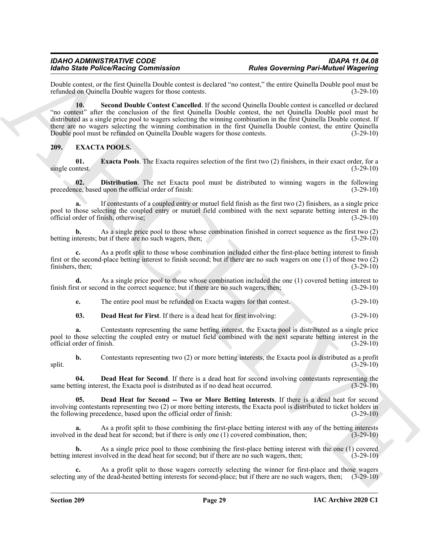<span id="page-28-7"></span>Double contest, or the first Quinella Double contest is declared "no contest," the entire Quinella Double pool must be refunded on Ouinella Double wagers for those contests. (3-29-10) refunded on Quinella Double wagers for those contests.

For the Police Reservoire contents to be test and the second of the second of the second of the second of the second of the second of the second of the second of the second of the second of the second of the second of the **10. Second Double Contest Cancelled**. If the second Quinella Double contest is cancelled or declared "no contest" after the conclusion of the first Quinella Double contest, the net Quinella Double pool must be distributed as a single price pool to wagers selecting the winning combination in the first Quinella Double contest. If there are no wagers selecting the winning combination in the first Quinella Double contest, the entire Quinella Double pool must be refunded on Quinella Double wagers for those contests. (3-29-10)

### <span id="page-28-1"></span><span id="page-28-0"></span>**209. EXACTA POOLS.**

<span id="page-28-6"></span>**01. Exacta Pools**. The Exacta requires selection of the first two (2) finishers, in their exact order, for a netest. (3-29-10) single contest.

<span id="page-28-5"></span>**02. Distribution**. The net Exacta pool must be distributed to winning wagers in the following ce, based upon the official order of finish: (3-29-10) precedence, based upon the official order of finish:

**a.** If contestants of a coupled entry or mutuel field finish as the first two (2) finishers, as a single price pool to those selecting the coupled entry or mutuel field combined with the next separate betting interest in the official order of finish, otherwise; (3-29-10)

**b.** As a single price pool to those whose combination finished in correct sequence as the first two (2) iterests; but if there are no such wagers, then; (3-29-10) betting interests; but if there are no such wagers, then;

**c.** As a profit split to those whose combination included either the first-place betting interest to finish first or the second-place betting interest to finish second; but if there are no such wagers on one (1) of those two (2) finishers, then; (3-29-10)

**d.** As a single price pool to those whose combination included the one (1) covered betting interest to finish first or second in the correct sequence; but if there are no such wagers, then; (3-29-10)

**e.** The entire pool must be refunded on Exacta wagers for that contest. (3-29-10)

<span id="page-28-2"></span>**03. Dead Heat for First**. If there is a dead heat for first involving: (3-29-10)

**a.** Contestants representing the same betting interest, the Exacta pool is distributed as a single price pool to those selecting the coupled entry or mutuel field combined with the next separate betting interest in the official order of finish. (3-29-10)

**b.** Contestants representing two (2) or more betting interests, the Exacta pool is distributed as a profit (3-29-10)  $s$ plit.  $(3-29-10)$ 

<span id="page-28-3"></span>**04. Dead Heat for Second**. If there is a dead heat for second involving contestants representing the ting interest, the Exacta pool is distributed as if no dead heat occurred.  $(3-29-10)$ same betting interest, the Exacta pool is distributed as if no dead heat occurred.

<span id="page-28-4"></span>**05. Dead Heat for Second -- Two or More Betting Interests**. If there is a dead heat for second involving contestants representing two (2) or more betting interests, the Exacta pool is distributed to ticket holders in the following precedence, based upon the official order of finish: (3-29-10)

**a.** As a profit split to those combining the first-place betting interest with any of the betting interests involved in the dead heat for second; but if there is only one (1) covered combination, then; (3-29-10)

**b.** As a single price pool to those combining the first-place betting interest with the one (1) covered betting interest involved in the dead heat for second; but if there are no such wagers, then; (3-29-10)

**c.** As a profit split to those wagers correctly selecting the winner for first-place and those wagers selecting any of the dead-heated betting interests for second-place; but if there are no such wagers, then; (3-29-10)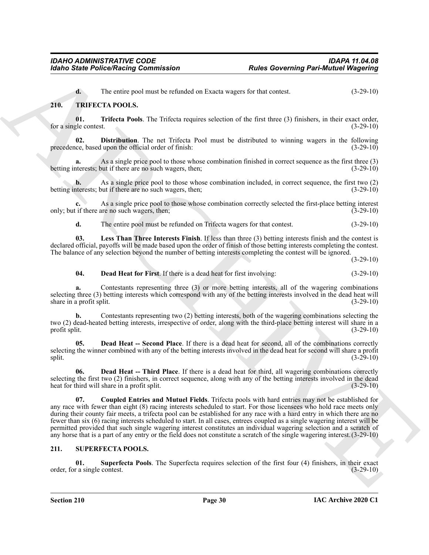<span id="page-29-11"></span><span id="page-29-4"></span>**d.** The entire pool must be refunded on Exacta wagers for that contest. (3-29-10)

### <span id="page-29-0"></span>**210. TRIFECTA POOLS.**

**01. Trifecta Pools**. The Trifecta requires selection of the first three (3) finishers, in their exact order,  $\frac{1}{2}$ e contest. (3-29-10) for a single contest.

<span id="page-29-9"></span>**02. Distribution**. The net Trifecta Pool must be distributed to winning wagers in the following precedence, based upon the official order of finish: (3-29-10)

As a single price pool to those whose combination finished in correct sequence as the first three (3) but if there are no such wagers, then;<br>(3-29-10) betting interests; but if there are no such wagers, then;

**b.** As a single price pool to those whose combination included, in correct sequence, the first two (2) aterests; but if there are no such wagers, then; betting interests; but if there are no such wagers, then;

As a single price pool to those whose combination correctly selected the first-place betting interest only; but if there are no such wagers, then; (3-29-10)

<span id="page-29-10"></span>**d.** The entire pool must be refunded on Trifecta wagers for that contest. (3-29-10)

**03. Less Than Three Interests Finish**. If less than three (3) betting interests finish and the contest is declared official, payoffs will be made based upon the order of finish of those betting interests completing the contest. The balance of any selection beyond the number of betting interests completing the contest will be ignored.

(3-29-10)

<span id="page-29-8"></span>**04. Dead Heat for First**. If there is a dead heat for first involving: (3-29-10)

**a.** Contestants representing three (3) or more betting interests, all of the wagering combinations selecting three (3) betting interests which correspond with any of the betting interests involved in the dead heat will share in a profit split. (3-29-10)

**b.** Contestants representing two (2) betting interests, both of the wagering combinations selecting the two (2) dead-heated betting interests, irrespective of order, along with the third-place betting interest will share in a profit split. (3-29-10)

<span id="page-29-6"></span>**05. Dead Heat -- Second Place**. If there is a dead heat for second, all of the combinations correctly selecting the winner combined with any of the betting interests involved in the dead heat for second will share a profit split. (3-29-10)  $s$ plit.  $(3-29-10)$ 

<span id="page-29-7"></span><span id="page-29-5"></span>**06. Dead Heat -- Third Place**. If there is a dead heat for third, all wagering combinations correctly selecting the first two (2) finishers, in correct sequence, along with any of the betting interests involved in the dead<br>heat for third will share in a profit split. (3-29-10) heat for third will share in a profit split.

For the Police Neutral Contentration<br>
The Governing Part-Municipal Conservation of the Contentration<br>
THE THE CHIVE CONTENT NEUTRAL TOOLS.<br>
THE THE CHIVE CONTENT NEUTRAL TOOLS (CONTENT NEUTRAL TOOLS (CONTENT)<br>
THE THE CHI **07. Coupled Entries and Mutuel Fields**. Trifecta pools with hard entries may not be established for any race with fewer than eight (8) racing interests scheduled to start. For those licensees who hold race meets only during their county fair meets, a trifecta pool can be established for any race with a hard entry in which there are no fewer than six (6) racing interests scheduled to start. In all cases, entrees coupled as a single wagering interest will be permitted provided that such single wagering interest constitutes an individual wagering selection and a scratch of any horse that is a part of any entry or the field does not constitute a scratch of the single wagering interest.(3-29-10)

#### <span id="page-29-2"></span><span id="page-29-1"></span>**211. SUPERFECTA POOLS.**

<span id="page-29-3"></span>**01.** Superfecta Pools. The Superfecta requires selection of the first four (4) finishers, in their exact r a single contest. (3-29-10) order, for a single contest.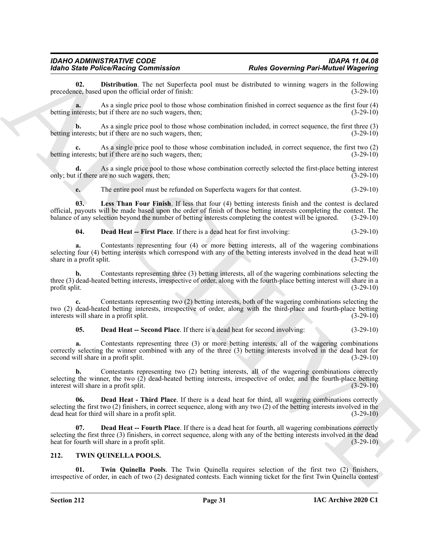<span id="page-30-5"></span>**02. Distribution**. The net Superfecta pool must be distributed to winning wagers in the following ce, based upon the official order of finish: (3-29-10) precedence, based upon the official order of finish:

**a.** As a single price pool to those whose combination finished in correct sequence as the first four (4) betting interests; but if there are no such wagers, then; (3-29-10)

**b.** As a single price pool to those whose combination included, in correct sequence, the first three (3) nterests; but if there are no such wagers, then; (3-29-10) betting interests; but if there are no such wagers, then;

As a single price pool to those whose combination included, in correct sequence, the first two (2) but if there are no such wagers, then; (3-29-10) betting interests; but if there are no such wagers, then;

**d.** As a single price pool to those whose combination correctly selected the first-place betting interest only; but if there are no such wagers, then; (3-29-10)

<span id="page-30-6"></span>**e.** The entire pool must be refunded on Superfecta wagers for that contest. (3-29-10)

**03. Less Than Four Finish**. If less that four (4) betting interests finish and the contest is declared official, payouts will be made based upon the order of finish of those betting interests completing the contest. The balance of any selection beyond the number of betting interests completing the contest will be ignored. (3-29-10)

<span id="page-30-1"></span>**04. Dead Heat -- First Place**. If there is a dead heat for first involving: (3-29-10)

**a.** Contestants representing four (4) or more betting interests, all of the wagering combinations selecting four (4) betting interests which correspond with any of the betting interests involved in the dead heat will share in a profit split. (3-29-10) share in a profit split.

**b.** Contestants representing three (3) betting interests, all of the wagering combinations selecting the three (3) dead-heated betting interests, irrespective of order, along with the fourth-place betting interest will share in a profit split. (3-29-10)

For Since Poince of Raining particles and the second transmitted to the second specifical energy and the second specifical energy and the second specifical energy and the second specifical energy and the second specifical **c.** Contestants representing two (2) betting interests, both of the wagering combinations selecting the two (2) dead-heated betting interests, irrespective of order, along with the third-place and fourth-place betting interests will share in a profit split. (3-29-10) interests will share in a profit split.

<span id="page-30-3"></span>**05. Dead Heat -- Second Place**. If there is a dead heat for second involving: (3-29-10)

**a.** Contestants representing three (3) or more betting interests, all of the wagering combinations correctly selecting the winner combined with any of the three (3) betting interests involved in the dead heat for second will share in a profit split. (3-29-10) second will share in a profit split.

**b.** Contestants representing two (2) betting interests, all of the wagering combinations correctly selecting the winner, the two  $(2)$  dead-heated betting interests, irrespective of order, and the fourth-place betting interest will share in a profit split.  $(3-29-10)$ interest will share in a profit split.

<span id="page-30-4"></span>**06. Dead Heat - Third Place**. If there is a dead heat for third, all wagering combinations correctly selecting the first two (2) finishers, in correct sequence, along with any two (2) of the betting interests involved in the dead heat for third will share in a profit split. (3-29-10)

<span id="page-30-2"></span>**Dead Heat -- Fourth Place**. If there is a dead heat for fourth, all wagering combinations correctly selecting the first three (3) finishers, in correct sequence, along with any of the betting interests involved in the dead heat for fourth will share in a profit split. (3-29-10)

### <span id="page-30-7"></span><span id="page-30-0"></span>**212. TWIN QUINELLA POOLS.**

<span id="page-30-8"></span>**Twin Quinella Pools.** The Twin Quinella requires selection of the first two (2) finishers, irrespective of order, in each of two (2) designated contests. Each winning ticket for the first Twin Quinella contest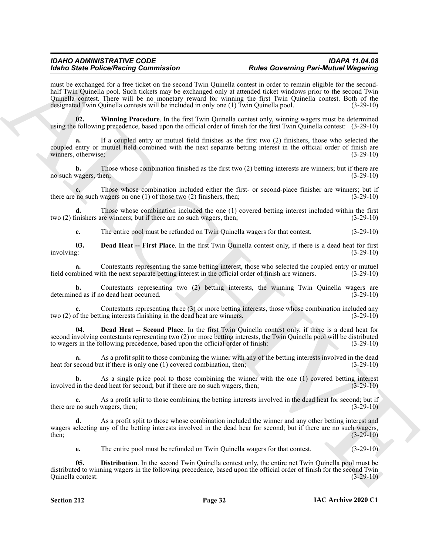More between the control of the same strength of the same strength of the same of the same of the same strength of the same strength of the same strength of the same strength of the same strength of the same strength of t must be exchanged for a free ticket on the second Twin Quinella contest in order to remain eligible for the secondhalf Twin Quinella pool. Such tickets may be exchanged only at attended ticket windows prior to the second Twin Quinella contest. There will be no monetary reward for winning the first Twin Quinella contest. Both of the designated Twin Quinella contests will be included in only one (1) Twin Quinella pool. (3-29-10)

<span id="page-31-3"></span>**02. Winning Procedure**. In the first Twin Quinella contest only, winning wagers must be determined using the following precedence, based upon the official order of finish for the first Twin Quinella contest: (3-29-10)

**a.** If a coupled entry or mutuel field finishes as the first two (2) finishers, those who selected the coupled entry or mutuel field combined with the next separate betting interest in the official order of finish are winners, otherwise; (3-29-10)

**b.** Those whose combination finished as the first two (2) betting interests are winners; but if there are no such wagers, then; (3-29-10)

**c.** Those whose combination included either the first- or second-place finisher are winners; but if no such wagers on one (1) of those two (2) finishers, then; (3-29-10) there are no such wagers on one  $(1)$  of those two  $(2)$  finishers, then;

**d.** Those whose combination included the one (1) covered betting interest included within the first two (2) finishers are winners; but if there are no such wagers, then; (3-29-10)

<span id="page-31-0"></span>**e.** The entire pool must be refunded on Twin Quinella wagers for that contest. (3-29-10)

**03. Dead Heat -- First Place**. In the first Twin Quinella contest only, if there is a dead heat for first involving: (3-29-10) involving: (3-29-10)

**a.** Contestants representing the same betting interest, those who selected the coupled entry or mutuel obined with the next separate betting interest in the official order of finish are winners. (3-29-10) field combined with the next separate betting interest in the official order of finish are winners.

**b.** Contestants representing two (2) betting interests, the winning Twin Quinella wagers are ed as if no dead heat occurred. (3-29-10) determined as if no dead heat occurred.

**c.** Contestants representing three (3) or more betting interests, those whose combination included any two (2) of the betting interests finishing in the dead heat are winners. (3-29-10)

<span id="page-31-1"></span>**04. Dead Heat -- Second Place**. In the first Twin Quinella contest only, if there is a dead heat for second involving contestants representing two (2) or more betting interests, the Twin Quinella pool will be distributed to wagers in the following precedence, based upon the official order of finish: (3-29-10)

**a.** As a profit split to those combining the winner with any of the betting interests involved in the dead heat for second but if there is only one (1) covered combination, then; (3-29-10)

**b.** As a single price pool to those combining the winner with the one (1) covered betting interest in the dead heat for second; but if there are no such wagers, then; (3-29-10) involved in the dead heat for second; but if there are no such wagers, then;

**c.** As a profit split to those combining the betting interests involved in the dead heat for second; but if there are no such wagers, then; (3-29-10)

**d.** As a profit split to those whose combination included the winner and any other betting interest and wagers selecting any of the betting interests involved in the dead hear for second; but if there are no such wagers, then; (3-29-10) then;  $(3-29-10)$ 

<span id="page-31-2"></span>**e.** The entire pool must be refunded on Twin Quinella wagers for that contest. (3-29-10)

**05. Distribution**. In the second Twin Quinella contest only, the entire net Twin Quinella pool must be distributed to winning wagers in the following precedence, based upon the official order of finish for the second Twin Quinella contest: (3-29-10)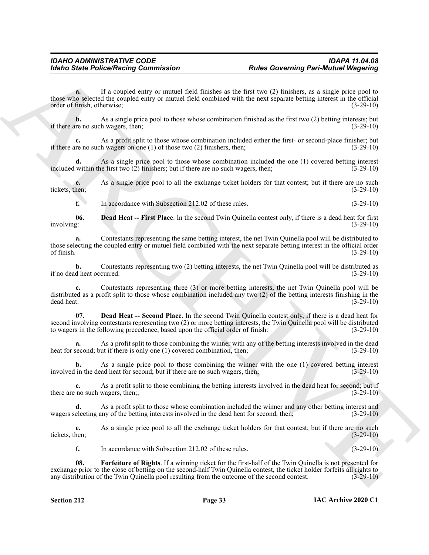**Example Folice Neutron Commutation**<br> **Example The Comparison of the Commutation**<br> **Example Solution** Commutation (According the Commutation of the Commutation of the Commutation (According to the Commutation of the Commu **a.** If a coupled entry or mutuel field finishes as the first two (2) finishers, as a single price pool to those who selected the coupled entry or mutuel field combined with the next separate betting interest in the official order of finish, otherwise; (3-29-10)

**b.** As a single price pool to those whose combination finished as the first two (2) betting interests; but re no such wagers, then; (3-29-10) if there are no such wagers, then;

**c.** As a profit split to those whose combination included either the first- or second-place finisher; but if there are no such wagers on one (1) of those two (2) finishers, then; (3-29-10)

**d.** As a single price pool to those whose combination included the one (1) covered betting interest within the first two (2) finishers; but if there are no such wagers, then; (3-29-10) included within the first two  $(2)$  finishers; but if there are no such wagers, then;

**e.** As a single price pool to all the exchange ticket holders for that contest; but if there are no such tickets, then: (3-29-10) tickets, then; (3-29-10)

<span id="page-32-0"></span>**f.** In accordance with Subsection 212.02 of these rules. (3-29-10)

**06. Dead Heat -- First Place**. In the second Twin Quinella contest only, if there is a dead heat for first involving: (3-29-10)

**a.** Contestants representing the same betting interest, the net Twin Quinella pool will be distributed to those selecting the coupled entry or mutuel field combined with the next separate betting interest in the official order of finish. (3-29-10) of finish.  $(3-29-10)$ 

**b.** Contestants representing two (2) betting interests, the net Twin Quinella pool will be distributed as d heat occurred. (3-29-10) if no dead heat occurred.

**c.** Contestants representing three (3) or more betting interests, the net Twin Quinella pool will be distributed as a profit split to those whose combination included any two (2) of the betting interests finishing in the dead heat.<br>(3-29-10) dead heat. (3-29-10)

<span id="page-32-1"></span>**07. Dead Heat -- Second Place**. In the second Twin Quinella contest only, if there is a dead heat for second involving contestants representing two (2) or more betting interests, the Twin Quinella pool will be distributed to wagers in the following precedence, based upon the official order of finish: (3-29-10)

**a.** As a profit split to those combining the winner with any of the betting interests involved in the dead heat for second; but if there is only one (1) covered combination, then; (3-29-10)

**b.** As a single price pool to those combining the winner with the one (1) covered betting interest involved in the dead heat for second; but if there are no such wagers, then; (3-29-10)

**c.** As a profit split to those combining the betting interests involved in the dead heat for second; but if there are no such wagers, then;; (3-29-10) (3-29-10)

**d.** As a profit split to those whose combination included the winner and any other betting interest and wagers selecting any of the betting interests involved in the dead heat for second, then; (3-29-10)

**e.** As a single price pool to all the exchange ticket holders for that contest; but if there are no such tickets, then; (3-29-10)

<span id="page-32-2"></span>**f.** In accordance with Subsection 212.02 of these rules. (3-29-10)

**08. Forfeiture of Rights**. If a winning ticket for the first-half of the Twin Quinella is not presented for exchange prior to the close of betting on the second-half Twin Quinella contest, the ticket holder forfeits all rights to any distribution of the Twin Quinella pool resulting from the outcome of the second contest. (3-29-10)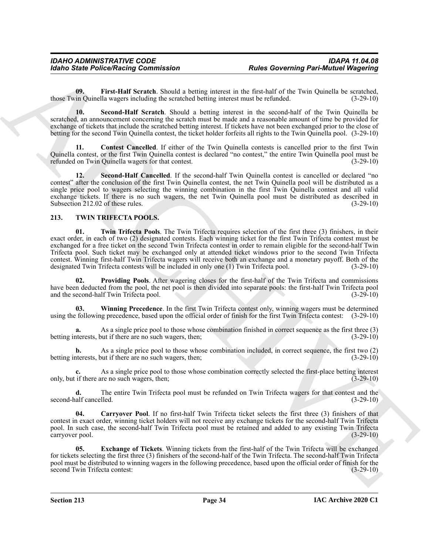<span id="page-33-2"></span>**09. First-Half Scratch**. Should a betting interest in the first-half of the Twin Quinella be scratched, those Twin Quinella wagers including the scratched betting interest must be refunded. (3-29-10)

<span id="page-33-4"></span>**10. Second-Half Scratch**. Should a betting interest in the second-half of the Twin Quinella be scratched, an announcement concerning the scratch must be made and a reasonable amount of time be provided for exchange of tickets that include the scratched betting interest. If tickets have not been exchanged prior to the close of betting for the second Twin Quinella contest, the ticket holder forfeits all rights to the Twin Quinella pool. (3-29-10)

<span id="page-33-1"></span>**11. Contest Cancelled**. If either of the Twin Quinella contests is cancelled prior to the first Twin Quinella contest, or the first Twin Quinella contest is declared "no contest," the entire Twin Quinella pool must be refunded on Twin Quinella wagers for that contest. (3-29-10)

<span id="page-33-3"></span>**Second-Half Cancelled**. If the second-half Twin Quinella contest is cancelled or declared "no contest" after the conclusion of the first Twin Quinella contest, the net Twin Quinella pool will be distributed as a single price pool to wagers selecting the winning combination in the first Twin Quinella contest and all valid exchange tickets. If there is no such wagers, the net Twin Quinella pool must be distributed as described in Subsection 212.02 of these rules. (3-29-10)

### <span id="page-33-9"></span><span id="page-33-5"></span><span id="page-33-0"></span>**213. TWIN TRIFECTA POOLS.**

For the Police Neutral Constraints of the Line of the Reset of the Reset of the Reset of the Reset of the Reset of the Reset of the Reset of the Reset of the Reset of the Reset of the Reset of the Reset of the Reset of th **01. Twin Trifecta Pools**. The Twin Trifecta requires selection of the first three (3) finishers, in their exact order, in each of two (2) designated contests. Each winning ticket for the first Twin Trifecta contest must be exchanged for a free ticket on the second Twin Trifecta contest in order to remain eligible for the second-half Twin Trifecta pool. Such ticket may be exchanged only at attended ticket windows prior to the second Twin Trifecta contest. Winning first-half Twin Trifecta wagers will receive both an exchange and a monetary payoff. Both of the designated Twin Trifecta contests will be included in only one (1) Twin Trifecta pool. (3-29-10)

<span id="page-33-8"></span>**02. Providing Pools**. After wagering closes for the first-half of the Twin Trifecta and commissions have been deducted from the pool, the net pool is then divided into separate pools: the first-half Twin Trifecta pool and the second-half Twin Trifecta pool. (3-29-10) and the second-half Twin Trifecta pool.

<span id="page-33-10"></span>**03. Winning Precedence**. In the first Twin Trifecta contest only, winning wagers must be determined using the following precedence, based upon the official order of finish for the first Twin Trifecta contest: (3-29-10)

**a.** As a single price pool to those whose combination finished in correct sequence as the first three (3) aterests, but if there are no such wagers, then: betting interests, but if there are no such wagers, then;

As a single price pool to those whose combination included, in correct sequence, the first two (2) but if there are no such wagers, then; (3-29-10) betting interests, but if there are no such wagers, then;

As a single price pool to those whose combination correctly selected the first-place betting interest only, but if there are no such wagers, then; (3-29-10)

**d.** The entire Twin Trifecta pool must be refunded on Twin Trifecta wagers for that contest and the alf cancelled. (3-29-10) second-half cancelled.

<span id="page-33-6"></span>**04. Carryover Pool**. If no first-half Twin Trifecta ticket selects the first three (3) finishers of that contest in exact order, winning ticket holders will not receive any exchange tickets for the second-half Twin Trifecta pool. In such case, the second-half Twin Trifecta pool must be retained and added to any existing Twin Trifecta carryover pool. (3-29-10)

<span id="page-33-7"></span>**05. Exchange of Tickets**. Winning tickets from the first-half of the Twin Trifecta will be exchanged for tickets selecting the first three (3) finishers of the second-half of the Twin Trifecta. The second-half Twin Trifecta pool must be distributed to winning wagers in the following precedence, based upon the official order of finish for the second Twin Trifecta contest: (3-29-10) second Twin Trifecta contest: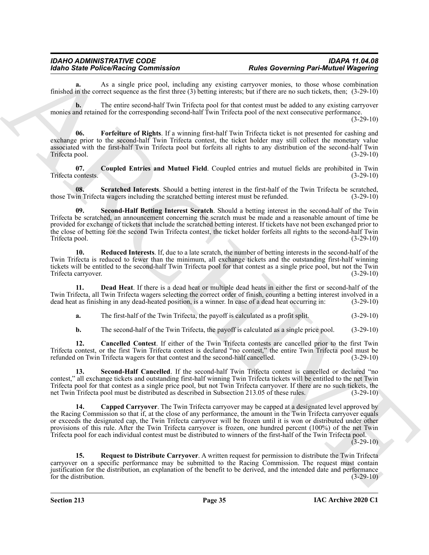**a.** As a single price pool, including any existing carryover monies, to those whose combination finished in the correct sequence as the first three (3) betting interests; but if there are no such tickets, then; (3-29-10)

**b.** The entire second-half Twin Trifecta pool for that contest must be added to any existing carryover monies and retained for the corresponding second-half Twin Trifecta pool of the next consecutive performance.

(3-29-10)

<span id="page-34-4"></span>**06. Forfeiture of Rights**. If a winning first-half Twin Trifecta ticket is not presented for cashing and exchange prior to the second-half Twin Trifecta contest, the ticket holder may still collect the monetary value associated with the first-half Twin Trifecta pool but forfeits all rights to any distribution of the second-half Twin Trifecta pool.

<span id="page-34-2"></span>**07. Coupled Entries and Mutuel Field**. Coupled entries and mutuel fields are prohibited in Twin Trifecta contests. (3-29-10)

<span id="page-34-8"></span><span id="page-34-7"></span>**08.** Scratched Interests. Should a betting interest in the first-half of the Twin Trifecta be scratched, in Trifecta wagers including the scratched betting interest must be refunded. (3-29-10) those Twin Trifecta wagers including the scratched betting interest must be refunded.

Moinds State Police Notice Research in the line of the state of the Co-Vereing Police Moints (Mappelin)<br>
Similar and recently consider the state of the state of the state of the state of the state of the state of the stat **09. Second-Half Betting Interest Scratch**. Should a betting interest in the second-half of the Twin Trifecta be scratched, an announcement concerning the scratch must be made and a reasonable amount of time be provided for exchange of tickets that include the scratched betting interest. If tickets have not been exchanged prior to the close of betting for the second Twin Trifecta contest, the ticket holder forfeits all rights to the second-half Twin<br>Trifecta pool. (3-29-10) Trifecta pool.

<span id="page-34-5"></span>**10. Reduced Interests**. If, due to a late scratch, the number of betting interests in the second-half of the Twin Trifecta is reduced to fewer than the minimum, all exchange tickets and the outstanding first-half winning tickets will be entitled to the second-half Twin Trifecta pool for that contest as a single price pool, but not the Twin Trifecta carryover.

**11. Dead Heat**. If there is a dead heat or multiple dead heats in either the first or second-half of the Twin Trifecta, all Twin Trifecta wagers selecting the correct order of finish, counting a betting interest involved in a dead heat as finishing in any dead-heated position, is a winner. In case of a dead heat occurring in: (3-29-10)

<span id="page-34-3"></span>**a.** The first-half of the Twin Trifecta, the payoff is calculated as a profit split. (3-29-10)

<span id="page-34-9"></span><span id="page-34-0"></span>**b.** The second-half of the Twin Trifecta, the payoff is calculated as a single price pool.  $(3-29-10)$ 

**12. Cancelled Contest**. If either of the Twin Trifecta contests are cancelled prior to the first Twin Trifecta contest, or the first Twin Trifecta contest is declared "no contest," the entire Twin Trifecta pool must be refunded on Twin Trifecta wagers for that contest and the second-half cancelled. (3-29-10) refunded on Twin Trifecta wagers for that contest and the second-half cancelled.

**13. Second-Half Cancelled**. If the second-half Twin Trifecta contest is cancelled or declared "no contest," all exchange tickets and outstanding first-half winning Twin Trifecta tickets will be entitled to the net Twin Trifecta pool for that contest as a single price pool, but not Twin Trifecta carryover. If there are no such tickets, the net Twin Trifecta pool must be distributed as described in Subsection 213.05 of these rules. (3-29-10)

<span id="page-34-1"></span>**14. Capped Carryover**. The Twin Trifecta carryover may be capped at a designated level approved by the Racing Commission so that if, at the close of any performance, the amount in the Twin Trifecta carryover equals or exceeds the designated cap, the Twin Trifecta carryover will be frozen until it is won or distributed under other provisions of this rule. After the Twin Trifecta carryover is frozen, one hundred percent (100%) of the net Twin Trifecta pool for each individual contest must be distributed to winners of the first-half of the Twin Trifecta pool.

(3-29-10)

<span id="page-34-6"></span>**15. Request to Distribute Carryover**. A written request for permission to distribute the Twin Trifecta carryover on a specific performance may be submitted to the Racing Commission. The request must contain justification for the distribution, an explanation of the benefit to be derived, and the intended date and performance for the distribution. (3-29-10)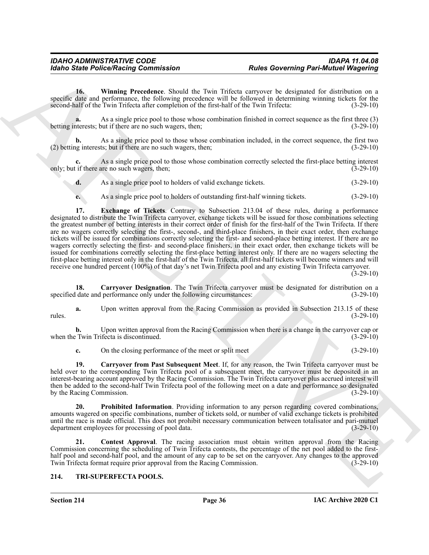<span id="page-35-7"></span>**16. Winning Precedence**. Should the Twin Trifecta carryover be designated for distribution on a specific date and performance, the following precedence will be followed in determining winning tickets for the second-half of the Twin Trifecta after completion of the first-half of the Twin Trifecta: (3-29-10)

As a single price pool to those whose combination finished in correct sequence as the first three (3) but if there are no such wagers, then;<br>(3-29-10) betting interests; but if there are no such wagers, then;

**b.** As a single price pool to those whose combination included, in the correct sequence, the first two (2) betting interests; but if there are no such wagers, then; (3-29-10)

As a single price pool to those whose combination correctly selected the first-place betting interest are no such wagers, then; (3-29-10) only; but if there are no such wagers, then;

**d.** As a single price pool to holders of valid exchange tickets. (3-29-10)

<span id="page-35-5"></span>**e.** As a single price pool to holders of outstanding first-half winning tickets.  $(3-29-10)$ 

For the Police Poisson Commutation<br>
The Governing Part-Municipal (For the United States)<br>
The Commutation (Figure 2) and the Train (Figure 2) and the United States (Figure 2)<br>
The United States (Figure 2) and the United S **17. Exchange of Tickets**. Contrary to Subsection 213.04 of these rules, during a performance designated to distribute the Twin Trifecta carryover, exchange tickets will be issued for those combinations selecting the greatest number of betting interests in their correct order of finish for the first-half of the Twin Trifecta. If there are no wagers correctly selecting the first-, second-, and third-place finishers, in their exact order, then exchange tickets will be issued for combinations correctly selecting the first- and second-place betting interest. If there are no wagers correctly selecting the first- and second-place finishers, in their exact order, then exchange tickets will be issued for combinations correctly selecting the first-place betting interest only. If there are no wagers selecting the first-place betting interest only in the first-half of the Twin Trifecta, all first-half tickets will become winners and will receive one hundred percent (100%) of that day's net Twin Trifecta pool and any existing Twin Trifecta carryover.

 $(3-29-10)$ 

<span id="page-35-2"></span>**18. Carryover Designation**. The Twin Trifecta carryover must be designated for distribution on a specified date and performance only under the following circumstances: (3-29-10)

**a.** Upon written approval from the Racing Commission as provided in Subsection 213.15 of these rules. (3-29-10)

**b.** Upon written approval from the Racing Commission when there is a change in the carryover cap or when the Twin Trifecta is discontinued. (3-29-10)

<span id="page-35-3"></span>**c.** On the closing performance of the meet or split meet (3-29-10)

**19. Carryover from Past Subsequent Meet**. If, for any reason, the Twin Trifecta carryover must be held over to the corresponding Twin Trifecta pool of a subsequent meet, the carryover must be deposited in an interest-bearing account approved by the Racing Commission. The Twin Trifecta carryover plus accrued interest will then be added to the second-half Twin Trifecta pool of the following meet on a date and performance so designated by the Racing Commission. (3-29-10)

<span id="page-35-6"></span>**Prohibited Information**. Providing information to any person regarding covered combinations, amounts wagered on specific combinations, number of tickets sold, or number of valid exchange tickets is prohibited until the race is made official. This does not prohibit necessary communication between totalisator and pari-mutuel department employees for processing of pool data.  $(3-29-10)$ department employees for processing of pool data.

<span id="page-35-4"></span>**21. Contest Approval**. The racing association must obtain written approval from the Racing Commission concerning the scheduling of Twin Trifecta contests, the percentage of the net pool added to the firsthalf pool and second-half pool, and the amount of any cap to be set on the carryover. Any changes to the approved Twin Trifecta format require prior approval from the Racing Commission. (3-29-10) Twin Trifecta format require prior approval from the Racing Commission.

### <span id="page-35-1"></span><span id="page-35-0"></span>**214. TRI-SUPERFECTA POOLS.**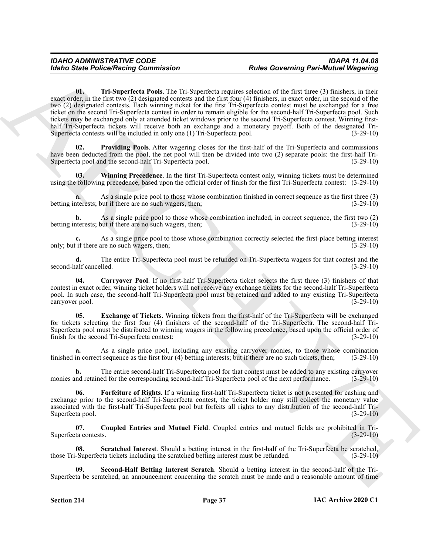Robert Police Research (A Distribution Police Governing Part-Minister (E) and the context of the state of the state of the state of the state of the state of the state of the state of the state of the state of the state o **01. Tri-Superfecta Pools**. The Tri-Superfecta requires selection of the first three (3) finishers, in their exact order, in the first two (2) designated contests and the first four (4) finishers, in exact order, in the second of the two (2) designated contests. Each winning ticket for the first Tri-Superfecta contest must be exchanged for a free ticket on the second Tri-Superfecta contest in order to remain eligible for the second-half Tri-Superfecta pool. Such tickets may be exchanged only at attended ticket windows prior to the second Tri-Superfecta contest. Winning firsthalf Tri-Superfecta tickets will receive both an exchange and a monetary payoff. Both of the designated Tri-Superfecta contests will be included in only one (1) Tri-Superfecta pool. (3-29-10)

<span id="page-36-7"></span><span id="page-36-4"></span>**02. Providing Pools**. After wagering closes for the first-half of the Tri-Superfecta and commissions have been deducted from the pool, the net pool will then be divided into two (2) separate pools: the first-half Tri-Superfecta pool and the second-half Tri-Superfecta pool. (3-29-10)

<span id="page-36-8"></span>**03. Winning Precedence**. In the first Tri-Superfecta contest only, winning tickets must be determined using the following precedence, based upon the official order of finish for the first Tri-Superfecta contest: (3-29-10)

**a.** As a single price pool to those whose combination finished in correct sequence as the first three (3) betting interests; but if there are no such wagers, then; (3-29-10)

**b.** As a single price pool to those whose combination included, in correct sequence, the first two (2) betting interests; but if there are no such wagers, then; (3-29-10)

**c.** As a single price pool to those whose combination correctly selected the first-place betting interest only; but if there are no such wagers, then; (3-29-10)

**d.** The entire Tri-Superfecta pool must be refunded on Tri-Superfecta wagers for that contest and the second-half cancelled. (3-29-10)

<span id="page-36-0"></span>**04. Carryover Pool**. If no first-half Tri-Superfecta ticket selects the first three (3) finishers of that contest in exact order, winning ticket holders will not receive any exchange tickets for the second-half Tri-Superfecta pool. In such case, the second-half Tri-Superfecta pool must be retained and added to any existing Tri-Superfecta carryover pool. (3-29-10)

<span id="page-36-2"></span>**05. Exchange of Tickets**. Winning tickets from the first-half of the Tri-Superfecta will be exchanged for tickets selecting the first four (4) finishers of the second-half of the Tri-Superfecta. The second-half Tri-Superfecta pool must be distributed to winning wagers in the following precedence, based upon the official order of finish for the second Tri-Superfecta contest: (3-29-10)

As a single price pool, including any existing carryover monies, to those whose combination t sequence as the first four (4) betting interests; but if there are no such tickets, then; (3-29-10) finished in correct sequence as the first four  $(4)$  betting interests; but if there are no such tickets, then;

**b.** The entire second-half Tri-Superfecta pool for that contest must be added to any existing carryover monies and retained for the corresponding second-half Tri-Superfecta pool of the next performance. (3-29-10)

<span id="page-36-3"></span>**06. Forfeiture of Rights**. If a winning first-half Tri-Superfecta ticket is not presented for cashing and exchange prior to the second-half Tri-Superfecta contest, the ticket holder may still collect the monetary value associated with the first-half Tri-Superfecta pool but forfeits all rights to any distribution of the second-half Tri-Superfecta pool. (3-29-10)

<span id="page-36-1"></span>**07. Coupled Entries and Mutuel Field**. Coupled entries and mutuel fields are prohibited in Tri-Superfecta contests. (3-29-10)

<span id="page-36-5"></span>**08.** Scratched Interest. Should a betting interest in the first-half of the Tri-Superfecta be scratched, Superfecta tickets including the scratched betting interest must be refunded.  $(3-29-10)$ those Tri-Superfecta tickets including the scratched betting interest must be refunded.

<span id="page-36-6"></span>**09. Second-Half Betting Interest Scratch**. Should a betting interest in the second-half of the Tri-Superfecta be scratched, an announcement concerning the scratch must be made and a reasonable amount of time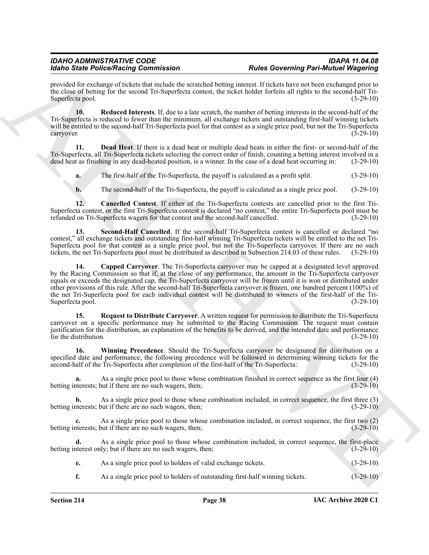provided for exchange of tickets that include the scratched betting interest. If tickets have not been exchanged prior to the close of betting for the second Tri-Superfecta contest, the ticket holder forfeits all rights to the second-half Tri-Superfecta pool. (3-29-10)

<span id="page-37-3"></span>**10. Reduced Interests**. If, due to a late scratch, the number of betting interests in the second-half of the Tri-Superfecta is reduced to fewer than the minimum, all exchange tickets and outstanding first-half winning tickets will be entitled to the second-half Tri-Superfecta pool for that contest as a single price pool, but not the Tri-Superfecta carryover.  $(3-29-10)$ 

**11. Dead Heat**. If there is a dead heat or multiple dead heats in either the first- or second-half of the Tri-Superfecta, all Tri-Superfecta tickets selecting the correct order of finish, counting a betting interest involved in a dead heat as finishing in any dead-heated position, is a winner. In the case of a dead heat occurring in: (3-29-10)

<span id="page-37-2"></span>**a.** The first-half of the Tri-Superfecta, the payoff is calculated as a profit split. (3-29-10)

<span id="page-37-5"></span><span id="page-37-0"></span>**b.** The second-half of the Tri-Superfecta, the payoff is calculated as a single price pool. (3-29-10)

**12. Cancelled Contest**. If either of the Tri-Superfecta contests are cancelled prior to the first Tri-Superfecta contest, or the first Tri-Superfecta contest is declared "no contest," the entire Tri-Superfecta pool must be refunded on Tri-Superfecta wagers for that contest and the second-half cancelled. (3-29-10)

<span id="page-37-1"></span>**13. Second-Half Cancelled**. If the second-half Tri-Superfecta contest is cancelled or declared "no contest," all exchange tickets and outstanding first-half winning Tri-Superfecta tickets will be entitled to the net Tri-Superfecta pool for that contest as a single price pool, but not the Tri-Superfecta carryover. If there are no such tickets, the net Tri-Superfecta pool must be distributed as described in Subsection 214.03 of these rules. (3-29-10)

More Since Perfect Raining Constraints of the constraints and the constraints and the constraints of the constraints of the constraints of the constraints of the constraints of the constraints of the constraints of the co **14. Capped Carryover**. The Tri-Superfecta carryover may be capped at a designated level approved by the Racing Commission so that if, at the close of any performance, the amount in the Tri-Superfecta carryover equals or exceeds the designated cap, the Tri-Superfecta carryover will be frozen until it is won or distributed under other provisions of this rule. After the second-half Tri-Superfecta carryover is frozen, one hundred percent (100%) of the net Tri-Superfecta pool for each individual contest will be distributed to winners of the first-half of the Tri-Superfecta pool. (3-29-10)

<span id="page-37-4"></span>**15. Request to Distribute Carryover**. A written request for permission to distribute the Tri-Superfecta carryover on a specific performance may be submitted to the Racing Commission. The request must contain justification for the distribution, an explanation of the benefits to be derived, and the intended date and performance for the distribution. (3-29-10)

<span id="page-37-6"></span>**16. Winning Precedence**. Should the Tri-Superfecta carryover be designated for distribution on a specified date and performance, the following precedence will be followed in determining winning tickets for the second-half of the Tri-Superfecta after completion of the first-half of the Tri-Superfecta: (3-29-10)

As a single price pool to those whose combination finished in correct sequence as the first four (4) but if there are no such wagers, then;<br>(3-29-10) betting interests; but if there are no such wagers, then;

**b.** As a single price pool to those whose combination included, in correct sequence, the first three (3) betting interests; but if there are no such wagers, then; (3-29-10)

**c.** As a single price pool to those whose combination included, in correct sequence, the first two (2) iterests; but if there are no such wagers, then; (3-29-10) betting interests; but if there are no such wagers, then;

**d.** As a single price pool to those whose combination included, in correct sequence, the first-place betting interest only; but if there are no such wagers, then; (3-29-10)

|  |  |  | As a single price pool to holders of valid exchange tickets. | $(3-29-10)$ |  |
|--|--|--|--------------------------------------------------------------|-------------|--|
|--|--|--|--------------------------------------------------------------|-------------|--|

**f.** As a single price pool to holders of outstanding first-half winning tickets.  $(3-29-10)$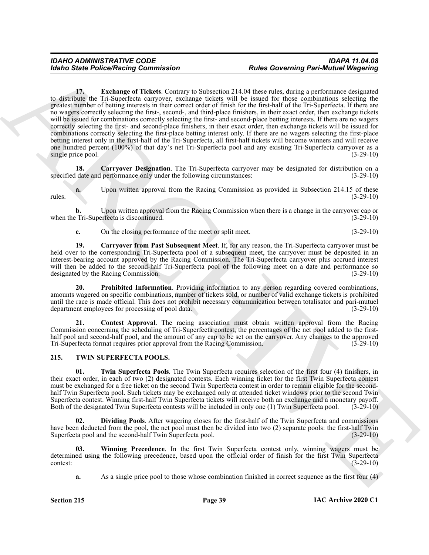ARCHIVE **17. Exchange of Tickets**. Contrary to Subsection 214.04 these rules, during a performance designated to distribute the Tri-Superfecta carryover, exchange tickets will be issued for those combinations selecting the greatest number of betting interests in their correct order of finish for the first-half of the Tri-Superfecta. If there are no wagers correctly selecting the first-, second-, and third-place finishers, in their exact order, then exchange tickets will be issued for combinations correctly selecting the first- and second-place betting interests. If there are no wagers correctly selecting the first- and second-place finishers, in their exact order, then exchange tickets will be issued for combinations correctly selecting the first-place betting interest only. If there are no wagers selecting the first-place betting interest only in the first-half of the Tri-Superfecta, all first-half tickets will become winners and will receive one hundred percent (100%) of that day's net Tri-Superfecta pool and any existing Tri-Superfecta carryover as a single price pool. (3-29-10) (3-29-10)

<span id="page-38-4"></span><span id="page-38-1"></span>**18. Carryover Designation**. The Tri-Superfecta carryover may be designated for distribution on a specified date and performance only under the following circumstances: (3-29-10)

Upon written approval from the Racing Commission as provided in Subsection 214.15 of these (3-29-10) rules. (3-29-10)

**b.** Upon written approval from the Racing Commission when there is a change in the carryover cap or Tri-Superfecta is discontinued.  $(3-29-10)$ when the Tri-Superfecta is discontinued.

<span id="page-38-2"></span>**c.** On the closing performance of the meet or split meet. (3-29-10)

**19. Carryover from Past Subsequent Meet**. If, for any reason, the Tri-Superfecta carryover must be held over to the corresponding Tri-Superfecta pool of a subsequent meet, the carryover must be deposited in an interest-bearing account approved by the Racing Commission. The Tri-Superfecta carryover plus accrued interest will then be added to the second-half Tri-Superfecta pool of the following meet on a date and performance so designated by the Racing Commission. (3-29-10) designated by the Racing Commission.

<span id="page-38-5"></span>**20. Prohibited Information**. Providing information to any person regarding covered combinations, amounts wagered on specific combinations, number of tickets sold, or number of valid exchange tickets is prohibited until the race is made official. This does not prohibit necessary communication between totalisator and pari-mutuel department employees for processing of pool data. (3-29-10)

<span id="page-38-3"></span>**21. Contest Approval**. The racing association must obtain written approval from the Racing Commission concerning the scheduling of Tri-Superfecta contest, the percentages of the net pool added to the firsthalf pool and second-half pool, and the amount of any cap to be set on the carryover. Any changes to the approved Tri-Superfecta format requires prior approval from the Racing Commission. (3-29-10)

### <span id="page-38-6"></span><span id="page-38-0"></span>**215. TWIN SUPERFECTA POOLS.**

<span id="page-38-8"></span>**01. Twin Superfecta Pools**. The Twin Superfecta requires selection of the first four (4) finishers, in their exact order, in each of two (2) designated contests. Each winning ticket for the first Twin Superfecta contest must be exchanged for a free ticket on the second Twin Superfecta contest in order to remain eligible for the secondhalf Twin Superfecta pool. Such tickets may be exchanged only at attended ticket windows prior to the second Twin Superfecta contest. Winning first-half Twin Superfecta tickets will receive both an exchange and a monetary payoff. Both of the designated Twin Superfecta contests will be included in only one (1) Twin Superfecta pool. (3-29-10)

<span id="page-38-7"></span>**02. Dividing Pools**. After wagering closes for the first-half of the Twin Superfecta and commissions have been deducted from the pool, the net pool must then be divided into two (2) separate pools: the first-half Twin Superfecta pool and the second-half Twin Superfecta pool. (3-29-10)

**03. Winning Precedence**. In the first Twin Superfecta contest only, winning wagers must be determined using the following precedence, based upon the official order of finish for the first Twin Superfecta  $\frac{(3-29-10)}{ }$ 

<span id="page-38-9"></span>**a.** As a single price pool to those whose combination finished in correct sequence as the first four (4)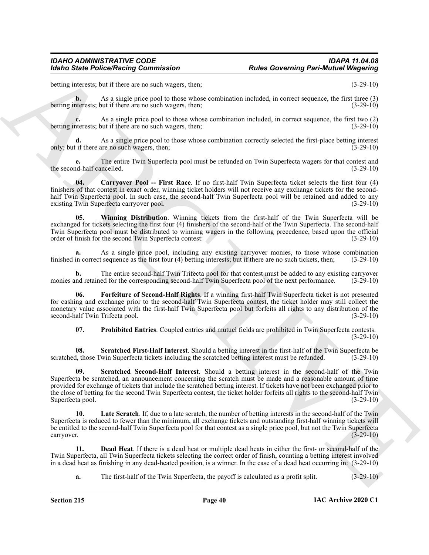betting interests; but if there are no such wagers, then; (3-29-10)

**b.** As a single price pool to those whose combination included, in correct sequence, the first three (3) aterests: but if there are no such wagers, then: betting interests; but if there are no such wagers, then;

**c.** As a single price pool to those whose combination included, in correct sequence, the first two (2) aterests; but if there are no such wagers, then; betting interests; but if there are no such wagers, then;

**d.** As a single price pool to those whose combination correctly selected the first-place betting interest only; but if there are no such wagers, then; (3-29-10)

**e.** The entire Twin Superfecta pool must be refunded on Twin Superfecta wagers for that contest and half cancelled. (3-29-10) the second-half cancelled.

<span id="page-39-0"></span>**04. Carryover Pool -- First Race**. If no first-half Twin Superfecta ticket selects the first four (4) finishers of that contest in exact order, winning ticket holders will not receive any exchange tickets for the secondhalf Twin Superfecta pool. In such case, the second-half Twin Superfecta pool will be retained and added to any existing Twin Superfecta carryover pool. (3-29-10)

<span id="page-39-7"></span>**05. Winning Distribution**. Winning tickets from the first-half of the Twin Superfecta will be exchanged for tickets selecting the first four (4) finishers of the second-half of the Twin Superfecta. The second-half Twin Superfecta pool must be distributed to winning wagers in the following precedence, based upon the official order of finish for the second Twin Superfecta contest: (3-29-10) order of finish for the second Twin Superfecta contest:

As a single price pool, including any existing carryover monies, to those whose combination t sequence as the first four (4) betting interests; but if there are no such tickets, then: (3-29-10) finished in correct sequence as the first four (4) betting interests; but if there are no such tickets, then;

**b.** The entire second-half Twin Trifecta pool for that contest must be added to any existing carryover and retained for the corresponding second-half Twin Superfecta pool of the next performance. (3-29-10) monies and retained for the corresponding second-half Twin Superfecta pool of the next performance.

**06. Forfeiture of Second-Half Rights**. If a winning first-half Twin Superfecta ticket is not presented for cashing and exchange prior to the second-half Twin Superfecta contest, the ticket holder may still collect the monetary value associated with the first-half Twin Superfecta pool but forfeits all rights to any distribution of the second-half Twin Trifecta pool. (3-29-10)

<span id="page-39-6"></span><span id="page-39-5"></span><span id="page-39-4"></span><span id="page-39-2"></span>**07. Prohibited Entries**. Coupled entries and mutuel fields are prohibited in Twin Superfecta contests. (3-29-10)

**08.** Scratched First-Half Interest. Should a betting interest in the first-half of the Twin Superfecta better in the first-half of the Twin Superfecta tickets including the scratched betting interest must be refunded. (3scratched, those Twin Superfecta tickets including the scratched betting interest must be refunded.

For the Police Research Commutation<br>
Solution Commutation Commutation Research Commutation Research Commutation Commutation (Commutation Commutation Commutation Commutation Commutation (Commutation Commutation Commutation **09. Scratched Second-Half Interest**. Should a betting interest in the second-half of the Twin Superfecta be scratched, an announcement concerning the scratch must be made and a reasonable amount of time provided for exchange of tickets that include the scratched betting interest. If tickets have not been exchanged prior to the close of betting for the second Twin Superfecta contest, the ticket holder forfeits all rights to the second-half Twin Superfecta pool.<br>(3-29-10) Superfecta pool.

<span id="page-39-3"></span>**Late Scratch**. If, due to a late scratch, the number of betting interests in the second-half of the Twin Superfecta is reduced to fewer than the minimum, all exchange tickets and outstanding first-half winning tickets will be entitled to the second-half Twin Superfecta pool for that contest as a single price pool, but not the Twin Superfecta carryover.  $(3-29-10)$ 

**11. Dead Heat**. If there is a dead heat or multiple dead heats in either the first- or second-half of the Twin Superfecta, all Twin Superfecta tickets selecting the correct order of finish, counting a betting interest involved in a dead heat as finishing in any dead-heated position, is a winner. In the case of a dead heat occurring in: (3-29-10)

<span id="page-39-1"></span>**a.** The first-half of the Twin Superfecta, the payoff is calculated as a profit split. (3-29-10)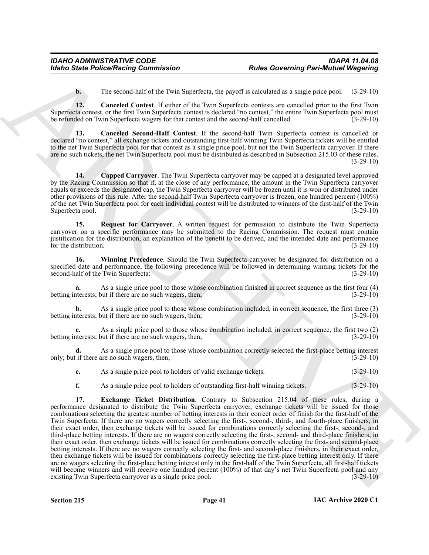<span id="page-40-1"></span><span id="page-40-0"></span>**b.** The second-half of the Twin Superfecta, the payoff is calculated as a single price pool. (3-29-10)

**12. Canceled Contest**. If either of the Twin Superfecta contests are cancelled prior to the first Twin Superfecta contest, or the first Twin Superfecta contest is declared "no contest," the entire Twin Superfecta pool must be refunded on Twin Superfecta wagers for that contest and the second-half cancelled. (3-29-10)

**13. Canceled Second-Half Contest**. If the second-half Twin Superfecta contest is cancelled or declared "no contest," all exchange tickets and outstanding first-half winning Twin Superfecta tickets will be entitled to the net Twin Superfecta pool for that contest as a single price pool, but not the Twin Superfecta carryover. If there are no such tickets, the net Twin Superfecta pool must be distributed as described in Subsection 215.03 of these rules.  $(3-29-10)$ 

<span id="page-40-2"></span>**14. Capped Carryover**. The Twin Superfecta carryover may be capped at a designated level approved by the Racing Commission so that if, at the close of any performance, the amount in the Twin Superfecta carryover equals or exceeds the designated cap, the Twin Superfecta carryover will be frozen until it is won or distributed under other provisions of this rule. After the second-half Twin Superfecta carryover is frozen, one hundred percent (100%) of the net Twin Superfecta pool for each individual contest will be distributed to winners of the first-half of the Twin Superfecta pool. (3-29-10)

<span id="page-40-4"></span>**15. Request for Carryover**. A written request for permission to distribute the Twin Superfecta carryover on a specific performance may be submitted to the Racing Commission. The request must contain justification for the distribution, an explanation of the benefit to be derived, and the intended date and performance for the distribution. (3-29-10)

<span id="page-40-5"></span>**16. Winning Precedence**. Should the Twin Superfecta carryover be designated for distribution on a specified date and performance, the following precedence will be followed in determining winning tickets for the second-half of the Twin Superfecta: (3-29-10) second-half of the Twin Superfecta:

As a single price pool to those whose combination finished in correct sequence as the first four (4) out if there are no such wagers, then;<br>(3-29-10) betting interests; but if there are no such wagers, then;

**b.** As a single price pool to those whose combination included, in correct sequence, the first three (3) betting interests; but if there are no such wagers, then; (3-29-10)

**c.** As a single price pool to those whose combination included, in correct sequence, the first two (2) aterests: but if there are no such wagers, then: betting interests; but if there are no such wagers, then;

**d.** As a single price pool to those whose combination correctly selected the first-place betting interest if there are no such wagers, then: (3-29-10) only; but if there are no such wagers, then;

|  | As a single price pool to holders of valid exchange tickets. |  | $(3-29-10)$ |  |
|--|--------------------------------------------------------------|--|-------------|--|
|--|--------------------------------------------------------------|--|-------------|--|

<span id="page-40-3"></span>**f.** As a single price pool to holders of outstanding first-half winning tickets. (3-29-10)

Moinds State Police/Neising Commission<br>
The Governing Part-Minister (and the state distance and the state distance and the state distance of the state distance of the state of the state of the state of the state of the s **17. Exchange Ticket Distribution**. Contrary to Subsection 215.04 of these rules, during a performance designated to distribute the Twin Superfecta carryover, exchange tickets will be issued for those combinations selecting the greatest number of betting interests in their correct order of finish for the first-half of the Twin Superfecta. If there are no wagers correctly selecting the first-, second-, third-, and fourth-place finishers, in their exact order, then exchange tickets will be issued for combinations correctly selecting the first-, second-, and third-place betting interests. If there are no wagers correctly selecting the first-, second- and third-place finishers, in their exact order, then exchange tickets will be issued for combinations correctly selecting the first- and second-place betting interests. If there are no wagers correctly selecting the first- and second-place finishers, in their exact order, then exchange tickets will be issued for combinations correctly selecting the first-place betting interest only. If there are no wagers selecting the first-place betting interest only in the first-half of the Twin Superfecta, all first-half tickets will become winners and will receive one hundred percent (100%) of that day's net Twin Superfecta pool and any existing Twin Superfecta carryover as a single price pool. (3-29-10)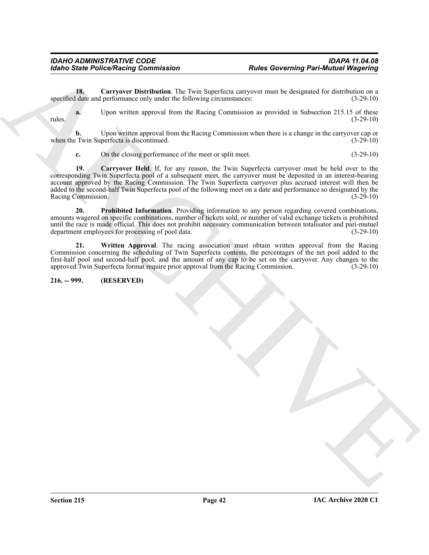<span id="page-41-1"></span>**18.** Carryover Distribution. The Twin Superfecta carryover must be designated for distribution on a date and performance only under the following circumstances: (3-29-10) specified date and performance only under the following circumstances:

**a.** Upon written approval from the Racing Commission as provided in Subsection 215.15 of these rules. (3-29-10)

**b.** Upon written approval from the Racing Commission when there is a change in the carryover cap or when the Twin Superfecta is discontinued. (3-29-10)

<span id="page-41-2"></span>**c.** On the closing performance of the meet or split meet. (3-29-10)

Form State Police Neutron Commutation<br>
The Covering Part-Municipal (Magneting or any state of the System connection and the stress and let distribute the space of the stress of the stress of the stress of the stress of th **19. Carryover Held**. If, for any reason, the Twin Superfecta carryover must be held over to the corresponding Twin Superfecta pool of a subsequent meet, the carryover must be deposited in an interest-bearing account approved by the Racing Commission. The Twin Superfecta carryover plus accrued interest will then be added to the second-half Twin Superfecta pool of the following meet on a date and performance so designated by the Racing Commission. (3-29-10) Racing Commission.

<span id="page-41-3"></span>**20. Prohibited Information**. Providing information to any person regarding covered combinations, amounts wagered on specific combinations, number of tickets sold, or number of valid exchange tickets is prohibited until the race is made official. This does not prohibit necessary communication between totalisator and pari-mutuel department employees for processing of pool data.  $(3-29-10)$ department employees for processing of pool data.

<span id="page-41-4"></span>**21. Written Approval**. The racing association must obtain written approval from the Racing Commission concerning the scheduling of Twin Superfecta contests, the percentages of the net pool added to the first-half pool and second-half pool, and the amount of any cap to be set on the carryover. Any changes to the approved Twin Superfecta format require prior approval from the Racing Commission. (3-29-10)

<span id="page-41-0"></span>**216. -- 999. (RESERVED)**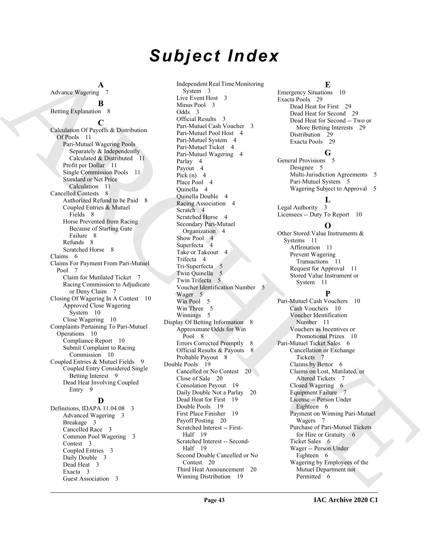# *Subject Index*

Independent Real Time Monitoring

**A** Advance Wagering 7

## **B**

Betting Explanation 8

**C** Calculation Of Payoffs & Distribution Of Pools 11 Pari-Mutuel Wagering Pools Separately & Independently Calculated & Distributed 11 Profit per Dollar 11 Single Commission Pools 11 Standard or Net Price Calculation 11 Cancelled Contests 8 Authorized Refund to be Paid 8 Coupled Entries & Mutuel Fields 8 Horse Prevented from Racing Because of Starting Gate Failure 8 Refunds 8 Scratched Horse 8 Claims 6 Claims For Payment From Pari-Mutuel Pool 7 Claim for Mutilated Ticket 7 Racing Commission to Adjudicate or Deny Claim 7 Closing Of Wagering In A Contest 10 Approved Close Wagering System 10 Close Wagering 10 Complaints Pertaining To Pari-Mutuel Operations 10 Compliance Report 10 Submit Complaint to Racing Commission 10 Coupled Entries & Mutuel Fields 9 Coupled Entry Considered Single Betting Interest 9 Dead Heat Involving Coupled Entry 9

### **D**

Definitions, IDAPA 11.04.08 3 Advanced Wagering 3 Breakage 3 Cancelled Race 3 Common Pool Wagering 3 Contest 3 Coupled Entries 3 Daily Double 3 Dead Heat 3 Exacta 3 Guest Association 3

A change of the control of the special control of the special control of the special control of the special control of the special control of the special control of the special control of the special control of the specia System 3 Live Event Host 3 Minus Pool 3 Odds 3 Official Results 3 Pari-Mutuel Cash Voucher 3 Pari-Mutuel Pool Host 4 Pari-Mutuel System 4 Pari-Mutuel Ticket 4 Pari-Mutuel Wagering 4 Parlay 4 Payout 4 Pick  $(n)$  4 Place Pool 4 Quinella 4 Quinella Double 4 Racing Association 4 Scratch 4 Scratched Horse 4 Secondary Pari-Mutuel Organization 4 Show Pool 4 Superfecta 4 Take or Takeout 4 Trifecta 4 Tri-Superfecta 5 Twin Quinella 5 Twin Trifecta 5 Voucher Identification Number 5 Wager 5 Win Pool 5 Win Three 5 Winnings 5 Display Of Betting Information 8 Approximate Odds for Win Pool 8 Errors Corrected Promptly 8 Official Results & Payouts 8 Probable Payout 8 Double Pools 19 Cancelled or No Contest 20 Close of Sale 20 Consolation Payout 19 Daily Double Not a Parlay 20 Dead Heat for First 19 Double Pools 19 First Place Finisher 19 Payoff Posting 20 Scratched Interest -- First-Half 19 Scratched Interest -- Second-Half 19 Second Double Cancelled or No Contest 20 Third Heat Announcement 20 Winning Distribution 19

**E**

Emergency Situations 10 Exacta Pools 29 Dead Heat for First 29 Dead Heat for Second 29 Dead Heat for Second -- Two or More Betting Interests 29 Distribution 29 Exacta Pools 29

### **G**

General Provisions 5 Designee 5 Multi-Jurisdiction Agreements 5 Pari-Mutuel System 5 Wagering Subject to Approval 5

### **L**

Legal Authority 3 Licensees -- Duty To Report 10

### **O**

Other Stored Value Instruments & Systems 11 Affirmation 11 Prevent Wagering Transactions 11 Request for Approval 11 Stored Value Instrument or System 11

### **P**

Pari-Mutuel Cash Vouchers 10 Cash Vouchers 10 Voucher Identification Number 11 Vouchers as Incentives or Promotional Prizes 10 Pari-Mutuel Ticket Sales 6 Cancellation or Exchange Tickets 7 Claims by Bettor 6 Claims on Lost, Mutilated, or Altered Tickets 7 Closed Wagering 6 Equipment Failure 7 License -- Person Under Eighteen 6 Payment on Winning Pari-Mutuel Wagers 7 Purchase of Pari-Mutuel Tickets for Hire or Gratuity 6 Ticket Sales 6 Wager -- Person Under Eighteen 6 Wagering by Employees of the Mutuel Department not Permitted 6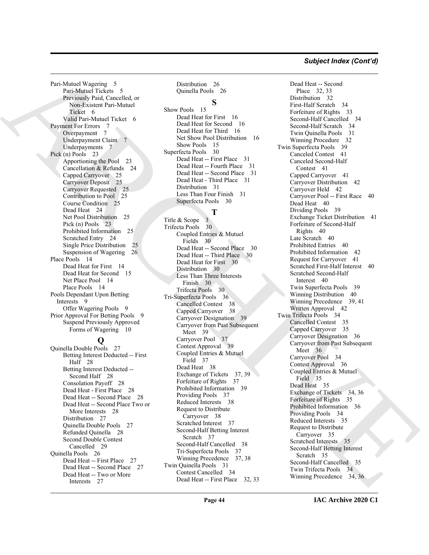### *Subject Index (Cont'd)*

Pari-Mutuel Wagering 5 Pari-Mutuel Tickets 5 Previously Paid, Cancelled, or Non-Existent Pari-Mutuel Ticket 6 Valid Pari-Mutuel Ticket 6 Payment For Errors 7 Overpayment 7 Underpayment Claim 7 Underpayments 7 Pick (n) Pools 23 Apportioning the Pool 23 Cancellation & Refunds 24 Capped Carryover 25 Carryover Deposit 25 Carryover Requested 25 Contribution to Pool 25 Course Condition 25 Dead Heat 24 Net Pool Distribution 25 Pick (n) Pools 23 Prohibited Information 25 Scratched Entry 24 Single Price Distribution 25 Suspension of Wagering 26 Place Pools 14 Dead Heat for First 14 Dead Heat for Second 15 Net Place Pool 14 Place Pools 14 Pools Dependant Upon Betting Interests 9 Offer Wagering Pools 9 Prior Approval For Betting Pools 9 Suspend Previously Approved Forms of Wagering 10

### **Q**

Quinella Double Pools 27 Betting Interest Deducted -- First Half 28 Betting Interest Deducted -- Second Half 28 Consolation Payoff 28 Dead Heat - First Place 28 Dead Heat -- Second Place 28 Dead Heat -- Second Place Two or More Interests 28 Distribution 27 Quinella Double Pools 27 Refunded Quinella 28 Second Double Contest Cancelled 29 Quinella Pools 26 Dead Heat -- First Place 27 Dead Heat -- Second Place 27 Dead Heat -- Two or More Interests 27

Distribution 26 Quinella Pools 26

**S**

Show Pools 15 Dead Heat for First 16 Dead Heat for Second 16 Dead Heat for Third 16 Net Show Pool Distribution 16 Show Pools 15 Superfecta Pools 30 Dead Heat -- First Place 31 Dead Heat -- Fourth Place 31 Dead Heat -- Second Place 31 Dead Heat - Third Place 31 Distribution 31 Less Than Four Finish 31 Superfecta Pools 30

### **T**

Title & Scope 3 Trifecta Pools 30 Coupled Entries & Mutuel Fields 30 Dead Heat -- Second Place 30 Dead Heat -- Third Place 30 Dead Heat for First 30 Distribution 30 Less Than Three Interests Finish 30 Trifecta Pools 30 Tri-Superfecta Pools 36 Cancelled Contest 38 Capped Carryover 38 Carryover Designation 39 Carryover from Past Subsequent Meet 39 Carryover Pool 37 Contest Approval 39 Coupled Entries & Mutuel Field 37 Dead Heat 38 Exchange of Tickets 37, 39 Forfeiture of Rights 37 Prohibited Information 39 Providing Pools 37 Reduced Interests 38 Request to Distribute Carryover 38 Scratched Interest 37 Second-Half Betting Interest Scratch 37 Second-Half Cancelled 38 Tri-Superfecta Pools 37 Winning Precedence 37, 38 Twin Quinella Pools 31 Contest Cancelled 34 Dead Heat -- First Place 32, 33

Particular operation 2. Interaction 2. Interaction 2. Interaction 2. Interaction 2. Interaction 2. Interaction 2. Interaction 2. Interaction 2. Interaction 2. Interaction 2. Interaction 2. Interaction 2. Interaction 2. In Dead Heat -- Second Place 32, 33 Distribution 32 First-Half Scratch 34 Forfeiture of Rights 33 Second-Half Cancelled 34 Second-Half Scratch 34 Twin Quinella Pools 31 Winning Procedure 32 Twin Superfecta Pools 39 Canceled Contest 41 Canceled Second-Half Contest<sub>41</sub> Capped Carryover 41 Carryover Distribution 42 Carryover Held 42 Carryover Pool -- First Race 40 Dead Heat 40 Dividing Pools 39 Exchange Ticket Distribution 41 Forfeiture of Second-Half Rights 40 Late Scratch 40 Prohibited Entries 40 Prohibited Information 42 Request for Carryover 41 Scratched First-Half Interest 40 Scratched Second-Half Interest 40 Twin Superfecta Pools 39 Winning Distribution 40 Winning Precedence 39, 41 Written Approval 42 Twin Trifecta Pools 34 Cancelled Contest 35 Capped Carryover 35 Carryover Designation 36 Carryover from Past Subsequent Meet 36 Carryover Pool 34 Contest Approval 36 Coupled Entries & Mutuel Field 35 Dead Heat 35 Exchange of Tickets 34, 36 Forfeiture of Rights 35 Prohibited Information 36 Providing Pools 34 Reduced Interests 35 Request to Distribute Carryover 35 Scratched Interests 35 Second-Half Betting Interest Scratch 35 Second-Half Cancelled 35 Twin Trifecta Pools 34 Winning Precedence 34, 36